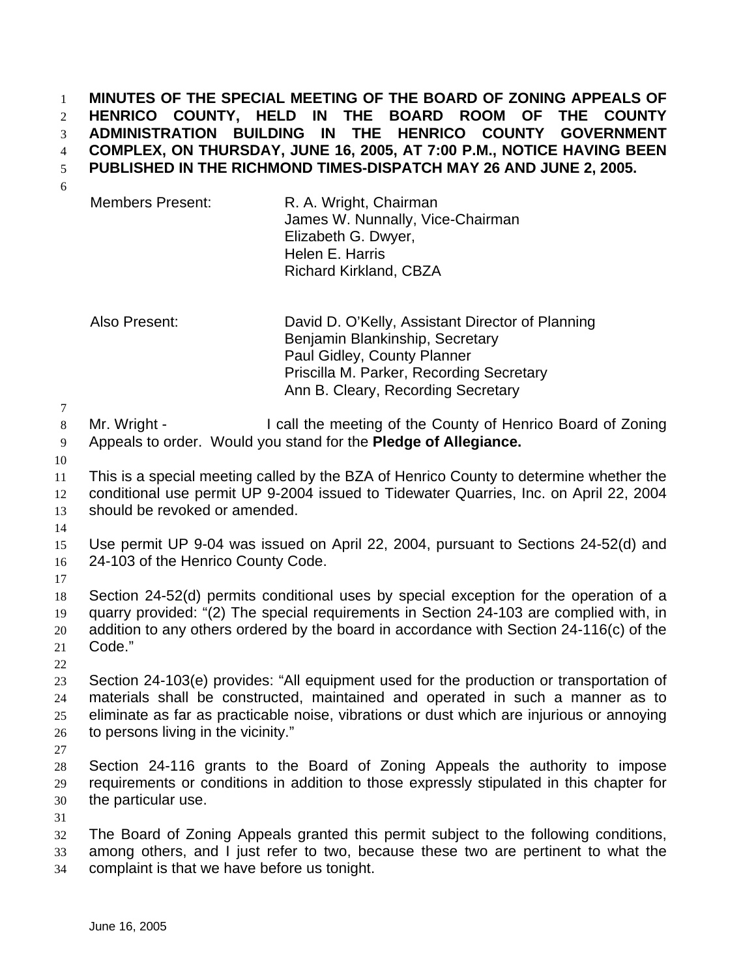**MINUTES OF THE SPECIAL MEETING OF THE BOARD OF ZONING APPEALS OF HENRICO COUNTY, HELD IN THE BOARD ROOM OF THE COUNTY ADMINISTRATION BUILDING IN THE HENRICO COUNTY GOVERNMENT COMPLEX, ON THURSDAY, JUNE 16, 2005, AT 7:00 P.M., NOTICE HAVING BEEN PUBLISHED IN THE RICHMOND TIMES-DISPATCH MAY 26 AND JUNE 2, 2005.**

Members Present: R. A. Wright, Chairman James W. Nunnally, Vice-Chairman Elizabeth G. Dwyer, Helen E. Harris Richard Kirkland, CBZA

Also Present: David D. O'Kelly, Assistant Director of Planning Benjamin Blankinship, Secretary Paul Gidley, County Planner Priscilla M. Parker, Recording Secretary Ann B. Cleary, Recording Secretary

8 Mr. Wright - I call the meeting of the County of Henrico Board of Zoning Appeals to order. Would you stand for the **Pledge of Allegiance.** 

 This is a special meeting called by the BZA of Henrico County to determine whether the conditional use permit UP 9-2004 issued to Tidewater Quarries, Inc. on April 22, 2004 should be revoked or amended.

 Use permit UP 9-04 was issued on April 22, 2004, pursuant to Sections 24-52(d) and 24-103 of the Henrico County Code.

 Section 24-52(d) permits conditional uses by special exception for the operation of a quarry provided: "(2) The special requirements in Section 24-103 are complied with, in addition to any others ordered by the board in accordance with Section 24-116(c) of the Code."

 Section 24-103(e) provides: "All equipment used for the production or transportation of materials shall be constructed, maintained and operated in such a manner as to eliminate as far as practicable noise, vibrations or dust which are injurious or annoying 26 to persons living in the vicinity."

 Section 24-116 grants to the Board of Zoning Appeals the authority to impose requirements or conditions in addition to those expressly stipulated in this chapter for the particular use.

 The Board of Zoning Appeals granted this permit subject to the following conditions, among others, and I just refer to two, because these two are pertinent to what the

complaint is that we have before us tonight.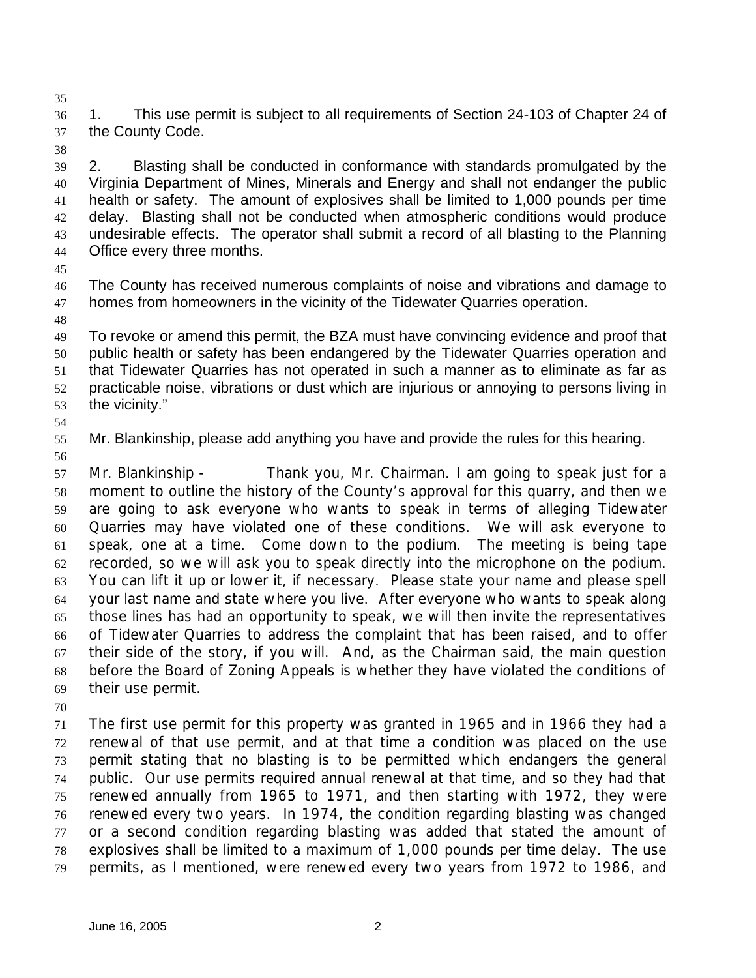1. This use permit is subject to all requirements of Section 24-103 of Chapter 24 of the County Code.

 2. Blasting shall be conducted in conformance with standards promulgated by the Virginia Department of Mines, Minerals and Energy and shall not endanger the public health or safety. The amount of explosives shall be limited to 1,000 pounds per time delay. Blasting shall not be conducted when atmospheric conditions would produce undesirable effects. The operator shall submit a record of all blasting to the Planning Office every three months.

 The County has received numerous complaints of noise and vibrations and damage to homes from homeowners in the vicinity of the Tidewater Quarries operation.

 To revoke or amend this permit, the BZA must have convincing evidence and proof that public health or safety has been endangered by the Tidewater Quarries operation and that Tidewater Quarries has not operated in such a manner as to eliminate as far as practicable noise, vibrations or dust which are injurious or annoying to persons living in the vicinity."

Mr. Blankinship, please add anything you have and provide the rules for this hearing.

 Mr. Blankinship - Thank you, Mr. Chairman. I am going to speak just for a moment to outline the history of the County's approval for this quarry, and then we are going to ask everyone who wants to speak in terms of alleging Tidewater Quarries may have violated one of these conditions. We will ask everyone to speak, one at a time. Come down to the podium. The meeting is being tape recorded, so we will ask you to speak directly into the microphone on the podium. You can lift it up or lower it, if necessary. Please state your name and please spell your last name and state where you live. After everyone who wants to speak along those lines has had an opportunity to speak, we will then invite the representatives of Tidewater Quarries to address the complaint that has been raised, and to offer their side of the story, if you will. And, as the Chairman said, the main question before the Board of Zoning Appeals is whether they have violated the conditions of their use permit.

 The first use permit for this property was granted in 1965 and in 1966 they had a renewal of that use permit, and at that time a condition was placed on the use permit stating that no blasting is to be permitted which endangers the general public. Our use permits required annual renewal at that time, and so they had that renewed annually from 1965 to 1971, and then starting with 1972, they were renewed every two years. In 1974, the condition regarding blasting was changed or a second condition regarding blasting was added that stated the amount of explosives shall be limited to a maximum of 1,000 pounds per time delay. The use permits, as I mentioned, were renewed every two years from 1972 to 1986, and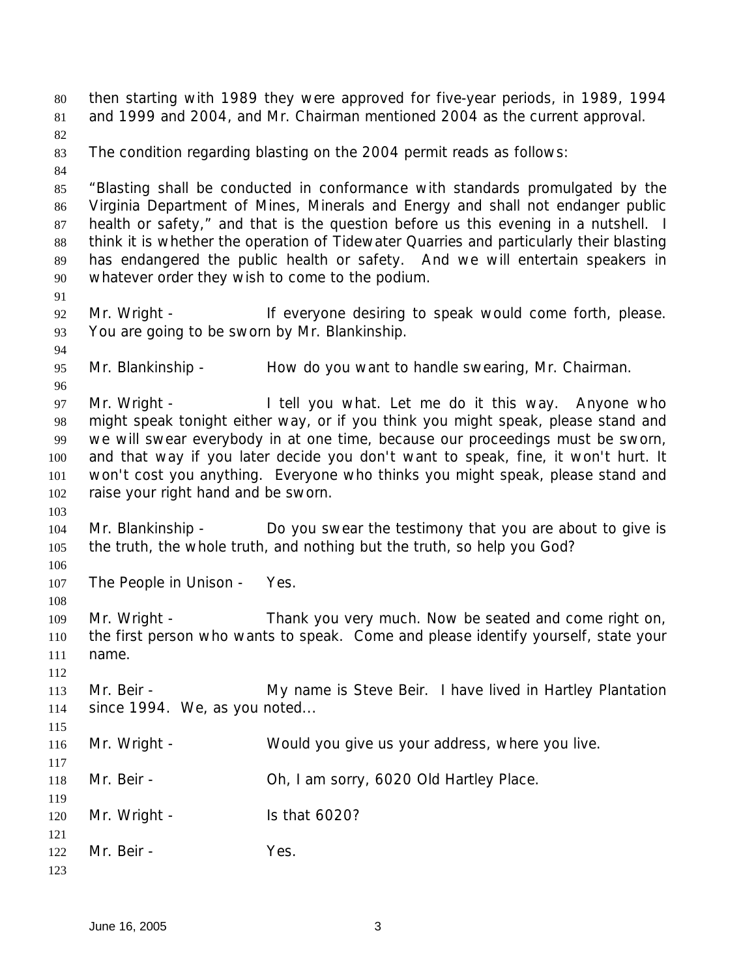then starting with 1989 they were approved for five-year periods, in 1989, 1994 and 1999 and 2004, and Mr. Chairman mentioned 2004 as the current approval. The condition regarding blasting on the 2004 permit reads as follows: "Blasting shall be conducted in conformance with standards promulgated by the Virginia Department of Mines, Minerals and Energy and shall not endanger public health or safety," and that is the question before us this evening in a nutshell. I think it is whether the operation of Tidewater Quarries and particularly their blasting has endangered the public health or safety. And we will entertain speakers in whatever order they wish to come to the podium. 92 Mr. Wright - If everyone desiring to speak would come forth, please. You are going to be sworn by Mr. Blankinship. Mr. Blankinship - How do you want to handle swearing, Mr. Chairman. Mr. Wright - I tell you what. Let me do it this way. Anyone who might speak tonight either way, or if you think you might speak, please stand and we will swear everybody in at one time, because our proceedings must be sworn, and that way if you later decide you don't want to speak, fine, it won't hurt. It won't cost you anything. Everyone who thinks you might speak, please stand and raise your right hand and be sworn. Mr. Blankinship - Do you swear the testimony that you are about to give is the truth, the whole truth, and nothing but the truth, so help you God? The People in Unison - Yes. Mr. Wright - Thank you very much. Now be seated and come right on, the first person who wants to speak. Come and please identify yourself, state your name. 113 Mr. Beir - **My name is Steve Beir.** I have lived in Hartley Plantation since 1994. We, as you noted... Mr. Wright - Would you give us your address, where you live. Mr. Beir - Oh, I am sorry, 6020 Old Hartley Place. 120 Mr. Wright - Is that 6020? Mr. Beir - Yes.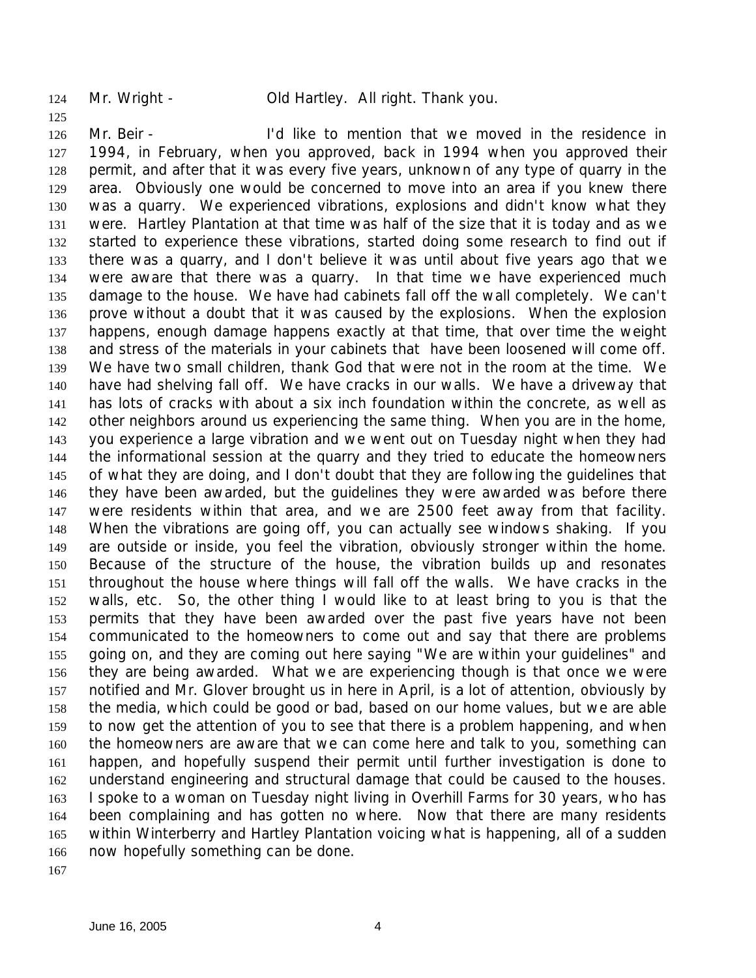Mr. Wright - Old Hartley. All right. Thank you.

 Mr. Beir - I'd like to mention that we moved in the residence in 1994, in February, when you approved, back in 1994 when you approved their permit, and after that it was every five years, unknown of any type of quarry in the area. Obviously one would be concerned to move into an area if you knew there was a quarry. We experienced vibrations, explosions and didn't know what they were. Hartley Plantation at that time was half of the size that it is today and as we started to experience these vibrations, started doing some research to find out if there was a quarry, and I don't believe it was until about five years ago that we were aware that there was a quarry. In that time we have experienced much damage to the house. We have had cabinets fall off the wall completely. We can't prove without a doubt that it was caused by the explosions. When the explosion happens, enough damage happens exactly at that time, that over time the weight and stress of the materials in your cabinets that have been loosened will come off. We have two small children, thank God that were not in the room at the time. We have had shelving fall off. We have cracks in our walls. We have a driveway that has lots of cracks with about a six inch foundation within the concrete, as well as other neighbors around us experiencing the same thing. When you are in the home, you experience a large vibration and we went out on Tuesday night when they had the informational session at the quarry and they tried to educate the homeowners of what they are doing, and I don't doubt that they are following the guidelines that they have been awarded, but the guidelines they were awarded was before there were residents within that area, and we are 2500 feet away from that facility. When the vibrations are going off, you can actually see windows shaking. If you are outside or inside, you feel the vibration, obviously stronger within the home. Because of the structure of the house, the vibration builds up and resonates throughout the house where things will fall off the walls. We have cracks in the walls, etc. So, the other thing I would like to at least bring to you is that the permits that they have been awarded over the past five years have not been communicated to the homeowners to come out and say that there are problems going on, and they are coming out here saying "We are within your guidelines" and they are being awarded. What we are experiencing though is that once we were notified and Mr. Glover brought us in here in April, is a lot of attention, obviously by the media, which could be good or bad, based on our home values, but we are able to now get the attention of you to see that there is a problem happening, and when the homeowners are aware that we can come here and talk to you, something can happen, and hopefully suspend their permit until further investigation is done to understand engineering and structural damage that could be caused to the houses. I spoke to a woman on Tuesday night living in Overhill Farms for 30 years, who has been complaining and has gotten no where. Now that there are many residents within Winterberry and Hartley Plantation voicing what is happening, all of a sudden now hopefully something can be done.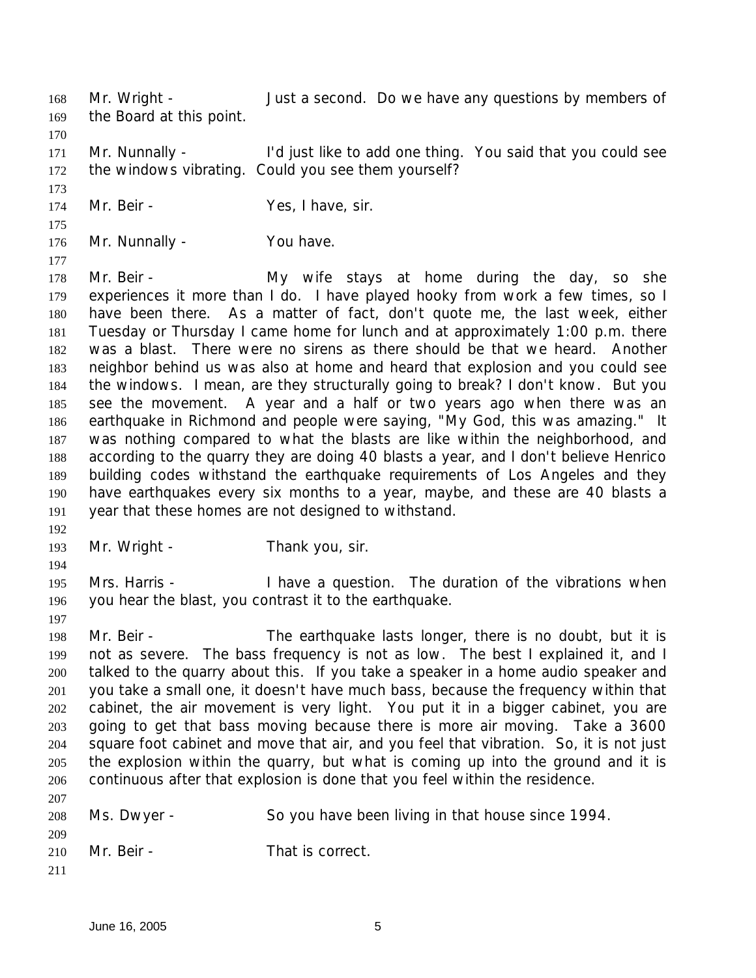168 Mr. Wright - Just a second. Do we have any questions by members of

- the Board at this point.
- 

171 Mr. Nunnally - I'd just like to add one thing. You said that you could see the windows vibrating. Could you see them yourself?

- 174 Mr. Beir Yes, I have, sir.
- 
- 176 Mr. Nunnally You have.

 178 Mr. Beir - My wife stays at home during the day, so she experiences it more than I do. I have played hooky from work a few times, so I have been there. As a matter of fact, don't quote me, the last week, either Tuesday or Thursday I came home for lunch and at approximately 1:00 p.m. there was a blast. There were no sirens as there should be that we heard. Another neighbor behind us was also at home and heard that explosion and you could see the windows. I mean, are they structurally going to break? I don't know. But you see the movement. A year and a half or two years ago when there was an earthquake in Richmond and people were saying, "My God, this was amazing." It was nothing compared to what the blasts are like within the neighborhood, and according to the quarry they are doing 40 blasts a year, and I don't believe Henrico building codes withstand the earthquake requirements of Los Angeles and they have earthquakes every six months to a year, maybe, and these are 40 blasts a year that these homes are not designed to withstand.

- 193 Mr. Wright Thank you, sir.
- Mrs. Harris - I have a question. The duration of the vibrations when you hear the blast, you contrast it to the earthquake.
- 

198 Mr. Beir - The earthquake lasts longer, there is no doubt, but it is not as severe. The bass frequency is not as low. The best I explained it, and I talked to the quarry about this. If you take a speaker in a home audio speaker and you take a small one, it doesn't have much bass, because the frequency within that cabinet, the air movement is very light. You put it in a bigger cabinet, you are going to get that bass moving because there is more air moving. Take a 3600 square foot cabinet and move that air, and you feel that vibration. So, it is not just the explosion within the quarry, but what is coming up into the ground and it is continuous after that explosion is done that you feel within the residence. 

| -----<br>208 | Ms. Dwyer - | So you have been living in that house since 1994. |
|--------------|-------------|---------------------------------------------------|
| 209          |             |                                                   |
| 210          | Mr. Beir -  | That is correct.                                  |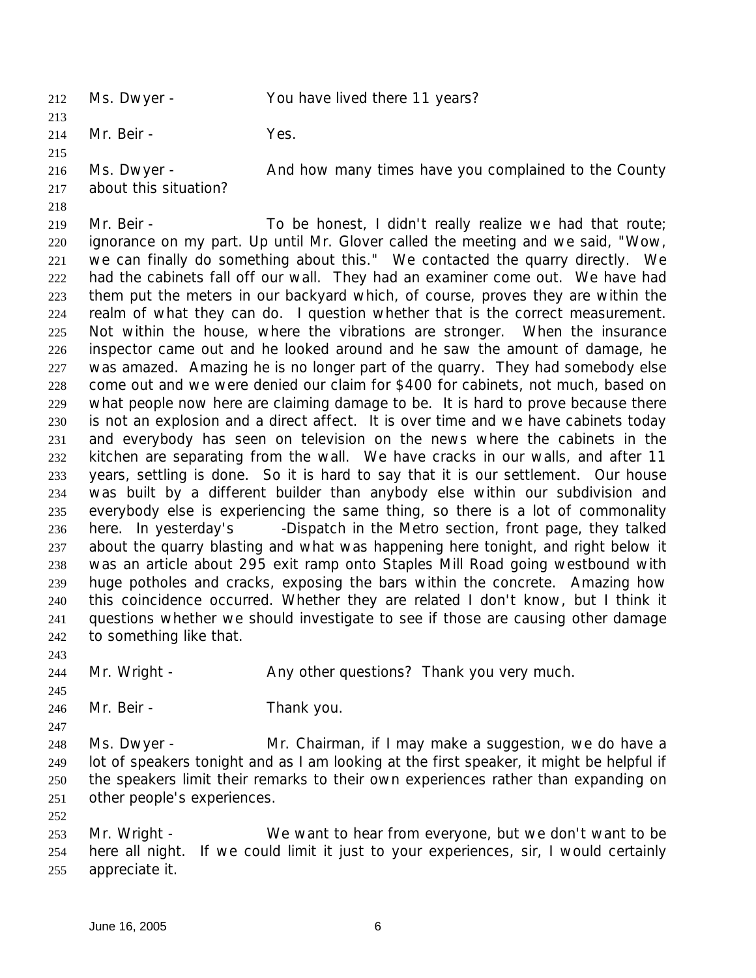Ms. Dwyer - You have lived there 11 years? 

214 Mr. Beir - Yes.

216 Ms. Dwyer - And how many times have you complained to the County

- about this situation?
- 

219 Mr. Beir - To be honest, I didn't really realize we had that route; ignorance on my part. Up until Mr. Glover called the meeting and we said, "Wow, we can finally do something about this." We contacted the quarry directly. We had the cabinets fall off our wall. They had an examiner come out. We have had them put the meters in our backyard which, of course, proves they are within the realm of what they can do. I question whether that is the correct measurement. Not within the house, where the vibrations are stronger. When the insurance inspector came out and he looked around and he saw the amount of damage, he was amazed. Amazing he is no longer part of the quarry. They had somebody else come out and we were denied our claim for \$400 for cabinets, not much, based on what people now here are claiming damage to be. It is hard to prove because there is not an explosion and a direct affect. It is over time and we have cabinets today and everybody has seen on television on the news where the cabinets in the kitchen are separating from the wall. We have cracks in our walls, and after 11 years, settling is done. So it is hard to say that it is our settlement. Our house was built by a different builder than anybody else within our subdivision and everybody else is experiencing the same thing, so there is a lot of commonality here. In yesterday's *-Dispatch* in the Metro section, front page, they talked about the quarry blasting and what was happening here tonight, and right below it was an article about 295 exit ramp onto Staples Mill Road going westbound with huge potholes and cracks, exposing the bars within the concrete. Amazing how this coincidence occurred. Whether they are related I don't know, but I think it questions whether we should investigate to see if those are causing other damage to something like that.

244 Mr. Wright - Any other questions? Thank you very much.

Mr. Beir - Thank you.

 Ms. Dwyer - Mr. Chairman, if I may make a suggestion, we do have a lot of speakers tonight and as I am looking at the first speaker, it might be helpful if the speakers limit their remarks to their own experiences rather than expanding on

- other people's experiences.
- Mr. Wright We want to hear from everyone, but we don't want to be here all night. If we could limit it just to your experiences, sir, I would certainly appreciate it.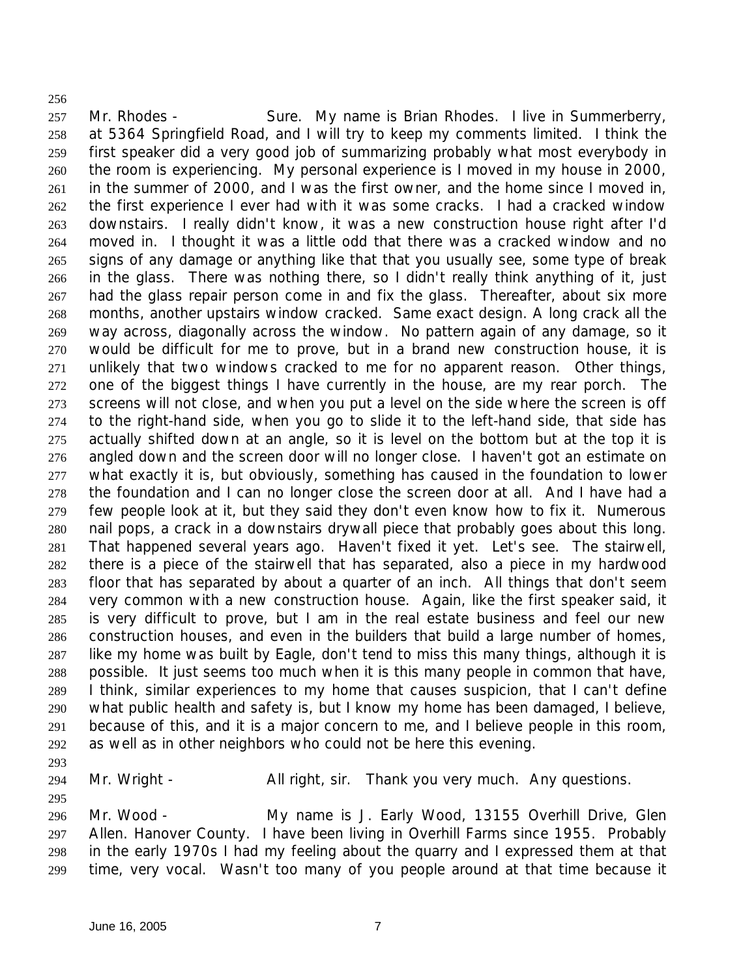257 Mr. Rhodes - Sure. My name is Brian Rhodes. I live in Summerberry, at 5364 Springfield Road, and I will try to keep my comments limited. I think the first speaker did a very good job of summarizing probably what most everybody in the room is experiencing. My personal experience is I moved in my house in 2000, in the summer of 2000, and I was the first owner, and the home since I moved in, the first experience I ever had with it was some cracks. I had a cracked window downstairs. I really didn't know, it was a new construction house right after I'd moved in. I thought it was a little odd that there was a cracked window and no signs of any damage or anything like that that you usually see, some type of break in the glass. There was nothing there, so I didn't really think anything of it, just had the glass repair person come in and fix the glass. Thereafter, about six more months, another upstairs window cracked. Same exact design. A long crack all the way across, diagonally across the window. No pattern again of any damage, so it would be difficult for me to prove, but in a brand new construction house, it is unlikely that two windows cracked to me for no apparent reason. Other things, one of the biggest things I have currently in the house, are my rear porch. The screens will not close, and when you put a level on the side where the screen is off to the right-hand side, when you go to slide it to the left-hand side, that side has actually shifted down at an angle, so it is level on the bottom but at the top it is angled down and the screen door will no longer close. I haven't got an estimate on what exactly it is, but obviously, something has caused in the foundation to lower the foundation and I can no longer close the screen door at all. And I have had a few people look at it, but they said they don't even know how to fix it. Numerous nail pops, a crack in a downstairs drywall piece that probably goes about this long. That happened several years ago. Haven't fixed it yet. Let's see. The stairwell, there is a piece of the stairwell that has separated, also a piece in my hardwood floor that has separated by about a quarter of an inch. All things that don't seem very common with a new construction house. Again, like the first speaker said, it is very difficult to prove, but I am in the real estate business and feel our new construction houses, and even in the builders that build a large number of homes, like my home was built by Eagle, don't tend to miss this many things, although it is possible. It just seems too much when it is this many people in common that have, I think, similar experiences to my home that causes suspicion, that I can't define what public health and safety is, but I know my home has been damaged, I believe, because of this, and it is a major concern to me, and I believe people in this room, as well as in other neighbors who could not be here this evening.

294 Mr. Wright - All right, sir. Thank you very much. Any questions.

 Mr. Wood - My name is J. Early Wood, 13155 Overhill Drive, Glen Allen. Hanover County. I have been living in Overhill Farms since 1955. Probably in the early 1970s I had my feeling about the quarry and I expressed them at that time, very vocal. Wasn't too many of you people around at that time because it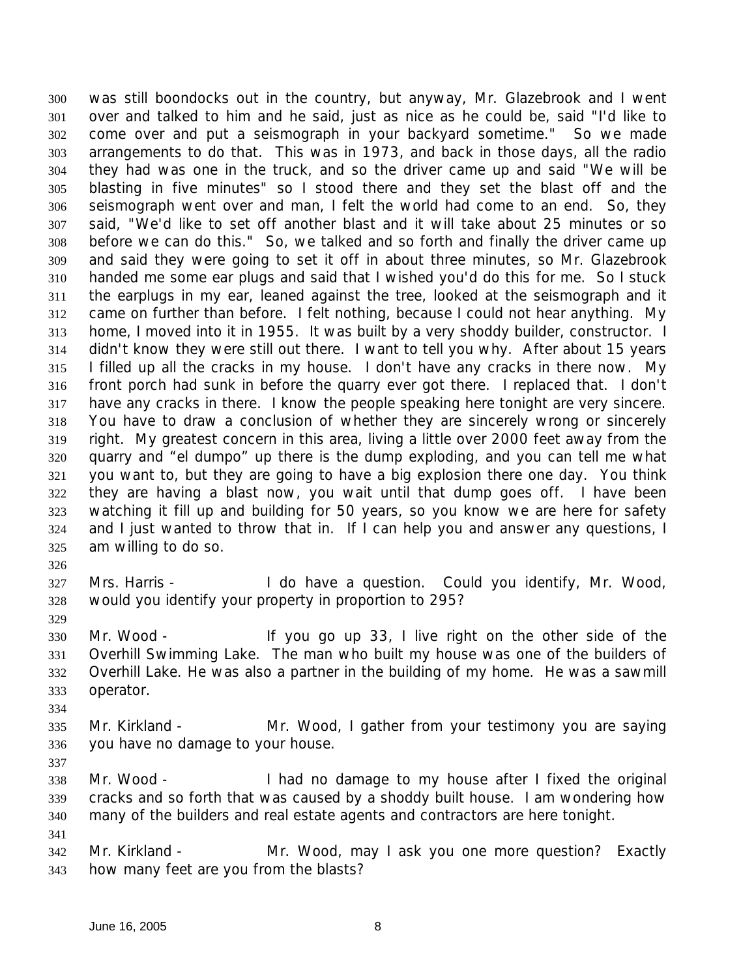was still boondocks out in the country, but anyway, Mr. Glazebrook and I went over and talked to him and he said, just as nice as he could be, said "I'd like to come over and put a seismograph in your backyard sometime." So we made arrangements to do that. This was in 1973, and back in those days, all the radio they had was one in the truck, and so the driver came up and said "We will be blasting in five minutes" so I stood there and they set the blast off and the seismograph went over and man, I felt the world had come to an end. So, they said, "We'd like to set off another blast and it will take about 25 minutes or so before we can do this." So, we talked and so forth and finally the driver came up and said they were going to set it off in about three minutes, so Mr. Glazebrook handed me some ear plugs and said that I wished you'd do this for me. So I stuck the earplugs in my ear, leaned against the tree, looked at the seismograph and it came on further than before. I felt nothing, because I could not hear anything. My home, I moved into it in 1955. It was built by a very shoddy builder, constructor. I didn't know they were still out there. I want to tell you why. After about 15 years I filled up all the cracks in my house. I don't have any cracks in there now. My front porch had sunk in before the quarry ever got there. I replaced that. I don't have any cracks in there. I know the people speaking here tonight are very sincere. You have to draw a conclusion of whether they are sincerely wrong or sincerely right. My greatest concern in this area, living a little over 2000 feet away from the quarry and "el dumpo" up there is the dump exploding, and you can tell me what you want to, but they are going to have a big explosion there one day. You think they are having a blast now, you wait until that dump goes off. I have been watching it fill up and building for 50 years, so you know we are here for safety and I just wanted to throw that in. If I can help you and answer any questions, I am willing to do so.

 Mrs. Harris - I do have a question. Could you identify, Mr. Wood, would you identify your property in proportion to 295?

 Mr. Wood - If you go up 33, I live right on the other side of the Overhill Swimming Lake. The man who built my house was one of the builders of Overhill Lake. He was also a partner in the building of my home. He was a sawmill operator.

 Mr. Kirkland - Mr. Wood, I gather from your testimony you are saying you have no damage to your house.

 Mr. Wood - I had no damage to my house after I fixed the original cracks and so forth that was caused by a shoddy built house. I am wondering how many of the builders and real estate agents and contractors are here tonight.

 Mr. Kirkland - Mr. Wood, may I ask you one more question? Exactly how many feet are you from the blasts?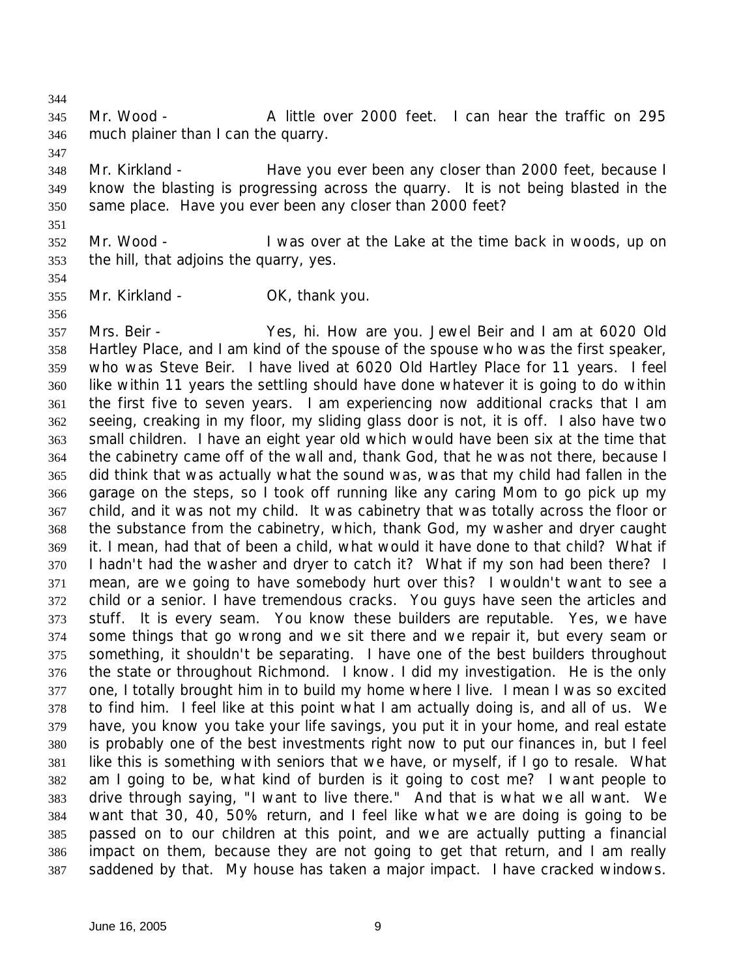Mr. Wood - A little over 2000 feet. I can hear the traffic on 295 much plainer than I can the quarry.

 Mr. Kirkland - Have you ever been any closer than 2000 feet, because I know the blasting is progressing across the quarry. It is not being blasted in the same place. Have you ever been any closer than 2000 feet?

 Mr. Wood - I was over at the Lake at the time back in woods, up on the hill, that adjoins the quarry, yes.

Mr. Kirkland - OK, thank you.

 Mrs. Beir - Yes, hi. How are you. Jewel Beir and I am at 6020 Old Hartley Place, and I am kind of the spouse of the spouse who was the first speaker, who was Steve Beir. I have lived at 6020 Old Hartley Place for 11 years. I feel like within 11 years the settling should have done whatever it is going to do within the first five to seven years. I am experiencing now additional cracks that I am seeing, creaking in my floor, my sliding glass door is not, it is off. I also have two small children. I have an eight year old which would have been six at the time that the cabinetry came off of the wall and, thank God, that he was not there, because I did think that was actually what the sound was, was that my child had fallen in the garage on the steps, so I took off running like any caring Mom to go pick up my child, and it was not my child. It was cabinetry that was totally across the floor or the substance from the cabinetry, which, thank God, my washer and dryer caught it. I mean, had that of been a child, what would it have done to that child? What if I hadn't had the washer and dryer to catch it? What if my son had been there? I mean, are we going to have somebody hurt over this? I wouldn't want to see a child or a senior. I have tremendous cracks. You guys have seen the articles and stuff. It is every seam. You know these builders are reputable. Yes, we have some things that go wrong and we sit there and we repair it, but every seam or something, it shouldn't be separating. I have one of the best builders throughout the state or throughout Richmond. I know. I did my investigation. He is the only one, I totally brought him in to build my home where I live. I mean I was so excited to find him. I feel like at this point what I am actually doing is, and all of us. We have, you know you take your life savings, you put it in your home, and real estate is probably one of the best investments right now to put our finances in, but I feel like this is something with seniors that we have, or myself, if I go to resale. What am I going to be, what kind of burden is it going to cost me? I want people to drive through saying, "I want to live there." And that is what we all want. We want that 30, 40, 50% return, and I feel like what we are doing is going to be passed on to our children at this point, and we are actually putting a financial impact on them, because they are not going to get that return, and I am really saddened by that. My house has taken a major impact. I have cracked windows.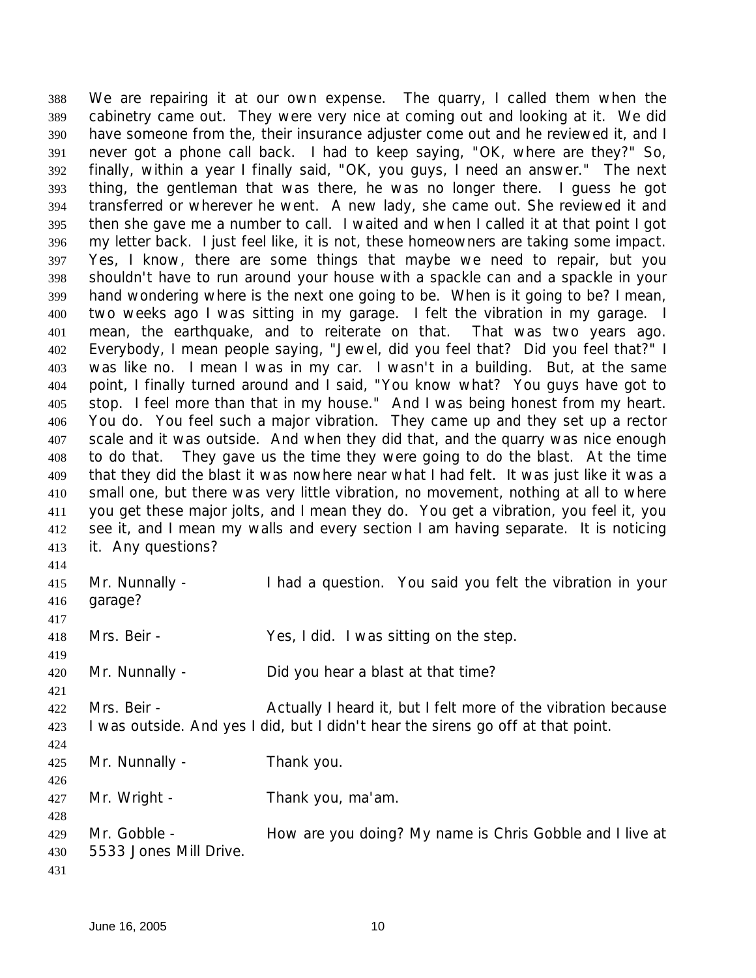We are repairing it at our own expense. The quarry, I called them when the cabinetry came out. They were very nice at coming out and looking at it. We did have someone from the, their insurance adjuster come out and he reviewed it, and I never got a phone call back. I had to keep saying, "OK, where are they?" So, finally, within a year I finally said, "OK, you guys, I need an answer." The next thing, the gentleman that was there, he was no longer there. I guess he got transferred or wherever he went. A new lady, she came out. She reviewed it and then she gave me a number to call. I waited and when I called it at that point I got my letter back. I just feel like, it is not, these homeowners are taking some impact. Yes, I know, there are some things that maybe we need to repair, but you shouldn't have to run around your house with a spackle can and a spackle in your hand wondering where is the next one going to be. When is it going to be? I mean, two weeks ago I was sitting in my garage. I felt the vibration in my garage. I mean, the earthquake, and to reiterate on that. That was two years ago. Everybody, I mean people saying, "Jewel, did you feel that? Did you feel that?" I was like no. I mean I was in my car. I wasn't in a building. But, at the same point, I finally turned around and I said, "You know what? You guys have got to stop. I feel more than that in my house." And I was being honest from my heart. You do. You feel such a major vibration. They came up and they set up a rector scale and it was outside. And when they did that, and the quarry was nice enough to do that. They gave us the time they were going to do the blast. At the time that they did the blast it was nowhere near what I had felt. It was just like it was a small one, but there was very little vibration, no movement, nothing at all to where you get these major jolts, and I mean they do. You get a vibration, you feel it, you 412 see it, and I mean my walls and every section I am having separate. It is noticing it. Any questions? Mr. Nunnally - I had a question. You said you felt the vibration in your garage? Mrs. Beir - Yes, I did. I was sitting on the step. 

Mr. Nunnally - Did you hear a blast at that time?

 Mrs. Beir - Actually I heard it, but I felt more of the vibration because I was outside. And yes I did, but I didn't hear the sirens go off at that point.

Mr. Nunnally - Thank you.

Mr. Wright - Thank you, ma'am.

429 Mr. Gobble - How are you doing? My name is Chris Gobble and I live at 5533 Jones Mill Drive.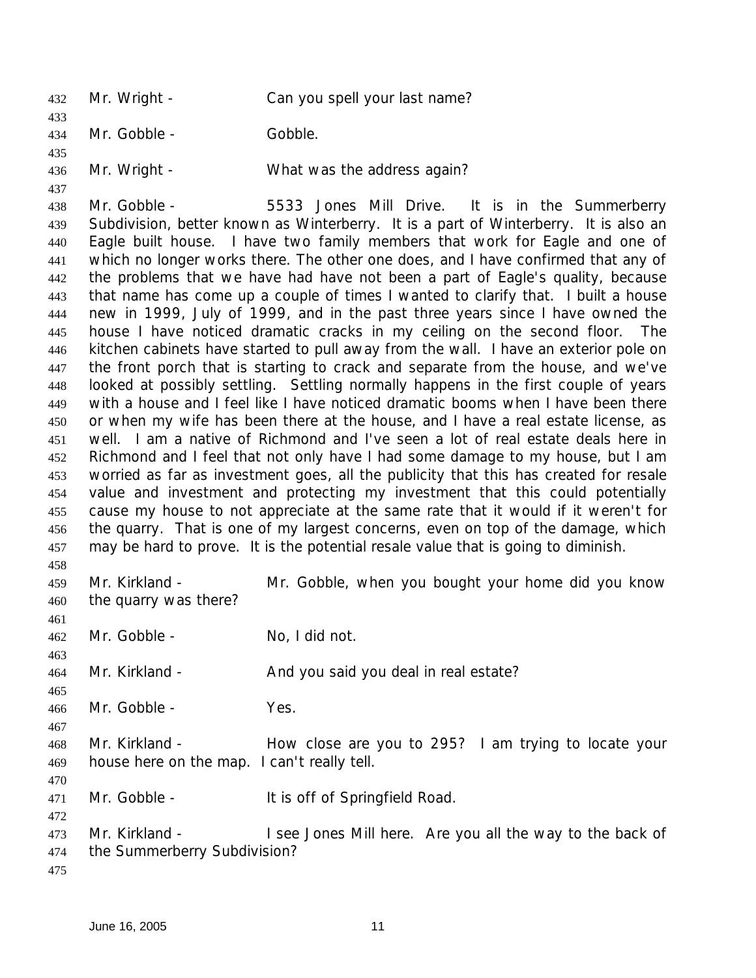432 Mr. Wright - Can you spell your last name? Mr. Gobble - Gobble. 436 Mr. Wright - What was the address again? Mr. Gobble - 5533 Jones Mill Drive. It is in the Summerberry Subdivision, better known as Winterberry. It is a part of Winterberry. It is also an Eagle built house. I have two family members that work for Eagle and one of which no longer works there. The other one does, and I have confirmed that any of the problems that we have had have not been a part of Eagle's quality, because that name has come up a couple of times I wanted to clarify that. I built a house new in 1999, July of 1999, and in the past three years since I have owned the house I have noticed dramatic cracks in my ceiling on the second floor. The kitchen cabinets have started to pull away from the wall. I have an exterior pole on the front porch that is starting to crack and separate from the house, and we've looked at possibly settling. Settling normally happens in the first couple of years with a house and I feel like I have noticed dramatic booms when I have been there or when my wife has been there at the house, and I have a real estate license, as well. I am a native of Richmond and I've seen a lot of real estate deals here in Richmond and I feel that not only have I had some damage to my house, but I am worried as far as investment goes, all the publicity that this has created for resale value and investment and protecting my investment that this could potentially cause my house to not appreciate at the same rate that it would if it weren't for the quarry. That is one of my largest concerns, even on top of the damage, which may be hard to prove. It is the potential resale value that is going to diminish. Mr. Kirkland - Mr. Gobble, when you bought your home did you know the quarry was there? Mr. Gobble - No, I did not. 464 Mr. Kirkland - And you said you deal in real estate? Mr. Gobble - Yes. Mr. Kirkland - How close are you to 295? I am trying to locate your house here on the map. I can't really tell. Mr. Gobble - It is off of Springfield Road. Mr. Kirkland - I see Jones Mill here. Are you all the way to the back of the Summerberry Subdivision?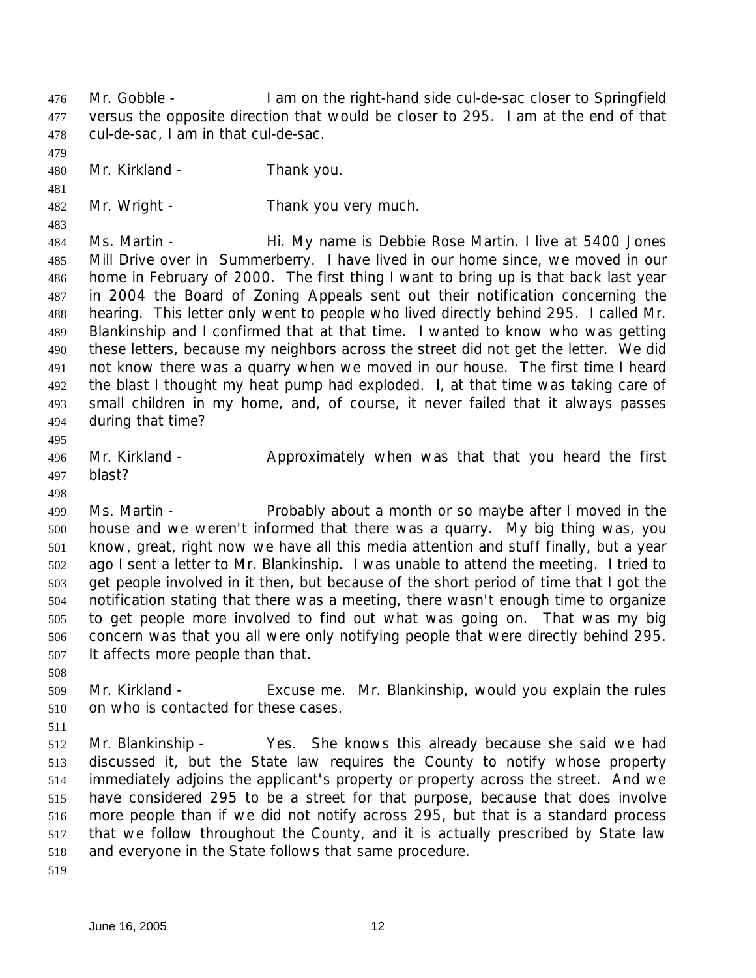Mr. Gobble - I am on the right-hand side cul-de-sac closer to Springfield versus the opposite direction that would be closer to 295. I am at the end of that cul-de-sac, I am in that cul-de-sac.

Mr. Kirkland - Thank you.

Mr. Wright - Thank you very much.

 Ms. Martin - Hi. My name is Debbie Rose Martin. I live at 5400 Jones Mill Drive over in Summerberry. I have lived in our home since, we moved in our home in February of 2000. The first thing I want to bring up is that back last year in 2004 the Board of Zoning Appeals sent out their notification concerning the hearing. This letter only went to people who lived directly behind 295. I called Mr. Blankinship and I confirmed that at that time. I wanted to know who was getting these letters, because my neighbors across the street did not get the letter. We did not know there was a quarry when we moved in our house. The first time I heard the blast I thought my heat pump had exploded. I, at that time was taking care of small children in my home, and, of course, it never failed that it always passes during that time?

496 Mr. Kirkland - Approximately when was that that you heard the first blast?

 Ms. Martin - Probably about a month or so maybe after I moved in the house and we weren't informed that there was a quarry. My big thing was, you know, great, right now we have all this media attention and stuff finally, but a year ago I sent a letter to Mr. Blankinship. I was unable to attend the meeting. I tried to get people involved in it then, but because of the short period of time that I got the notification stating that there was a meeting, there wasn't enough time to organize to get people more involved to find out what was going on. That was my big concern was that you all were only notifying people that were directly behind 295. It affects more people than that.

 Mr. Kirkland - Excuse me. Mr. Blankinship, would you explain the rules on who is contacted for these cases.

 Mr. Blankinship - Yes. She knows this already because she said we had discussed it, but the State law requires the County to notify whose property immediately adjoins the applicant's property or property across the street. And we have considered 295 to be a street for that purpose, because that does involve more people than if we did not notify across 295, but that is a standard process that we follow throughout the County, and it is actually prescribed by State law and everyone in the State follows that same procedure.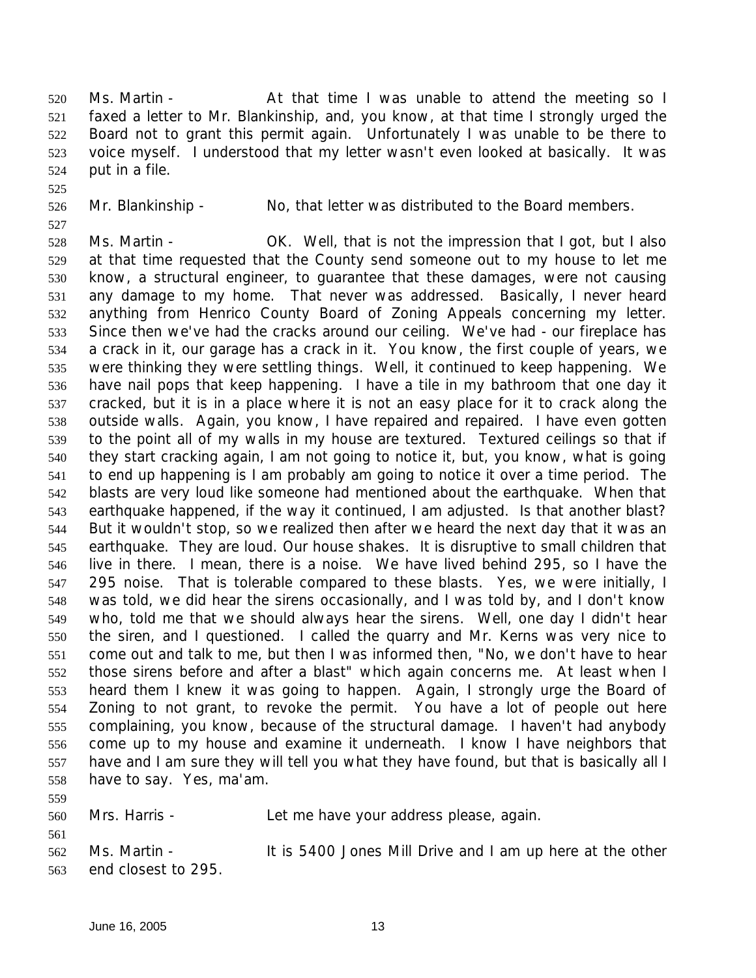Ms. Martin - At that time I was unable to attend the meeting so I faxed a letter to Mr. Blankinship, and, you know, at that time I strongly urged the Board not to grant this permit again. Unfortunately I was unable to be there to voice myself. I understood that my letter wasn't even looked at basically. It was put in a file.

- 
- 

Mr. Blankinship - No, that letter was distributed to the Board members.

 Ms. Martin - OK. Well, that is not the impression that I got, but I also at that time requested that the County send someone out to my house to let me know, a structural engineer, to guarantee that these damages, were not causing any damage to my home. That never was addressed. Basically, I never heard anything from Henrico County Board of Zoning Appeals concerning my letter. Since then we've had the cracks around our ceiling. We've had - our fireplace has a crack in it, our garage has a crack in it. You know, the first couple of years, we were thinking they were settling things. Well, it continued to keep happening. We have nail pops that keep happening. I have a tile in my bathroom that one day it cracked, but it is in a place where it is not an easy place for it to crack along the outside walls. Again, you know, I have repaired and repaired. I have even gotten to the point all of my walls in my house are textured. Textured ceilings so that if they start cracking again, I am not going to notice it, but, you know, what is going to end up happening is I am probably am going to notice it over a time period. The blasts are very loud like someone had mentioned about the earthquake. When that earthquake happened, if the way it continued, I am adjusted. Is that another blast? But it wouldn't stop, so we realized then after we heard the next day that it was an earthquake. They are loud. Our house shakes. It is disruptive to small children that live in there. I mean, there is a noise. We have lived behind 295, so I have the 295 noise. That is tolerable compared to these blasts. Yes, we were initially, I was told, we did hear the sirens occasionally, and I was told by, and I don't know who, told me that we should always hear the sirens. Well, one day I didn't hear the siren, and I questioned. I called the quarry and Mr. Kerns was very nice to come out and talk to me, but then I was informed then, "No, we don't have to hear those sirens before and after a blast" which again concerns me. At least when I heard them I knew it was going to happen. Again, I strongly urge the Board of Zoning to not grant, to revoke the permit. You have a lot of people out here complaining, you know, because of the structural damage. I haven't had anybody come up to my house and examine it underneath. I know I have neighbors that have and I am sure they will tell you what they have found, but that is basically all I have to say. Yes, ma'am.

 Mrs. Harris - Let me have your address please, again. Ms. Martin - It is 5400 Jones Mill Drive and I am up here at the other end closest to 295.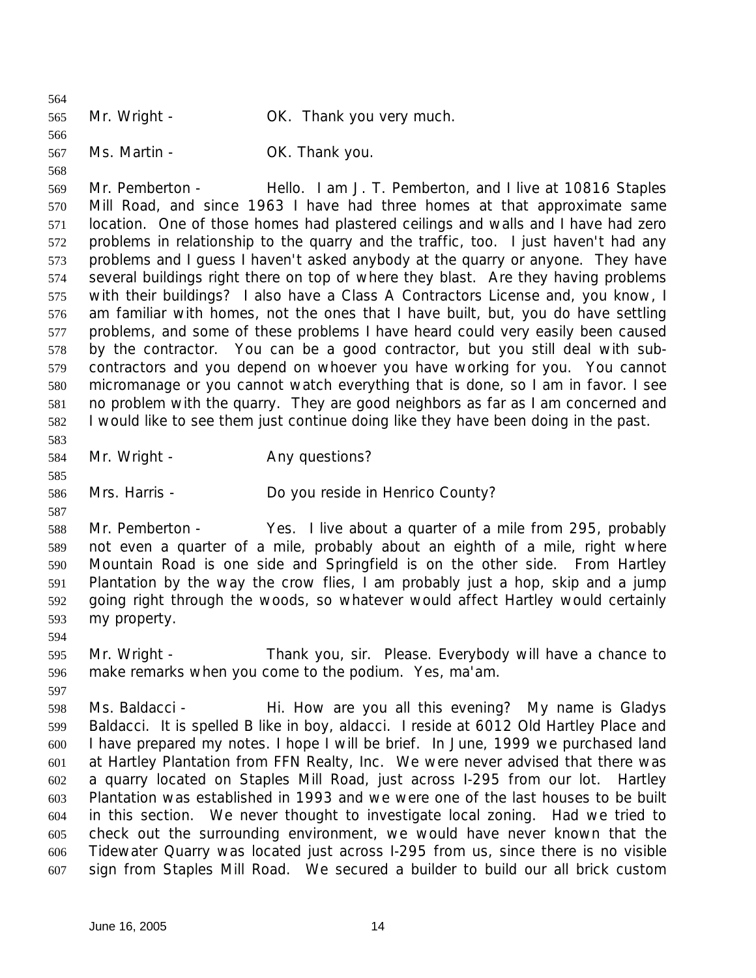Mr. Wright - OK. Thank you very much. Ms. Martin - OK. Thank you. Mr. Pemberton - Hello. I am J. T. Pemberton, and I live at 10816 Staples Mill Road, and since 1963 I have had three homes at that approximate same location. One of those homes had plastered ceilings and walls and I have had zero problems in relationship to the quarry and the traffic, too. I just haven't had any problems and I guess I haven't asked anybody at the quarry or anyone. They have several buildings right there on top of where they blast. Are they having problems with their buildings? I also have a Class A Contractors License and, you know, I am familiar with homes, not the ones that I have built, but, you do have settling problems, and some of these problems I have heard could very easily been caused by the contractor. You can be a good contractor, but you still deal with sub- contractors and you depend on whoever you have working for you. You cannot micromanage or you cannot watch everything that is done, so I am in favor. I see no problem with the quarry. They are good neighbors as far as I am concerned and I would like to see them just continue doing like they have been doing in the past. 584 Mr. Wright - Any questions? Mrs. Harris - Do you reside in Henrico County? Mr. Pemberton - Yes. I live about a quarter of a mile from 295, probably not even a quarter of a mile, probably about an eighth of a mile, right where Mountain Road is one side and Springfield is on the other side. From Hartley Plantation by the way the crow flies, I am probably just a hop, skip and a jump going right through the woods, so whatever would affect Hartley would certainly my property. Mr. Wright - Thank you, sir. Please. Everybody will have a chance to make remarks when you come to the podium. Yes, ma'am. Ms. Baldacci - Hi. How are you all this evening? My name is Gladys Baldacci. It is spelled B like in boy, aldacci. I reside at 6012 Old Hartley Place and I have prepared my notes. I hope I will be brief. In June, 1999 we purchased land at Hartley Plantation from FFN Realty, Inc. We were never advised that there was a quarry located on Staples Mill Road, just across I-295 from our lot. Hartley Plantation was established in 1993 and we were one of the last houses to be built in this section. We never thought to investigate local zoning. Had we tried to check out the surrounding environment, we would have never known that the Tidewater Quarry was located just across I-295 from us, since there is no visible sign from Staples Mill Road. We secured a builder to build our all brick custom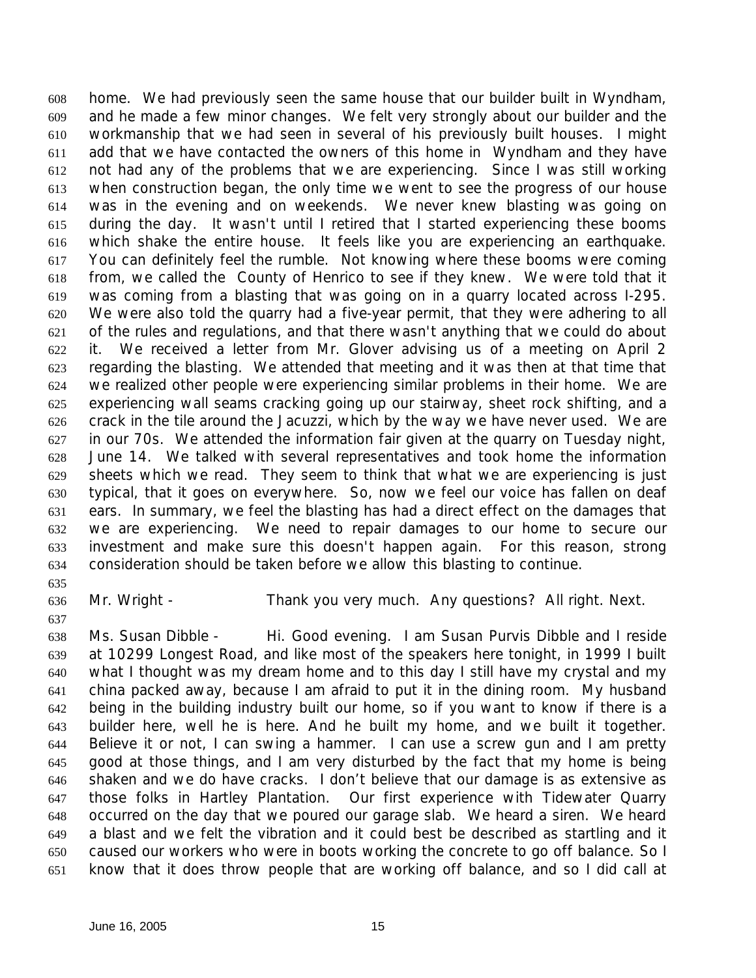home. We had previously seen the same house that our builder built in Wyndham, and he made a few minor changes. We felt very strongly about our builder and the workmanship that we had seen in several of his previously built houses. I might add that we have contacted the owners of this home in Wyndham and they have not had any of the problems that we are experiencing. Since I was still working when construction began, the only time we went to see the progress of our house was in the evening and on weekends. We never knew blasting was going on during the day. It wasn't until I retired that I started experiencing these booms which shake the entire house. It feels like you are experiencing an earthquake. You can definitely feel the rumble. Not knowing where these booms were coming from, we called the County of Henrico to see if they knew. We were told that it was coming from a blasting that was going on in a quarry located across I-295. We were also told the quarry had a five-year permit, that they were adhering to all of the rules and regulations, and that there wasn't anything that we could do about it. We received a letter from Mr. Glover advising us of a meeting on April 2 regarding the blasting. We attended that meeting and it was then at that time that we realized other people were experiencing similar problems in their home. We are experiencing wall seams cracking going up our stairway, sheet rock shifting, and a crack in the tile around the Jacuzzi, which by the way we have never used. We are in our 70s. We attended the information fair given at the quarry on Tuesday night, June 14. We talked with several representatives and took home the information sheets which we read. They seem to think that what we are experiencing is just typical, that it goes on everywhere. So, now we feel our voice has fallen on deaf ears. In summary, we feel the blasting has had a direct effect on the damages that we are experiencing. We need to repair damages to our home to secure our investment and make sure this doesn't happen again. For this reason, strong consideration should be taken before we allow this blasting to continue.

Mr. Wright - Thank you very much. Any questions? All right. Next.

 Ms. Susan Dibble - Hi. Good evening. I am Susan Purvis Dibble and I reside at 10299 Longest Road, and like most of the speakers here tonight, in 1999 I built what I thought was my dream home and to this day I still have my crystal and my china packed away, because I am afraid to put it in the dining room. My husband being in the building industry built our home, so if you want to know if there is a builder here, well he is here. And he built my home, and we built it together. Believe it or not, I can swing a hammer. I can use a screw gun and I am pretty good at those things, and I am very disturbed by the fact that my home is being shaken and we do have cracks. I don't believe that our damage is as extensive as those folks in Hartley Plantation. Our first experience with Tidewater Quarry occurred on the day that we poured our garage slab. We heard a siren. We heard a blast and we felt the vibration and it could best be described as startling and it caused our workers who were in boots working the concrete to go off balance. So I know that it does throw people that are working off balance, and so I did call at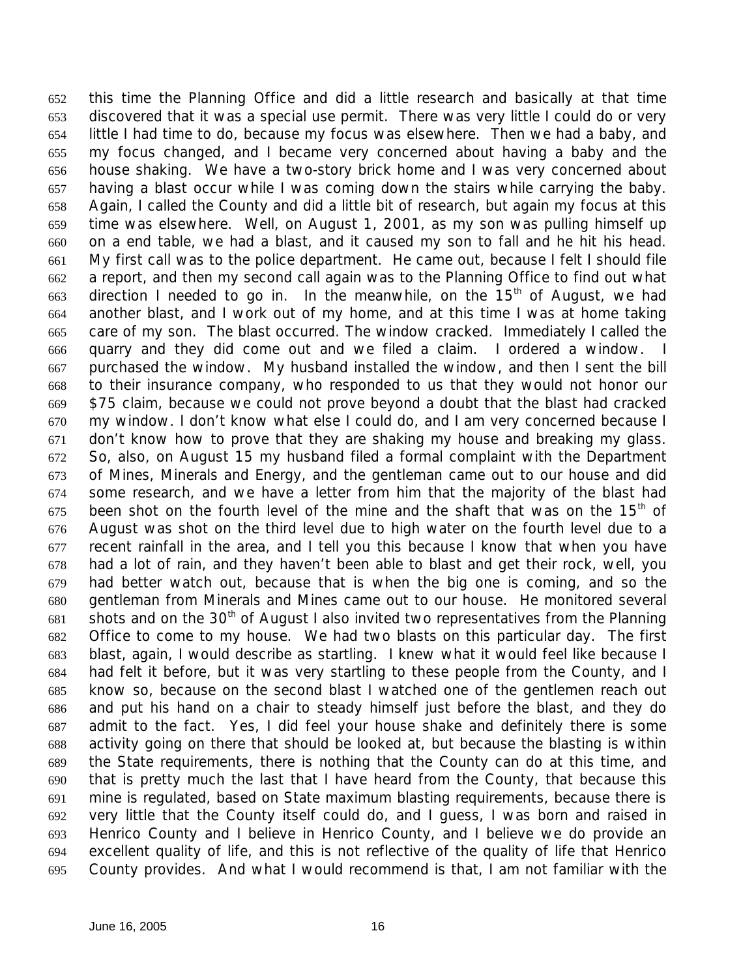this time the Planning Office and did a little research and basically at that time discovered that it was a special use permit. There was very little I could do or very little I had time to do, because my focus was elsewhere. Then we had a baby, and my focus changed, and I became very concerned about having a baby and the house shaking. We have a two-story brick home and I was very concerned about having a blast occur while I was coming down the stairs while carrying the baby. Again, I called the County and did a little bit of research, but again my focus at this time was elsewhere. Well, on August 1, 2001, as my son was pulling himself up on a end table, we had a blast, and it caused my son to fall and he hit his head. My first call was to the police department. He came out, because I felt I should file a report, and then my second call again was to the Planning Office to find out what 663 direction I needed to go in. In the meanwhile, on the  $15<sup>th</sup>$  of August, we had another blast, and I work out of my home, and at this time I was at home taking care of my son. The blast occurred. The window cracked. Immediately I called the quarry and they did come out and we filed a claim. I ordered a window. I purchased the window. My husband installed the window, and then I sent the bill to their insurance company, who responded to us that they would not honor our \$75 claim, because we could not prove beyond a doubt that the blast had cracked my window. I don't know what else I could do, and I am very concerned because I don't know how to prove that they are shaking my house and breaking my glass. So, also, on August 15 my husband filed a formal complaint with the Department of Mines, Minerals and Energy, and the gentleman came out to our house and did some research, and we have a letter from him that the majority of the blast had 675 been shot on the fourth level of the mine and the shaft that was on the  $15<sup>th</sup>$  of August was shot on the third level due to high water on the fourth level due to a recent rainfall in the area, and I tell you this because I know that when you have had a lot of rain, and they haven't been able to blast and get their rock, well, you had better watch out, because that is when the big one is coming, and so the gentleman from Minerals and Mines came out to our house. He monitored several 681 shots and on the 30<sup>th</sup> of August I also invited two representatives from the Planning Office to come to my house. We had two blasts on this particular day. The first blast, again, I would describe as startling. I knew what it would feel like because I had felt it before, but it was very startling to these people from the County, and I know so, because on the second blast I watched one of the gentlemen reach out and put his hand on a chair to steady himself just before the blast, and they do admit to the fact. Yes, I did feel your house shake and definitely there is some activity going on there that should be looked at, but because the blasting is within the State requirements, there is nothing that the County can do at this time, and that is pretty much the last that I have heard from the County, that because this mine is regulated, based on State maximum blasting requirements, because there is very little that the County itself could do, and I guess, I was born and raised in Henrico County and I believe in Henrico County, and I believe we do provide an excellent quality of life, and this is not reflective of the quality of life that Henrico County provides. And what I would recommend is that, I am not familiar with the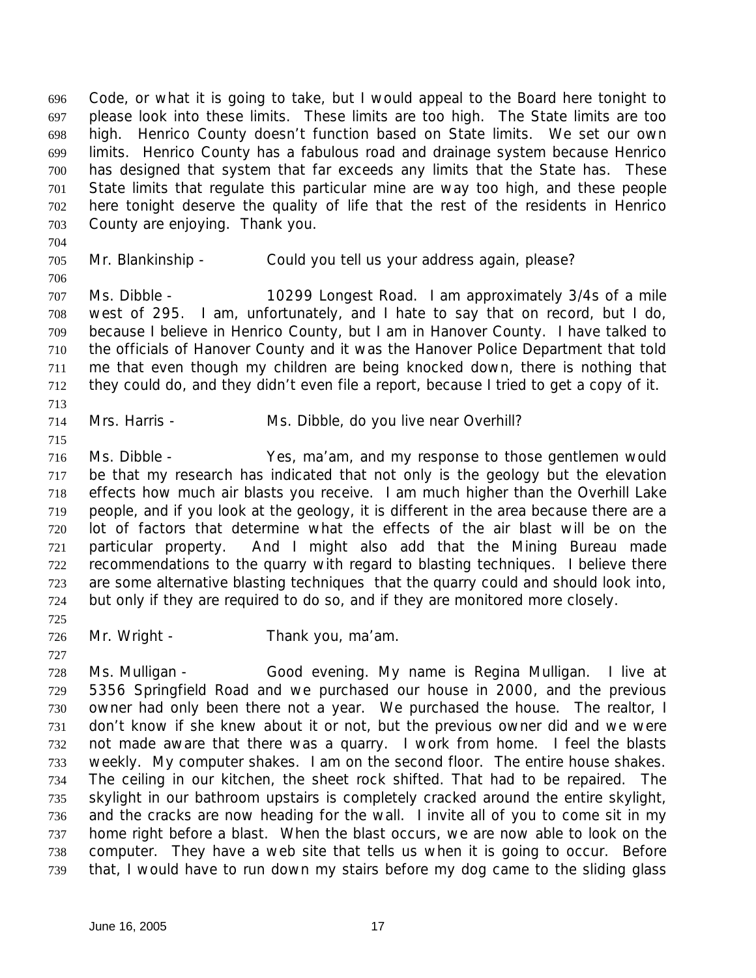Code, or what it is going to take, but I would appeal to the Board here tonight to please look into these limits. These limits are too high. The State limits are too high. Henrico County doesn't function based on State limits. We set our own limits. Henrico County has a fabulous road and drainage system because Henrico has designed that system that far exceeds any limits that the State has. These State limits that regulate this particular mine are way too high, and these people here tonight deserve the quality of life that the rest of the residents in Henrico County are enjoying. Thank you.

 

Mr. Blankinship - Could you tell us your address again, please?

 Ms. Dibble - 10299 Longest Road. I am approximately 3/4s of a mile west of 295. I am, unfortunately, and I hate to say that on record, but I do, because I believe in Henrico County, but I am in Hanover County. I have talked to the officials of Hanover County and it was the Hanover Police Department that told me that even though my children are being knocked down, there is nothing that they could do, and they didn't even file a report, because I tried to get a copy of it. 

Mrs. Harris - Ms. Dibble, do you live near Overhill?

 Ms. Dibble - Yes, ma'am, and my response to those gentlemen would be that my research has indicated that not only is the geology but the elevation effects how much air blasts you receive. I am much higher than the Overhill Lake people, and if you look at the geology, it is different in the area because there are a lot of factors that determine what the effects of the air blast will be on the particular property. And I might also add that the Mining Bureau made recommendations to the quarry with regard to blasting techniques. I believe there are some alternative blasting techniques that the quarry could and should look into, but only if they are required to do so, and if they are monitored more closely.

Mr. Wright - Thank you, ma'am.

 Ms. Mulligan - Good evening. My name is Regina Mulligan. I live at 5356 Springfield Road and we purchased our house in 2000, and the previous owner had only been there not a year. We purchased the house. The realtor, I don't know if she knew about it or not, but the previous owner did and we were not made aware that there was a quarry. I work from home. I feel the blasts weekly. My computer shakes. I am on the second floor. The entire house shakes. The ceiling in our kitchen, the sheet rock shifted. That had to be repaired. The skylight in our bathroom upstairs is completely cracked around the entire skylight, and the cracks are now heading for the wall. I invite all of you to come sit in my home right before a blast. When the blast occurs, we are now able to look on the computer. They have a web site that tells us when it is going to occur. Before that, I would have to run down my stairs before my dog came to the sliding glass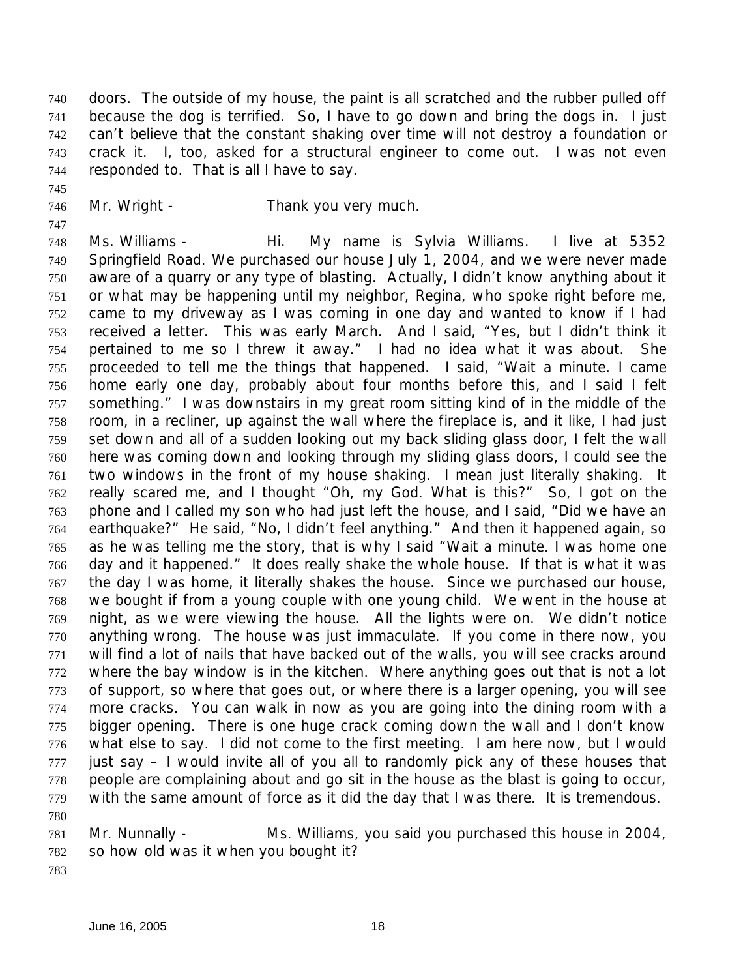doors. The outside of my house, the paint is all scratched and the rubber pulled off because the dog is terrified. So, I have to go down and bring the dogs in. I just can't believe that the constant shaking over time will not destroy a foundation or crack it. I, too, asked for a structural engineer to come out. I was not even responded to. That is all I have to say.

- 
- 746 Mr. Wright Thank you very much.

 Ms. Williams - Hi. My name is Sylvia Williams. I live at 5352 Springfield Road. We purchased our house July 1, 2004, and we were never made aware of a quarry or any type of blasting. Actually, I didn't know anything about it or what may be happening until my neighbor, Regina, who spoke right before me, came to my driveway as I was coming in one day and wanted to know if I had received a letter. This was early March. And I said, "Yes, but I didn't think it pertained to me so I threw it away." I had no idea what it was about. She proceeded to tell me the things that happened. I said, "Wait a minute. I came home early one day, probably about four months before this, and I said I felt something." I was downstairs in my great room sitting kind of in the middle of the room, in a recliner, up against the wall where the fireplace is, and it like, I had just set down and all of a sudden looking out my back sliding glass door, I felt the wall here was coming down and looking through my sliding glass doors, I could see the two windows in the front of my house shaking. I mean just literally shaking. It really scared me, and I thought "Oh, my God. What is this?" So, I got on the phone and I called my son who had just left the house, and I said, "Did we have an earthquake?" He said, "No, I didn't feel anything." And then it happened again, so as he was telling me the story, that is why I said "Wait a minute. I was home one day and it happened." It does really shake the whole house. If that is what it was the day I was home, it literally shakes the house. Since we purchased our house, we bought if from a young couple with one young child. We went in the house at night, as we were viewing the house. All the lights were on. We didn't notice anything wrong. The house was just immaculate. If you come in there now, you will find a lot of nails that have backed out of the walls, you will see cracks around where the bay window is in the kitchen. Where anything goes out that is not a lot of support, so where that goes out, or where there is a larger opening, you will see more cracks. You can walk in now as you are going into the dining room with a bigger opening. There is one huge crack coming down the wall and I don't know what else to say. I did not come to the first meeting. I am here now, but I would just say  $-1$  would invite all of you all to randomly pick any of these houses that people are complaining about and go sit in the house as the blast is going to occur, with the same amount of force as it did the day that I was there. It is tremendous.

- Mr. Nunnally Ms. Williams, you said you purchased this house in 2004, so how old was it when you bought it?
-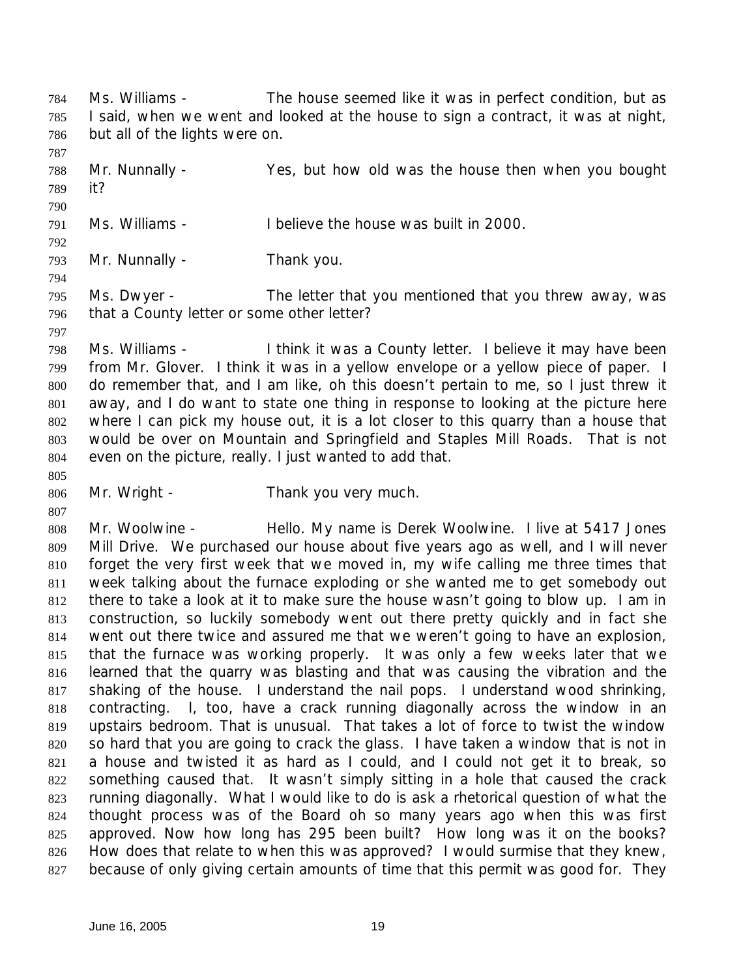Ms. Williams - The house seemed like it was in perfect condition, but as I said, when we went and looked at the house to sign a contract, it was at night, but all of the lights were on.

 Mr. Nunnally - Yes, but how old was the house then when you bought it? 

Ms. Williams - I believe the house was built in 2000.

Mr. Nunnally - Thank you.

 Ms. Dwyer - The letter that you mentioned that you threw away, was that a County letter or some other letter?

 Ms. Williams - I think it was a County letter. I believe it may have been from Mr. Glover. I think it was in a yellow envelope or a yellow piece of paper. I do remember that, and I am like, oh this doesn't pertain to me, so I just threw it away, and I do want to state one thing in response to looking at the picture here where I can pick my house out, it is a lot closer to this quarry than a house that would be over on Mountain and Springfield and Staples Mill Roads. That is not even on the picture, really. I just wanted to add that.

Mr. Wright - Thank you very much.

 Mr. Woolwine - Hello. My name is Derek Woolwine. I live at 5417 Jones Mill Drive. We purchased our house about five years ago as well, and I will never forget the very first week that we moved in, my wife calling me three times that week talking about the furnace exploding or she wanted me to get somebody out there to take a look at it to make sure the house wasn't going to blow up. I am in construction, so luckily somebody went out there pretty quickly and in fact she went out there twice and assured me that we weren't going to have an explosion, that the furnace was working properly. It was only a few weeks later that we learned that the quarry was blasting and that was causing the vibration and the shaking of the house. I understand the nail pops. I understand wood shrinking, contracting. I, too, have a crack running diagonally across the window in an upstairs bedroom. That is unusual. That takes a lot of force to twist the window so hard that you are going to crack the glass. I have taken a window that is not in a house and twisted it as hard as I could, and I could not get it to break, so something caused that. It wasn't simply sitting in a hole that caused the crack running diagonally. What I would like to do is ask a rhetorical question of what the thought process was of the Board oh so many years ago when this was first approved. Now how long has 295 been built? How long was it on the books? How does that relate to when this was approved? I would surmise that they knew, because of only giving certain amounts of time that this permit was good for. They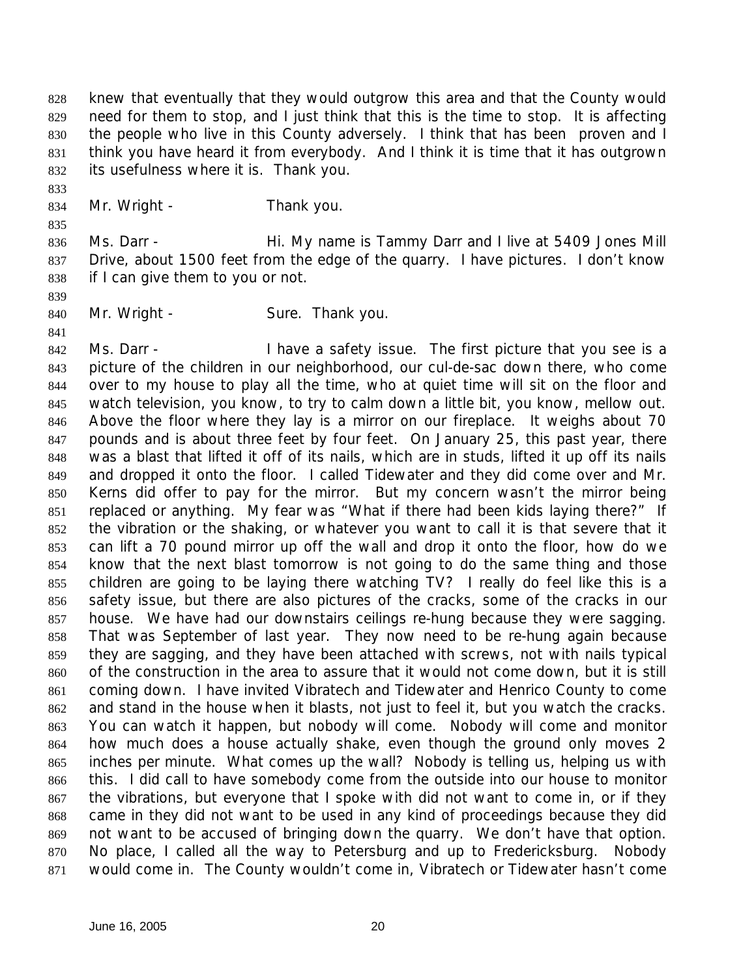knew that eventually that they would outgrow this area and that the County would need for them to stop, and I just think that this is the time to stop. It is affecting the people who live in this County adversely. I think that has been proven and I think you have heard it from everybody. And I think it is time that it has outgrown its usefulness where it is. Thank you.

834 Mr. Wright - Thank you.

- 836 Ms. Darr Hi. My name is Tammy Darr and I live at 5409 Jones Mill Drive, about 1500 feet from the edge of the quarry. I have pictures. I don't know if I can give them to you or not.
- 
- 
- 840 Mr. Wright Sure. Thank you.

842 Ms. Darr - I have a safety issue. The first picture that you see is a picture of the children in our neighborhood, our cul-de-sac down there, who come over to my house to play all the time, who at quiet time will sit on the floor and watch television, you know, to try to calm down a little bit, you know, mellow out. Above the floor where they lay is a mirror on our fireplace. It weighs about 70 pounds and is about three feet by four feet. On January 25, this past year, there was a blast that lifted it off of its nails, which are in studs, lifted it up off its nails and dropped it onto the floor. I called Tidewater and they did come over and Mr. Kerns did offer to pay for the mirror. But my concern wasn't the mirror being replaced or anything. My fear was "What if there had been kids laying there?" If the vibration or the shaking, or whatever you want to call it is that severe that it can lift a 70 pound mirror up off the wall and drop it onto the floor, how do we know that the next blast tomorrow is not going to do the same thing and those children are going to be laying there watching TV? I really do feel like this is a safety issue, but there are also pictures of the cracks, some of the cracks in our house. We have had our downstairs ceilings re-hung because they were sagging. That was September of last year. They now need to be re-hung again because they are sagging, and they have been attached with screws, not with nails typical of the construction in the area to assure that it would not come down, but it is still coming down. I have invited Vibratech and Tidewater and Henrico County to come and stand in the house when it blasts, not just to feel it, but you watch the cracks. You can watch it happen, but nobody will come. Nobody will come and monitor how much does a house actually shake, even though the ground only moves 2 inches per minute. What comes up the wall? Nobody is telling us, helping us with this. I did call to have somebody come from the outside into our house to monitor the vibrations, but everyone that I spoke with did not want to come in, or if they came in they did not want to be used in any kind of proceedings because they did not want to be accused of bringing down the quarry. We don't have that option. No place, I called all the way to Petersburg and up to Fredericksburg. Nobody would come in. The County wouldn't come in, Vibratech or Tidewater hasn't come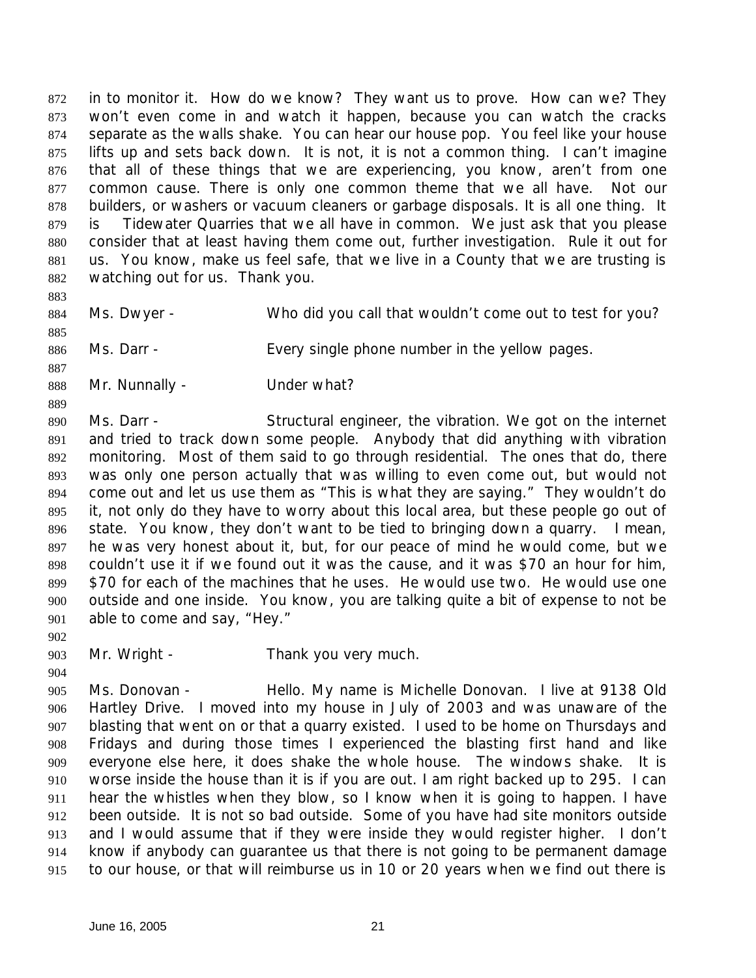in to monitor it. How do we know? They want us to prove. How can we? They won't even come in and watch it happen, because you can watch the cracks separate as the walls shake. You can hear our house pop. You feel like your house lifts up and sets back down. It is not, it is not a common thing. I can't imagine that all of these things that we are experiencing, you know, aren't from one 877 common cause. There is only one common theme that we all have. Not our builders, or washers or vacuum cleaners or garbage disposals. It is all one thing. It is Tidewater Quarries that we all have in common. We just ask that you please consider that at least having them come out, further investigation. Rule it out for us. You know, make us feel safe, that we live in a County that we are trusting is watching out for us. Thank you.

- 
- 

Ms. Dwyer - Who did you call that wouldn't come out to test for you?

- 886 Ms. Darr - Every single phone number in the yellow pages.
- 

888 Mr. Nunnally - Under what?

 Ms. Darr - Structural engineer, the vibration. We got on the internet and tried to track down some people. Anybody that did anything with vibration monitoring. Most of them said to go through residential. The ones that do, there was only one person actually that was willing to even come out, but would not come out and let us use them as "This is what they are saying." They wouldn't do it, not only do they have to worry about this local area, but these people go out of state. You know, they don't want to be tied to bringing down a quarry. I mean, he was very honest about it, but, for our peace of mind he would come, but we couldn't use it if we found out it was the cause, and it was \$70 an hour for him, \$70 for each of the machines that he uses. He would use two. He would use one outside and one inside. You know, you are talking quite a bit of expense to not be able to come and say, "Hey."

- 
- Mr. Wright Thank you very much.
- 

 Ms. Donovan - Hello. My name is Michelle Donovan. I live at 9138 Old Hartley Drive. I moved into my house in July of 2003 and was unaware of the blasting that went on or that a quarry existed. I used to be home on Thursdays and Fridays and during those times I experienced the blasting first hand and like everyone else here, it does shake the whole house. The windows shake. It is worse inside the house than it is if you are out. I am right backed up to 295. I can hear the whistles when they blow, so I know when it is going to happen. I have been outside. It is not so bad outside. Some of you have had site monitors outside and I would assume that if they were inside they would register higher. I don't know if anybody can guarantee us that there is not going to be permanent damage to our house, or that will reimburse us in 10 or 20 years when we find out there is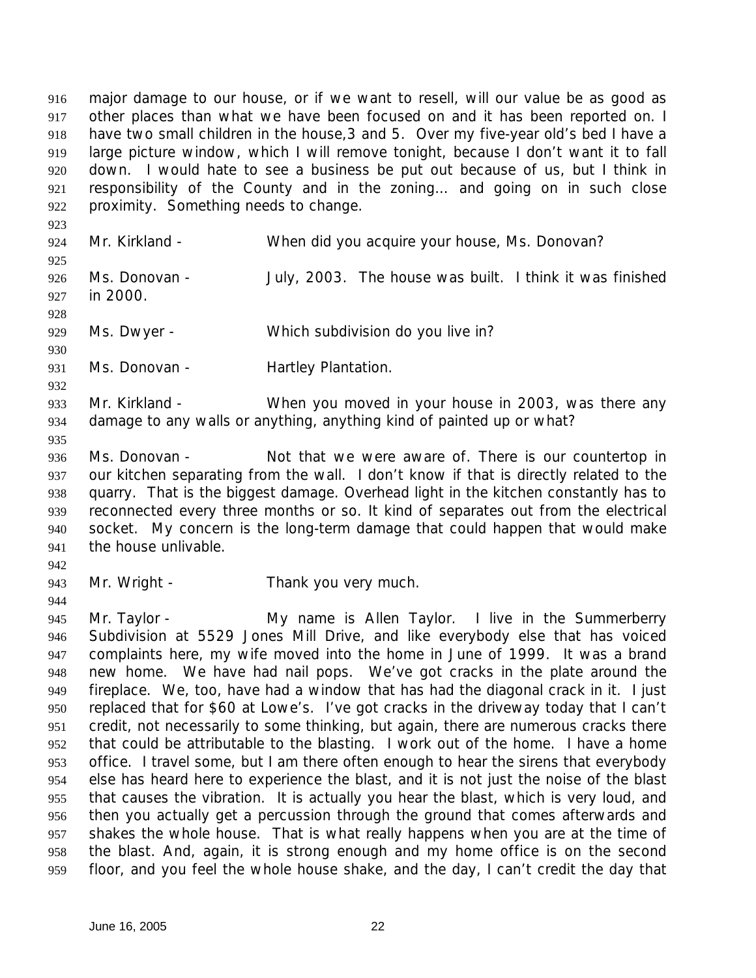major damage to our house, or if we want to resell, will our value be as good as other places than what we have been focused on and it has been reported on. I have two small children in the house,3 and 5. Over my five-year old's bed I have a large picture window, which I will remove tonight, because I don't want it to fall down. I would hate to see a business be put out because of us, but I think in responsibility of the County and in the zoning… and going on in such close proximity. Something needs to change.

 Mr. Kirkland - When did you acquire your house, Ms. Donovan? 

 Ms. Donovan - July, 2003. The house was built. I think it was finished in 2000. 

Ms. Dwyer - Which subdivision do you live in?

 931 Ms. Donovan - Hartley Plantation.

 Mr. Kirkland - When you moved in your house in 2003, was there any damage to any walls or anything, anything kind of painted up or what?

 Ms. Donovan - Not that we were aware of. There is our countertop in our kitchen separating from the wall. I don't know if that is directly related to the quarry. That is the biggest damage. Overhead light in the kitchen constantly has to reconnected every three months or so. It kind of separates out from the electrical socket. My concern is the long-term damage that could happen that would make the house unlivable.

Mr. Wright - Thank you very much.

 Mr. Taylor - My name is Allen Taylor. I live in the Summerberry Subdivision at 5529 Jones Mill Drive, and like everybody else that has voiced complaints here, my wife moved into the home in June of 1999. It was a brand new home. We have had nail pops. We've got cracks in the plate around the fireplace. We, too, have had a window that has had the diagonal crack in it. I just replaced that for \$60 at Lowe's. I've got cracks in the driveway today that I can't credit, not necessarily to some thinking, but again, there are numerous cracks there that could be attributable to the blasting. I work out of the home. I have a home office. I travel some, but I am there often enough to hear the sirens that everybody else has heard here to experience the blast, and it is not just the noise of the blast that causes the vibration. It is actually you hear the blast, which is very loud, and then you actually get a percussion through the ground that comes afterwards and shakes the whole house. That is what really happens when you are at the time of the blast. And, again, it is strong enough and my home office is on the second floor, and you feel the whole house shake, and the day, I can't credit the day that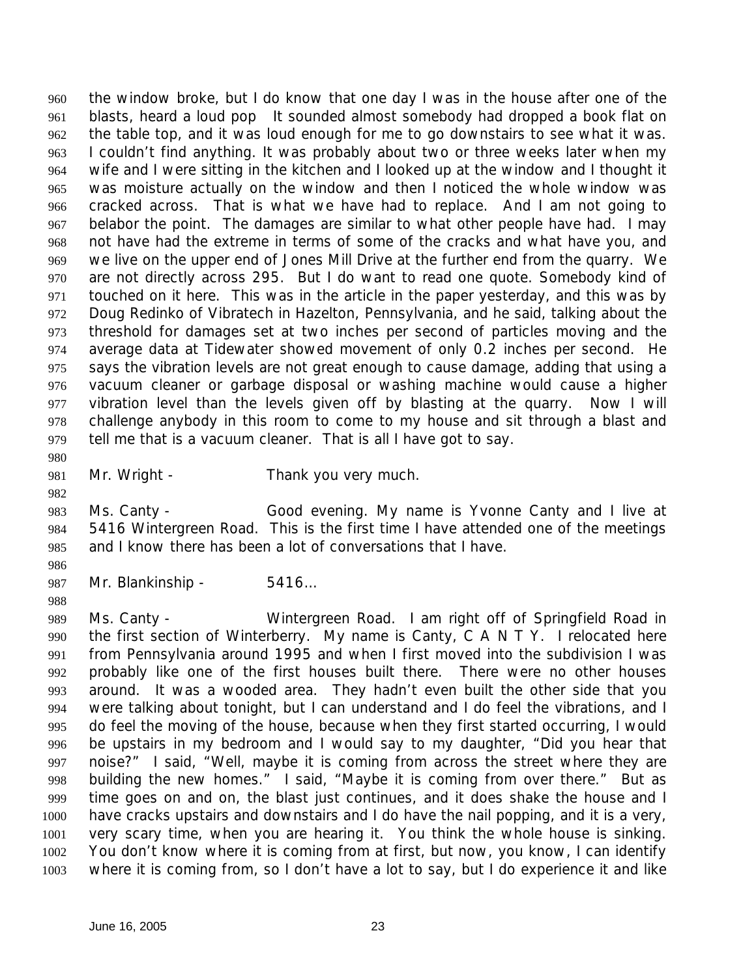the window broke, but I do know that one day I was in the house after one of the blasts, heard a loud pop It sounded almost somebody had dropped a book flat on the table top, and it was loud enough for me to go downstairs to see what it was. I couldn't find anything. It was probably about two or three weeks later when my wife and I were sitting in the kitchen and I looked up at the window and I thought it was moisture actually on the window and then I noticed the whole window was cracked across. That is what we have had to replace. And I am not going to belabor the point. The damages are similar to what other people have had. I may not have had the extreme in terms of some of the cracks and what have you, and we live on the upper end of Jones Mill Drive at the further end from the quarry. We are not directly across 295. But I do want to read one quote. Somebody kind of touched on it here. This was in the article in the paper yesterday, and this was by Doug Redinko of Vibratech in Hazelton, Pennsylvania, and he said, talking about the threshold for damages set at two inches per second of particles moving and the average data at Tidewater showed movement of only 0.2 inches per second. He says the vibration levels are not great enough to cause damage, adding that using a vacuum cleaner or garbage disposal or washing machine would cause a higher vibration level than the levels given off by blasting at the quarry. Now I will challenge anybody in this room to come to my house and sit through a blast and tell me that is a vacuum cleaner. That is all I have got to say.

- 981 Mr. Wright Thank you very much.
- Ms. Canty Good evening. My name is Yvonne Canty and I live at 5416 Wintergreen Road. This is the first time I have attended one of the meetings and I know there has been a lot of conversations that I have.
- 

Mr. Blankinship - 5416…

 Ms. Canty - Wintergreen Road. I am right off of Springfield Road in the first section of Winterberry. My name is Canty, C A N T Y. I relocated here from Pennsylvania around 1995 and when I first moved into the subdivision I was probably like one of the first houses built there. There were no other houses around. It was a wooded area. They hadn't even built the other side that you were talking about tonight, but I can understand and I do feel the vibrations, and I do feel the moving of the house, because when they first started occurring, I would be upstairs in my bedroom and I would say to my daughter, "Did you hear that noise?" I said, "Well, maybe it is coming from across the street where they are building the new homes." I said, "Maybe it is coming from over there." But as time goes on and on, the blast just continues, and it does shake the house and I have cracks upstairs and downstairs and I do have the nail popping, and it is a very, very scary time, when you are hearing it. You think the whole house is sinking. You don't know where it is coming from at first, but now, you know, I can identify where it is coming from, so I don't have a lot to say, but I do experience it and like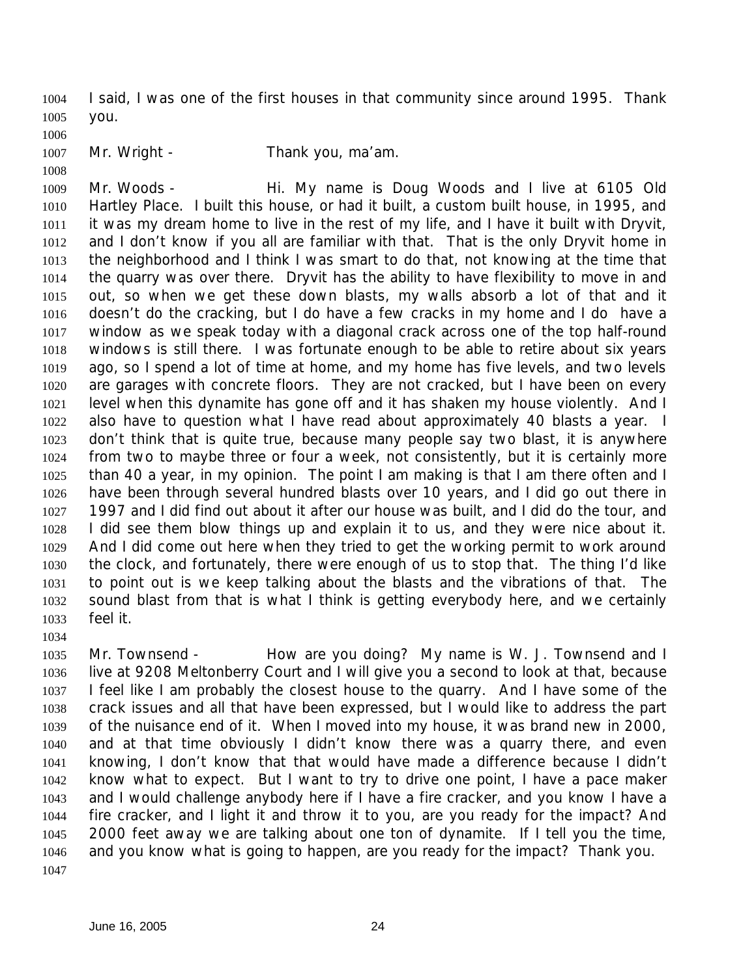I said, I was one of the first houses in that community since around 1995. Thank you.

1007 Mr. Wright - Thank you, ma'am.

 Mr. Woods - Hi. My name is Doug Woods and I live at 6105 Old Hartley Place. I built this house, or had it built, a custom built house, in 1995, and it was my dream home to live in the rest of my life, and I have it built with Dryvit, and I don't know if you all are familiar with that. That is the only Dryvit home in the neighborhood and I think I was smart to do that, not knowing at the time that the quarry was over there. Dryvit has the ability to have flexibility to move in and out, so when we get these down blasts, my walls absorb a lot of that and it doesn't do the cracking, but I do have a few cracks in my home and I do have a window as we speak today with a diagonal crack across one of the top half-round windows is still there. I was fortunate enough to be able to retire about six years ago, so I spend a lot of time at home, and my home has five levels, and two levels are garages with concrete floors. They are not cracked, but I have been on every level when this dynamite has gone off and it has shaken my house violently. And I also have to question what I have read about approximately 40 blasts a year. I don't think that is quite true, because many people say two blast, it is anywhere from two to maybe three or four a week, not consistently, but it is certainly more than 40 a year, in my opinion. The point I am making is that I am there often and I have been through several hundred blasts over 10 years, and I did go out there in 1997 and I did find out about it after our house was built, and I did do the tour, and I did see them blow things up and explain it to us, and they were nice about it. And I did come out here when they tried to get the working permit to work around the clock, and fortunately, there were enough of us to stop that. The thing I'd like to point out is we keep talking about the blasts and the vibrations of that. The sound blast from that is what I think is getting everybody here, and we certainly feel it.

1035 Mr. Townsend - How are you doing? My name is W. J. Townsend and I live at 9208 Meltonberry Court and I will give you a second to look at that, because I feel like I am probably the closest house to the quarry. And I have some of the crack issues and all that have been expressed, but I would like to address the part of the nuisance end of it. When I moved into my house, it was brand new in 2000, and at that time obviously I didn't know there was a quarry there, and even knowing, I don't know that that would have made a difference because I didn't know what to expect. But I want to try to drive one point, I have a pace maker and I would challenge anybody here if I have a fire cracker, and you know I have a fire cracker, and I light it and throw it to you, are you ready for the impact? And 2000 feet away we are talking about one ton of dynamite. If I tell you the time, and you know what is going to happen, are you ready for the impact? Thank you.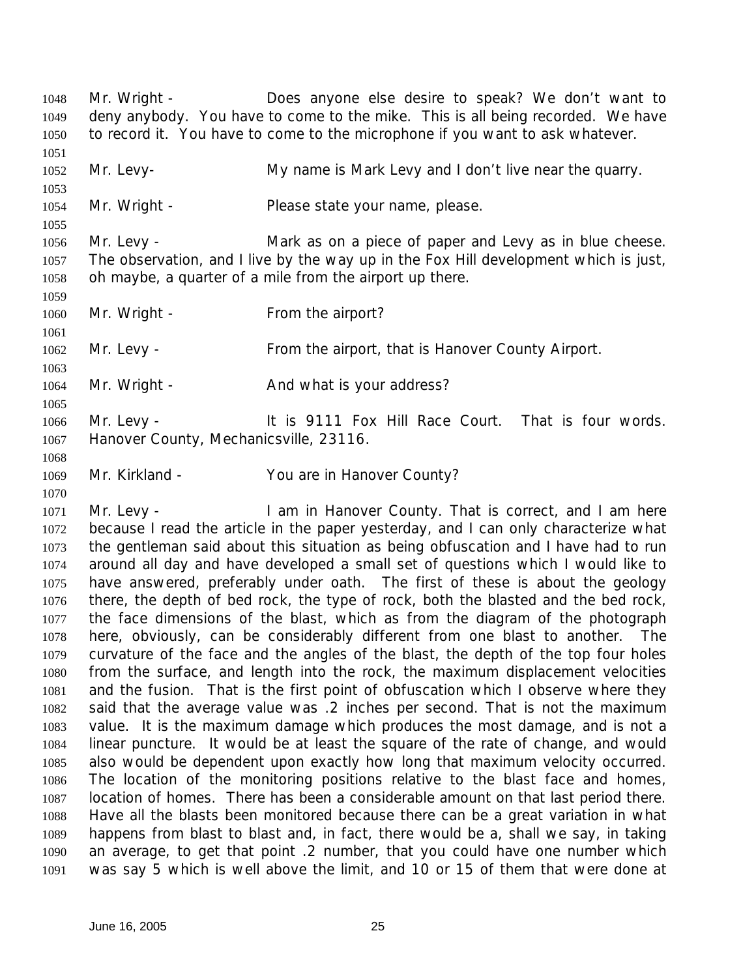Mr. Wright - Does anyone else desire to speak? We don't want to deny anybody. You have to come to the mike. This is all being recorded. We have to record it. You have to come to the microphone if you want to ask whatever. Mr. Levy- My name is Mark Levy and I don't live near the quarry. 1054 Mr. Wright - Please state your name, please. 1056 Mr. Levy - Mark as on a piece of paper and Levy as in blue cheese. The observation, and I live by the way up in the Fox Hill development which is just, oh maybe, a quarter of a mile from the airport up there. 1060 Mr. Wright - From the airport? 1062 Mr. Levy - From the airport, that is Hanover County Airport. 1064 Mr. Wright - And what is your address? 1066 Mr. Levy - It is 9111 Fox Hill Race Court. That is four words. Hanover County, Mechanicsville, 23116. Mr. Kirkland - You are in Hanover County? 1071 Mr. Levy - I am in Hanover County. That is correct, and I am here because I read the article in the paper yesterday, and I can only characterize what the gentleman said about this situation as being obfuscation and I have had to run around all day and have developed a small set of questions which I would like to have answered, preferably under oath. The first of these is about the geology there, the depth of bed rock, the type of rock, both the blasted and the bed rock, the face dimensions of the blast, which as from the diagram of the photograph here, obviously, can be considerably different from one blast to another. The curvature of the face and the angles of the blast, the depth of the top four holes from the surface, and length into the rock, the maximum displacement velocities and the fusion. That is the first point of obfuscation which I observe where they said that the average value was .2 inches per second. That is not the maximum value. It is the maximum damage which produces the most damage, and is not a linear puncture. It would be at least the square of the rate of change, and would also would be dependent upon exactly how long that maximum velocity occurred. The location of the monitoring positions relative to the blast face and homes, location of homes. There has been a considerable amount on that last period there. Have all the blasts been monitored because there can be a great variation in what happens from blast to blast and, in fact, there would be a, shall we say, in taking an average, to get that point .2 number, that you could have one number which was say 5 which is well above the limit, and 10 or 15 of them that were done at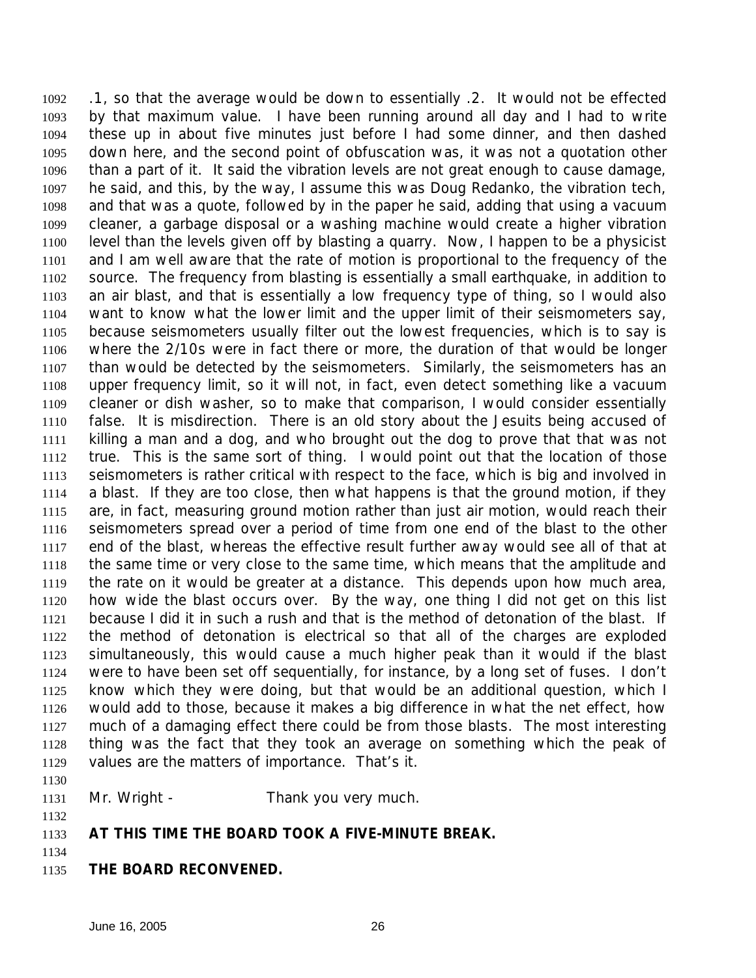.1, so that the average would be down to essentially .2. It would not be effected by that maximum value. I have been running around all day and I had to write these up in about five minutes just before I had some dinner, and then dashed down here, and the second point of obfuscation was, it was not a quotation other than a part of it. It said the vibration levels are not great enough to cause damage, he said, and this, by the way, I assume this was Doug Redanko, the vibration tech, and that was a quote, followed by in the paper he said, adding that using a vacuum cleaner, a garbage disposal or a washing machine would create a higher vibration level than the levels given off by blasting a quarry. Now, I happen to be a physicist and I am well aware that the rate of motion is proportional to the frequency of the source. The frequency from blasting is essentially a small earthquake, in addition to an air blast, and that is essentially a low frequency type of thing, so I would also want to know what the lower limit and the upper limit of their seismometers say, because seismometers usually filter out the lowest frequencies, which is to say is where the 2/10s were in fact there or more, the duration of that would be longer than would be detected by the seismometers. Similarly, the seismometers has an upper frequency limit, so it will not, in fact, even detect something like a vacuum cleaner or dish washer, so to make that comparison, I would consider essentially false. It is misdirection. There is an old story about the Jesuits being accused of killing a man and a dog, and who brought out the dog to prove that that was not true. This is the same sort of thing. I would point out that the location of those seismometers is rather critical with respect to the face, which is big and involved in a blast. If they are too close, then what happens is that the ground motion, if they are, in fact, measuring ground motion rather than just air motion, would reach their seismometers spread over a period of time from one end of the blast to the other end of the blast, whereas the effective result further away would see all of that at the same time or very close to the same time, which means that the amplitude and the rate on it would be greater at a distance. This depends upon how much area, how wide the blast occurs over. By the way, one thing I did not get on this list because I did it in such a rush and that is the method of detonation of the blast. If the method of detonation is electrical so that all of the charges are exploded simultaneously, this would cause a much higher peak than it would if the blast were to have been set off sequentially, for instance, by a long set of fuses. I don't know which they were doing, but that would be an additional question, which I would add to those, because it makes a big difference in what the net effect, how much of a damaging effect there could be from those blasts. The most interesting thing was the fact that they took an average on something which the peak of values are the matters of importance. That's it.

- 1131 Mr. Wright Thank you very much.
- **AT THIS TIME THE BOARD TOOK A FIVE-MINUTE BREAK.**
- **THE BOARD RECONVENED.**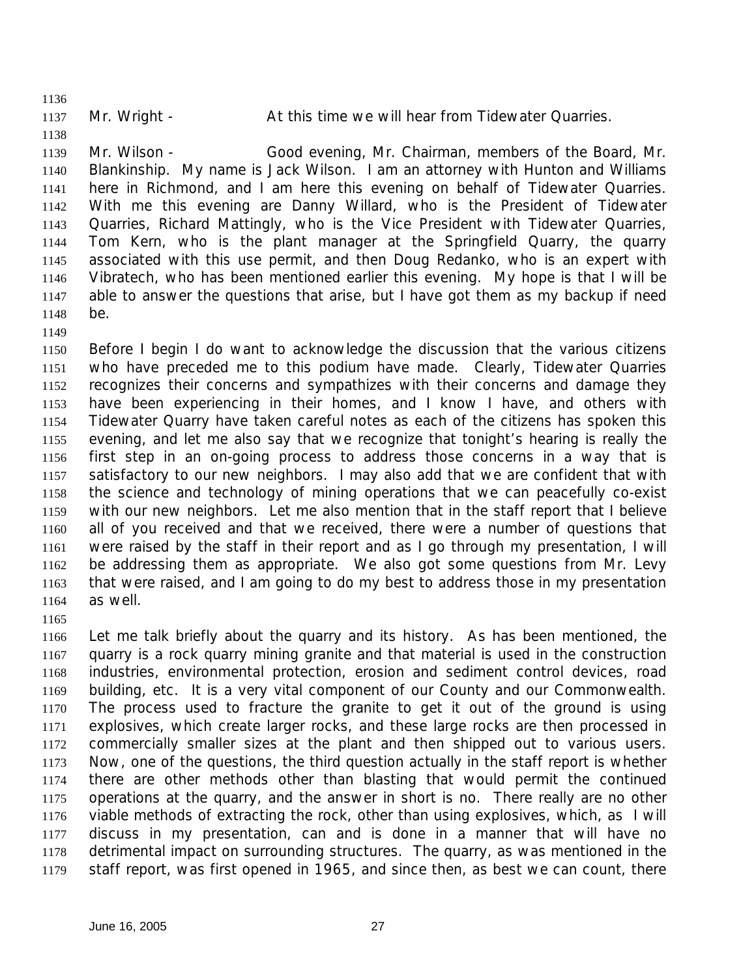1137 Mr. Wright - At this time we will hear from Tidewater Quarries.

 Mr. Wilson - Good evening, Mr. Chairman, members of the Board, Mr. Blankinship. My name is Jack Wilson. I am an attorney with Hunton and Williams here in Richmond, and I am here this evening on behalf of Tidewater Quarries. With me this evening are Danny Willard, who is the President of Tidewater Quarries, Richard Mattingly, who is the Vice President with Tidewater Quarries, Tom Kern, who is the plant manager at the Springfield Quarry, the quarry associated with this use permit, and then Doug Redanko, who is an expert with Vibratech, who has been mentioned earlier this evening. My hope is that I will be able to answer the questions that arise, but I have got them as my backup if need be.

 Before I begin I do want to acknowledge the discussion that the various citizens who have preceded me to this podium have made. Clearly, Tidewater Quarries recognizes their concerns and sympathizes with their concerns and damage they have been experiencing in their homes, and I know I have, and others with Tidewater Quarry have taken careful notes as each of the citizens has spoken this evening, and let me also say that we recognize that tonight's hearing is really the first step in an on-going process to address those concerns in a way that is satisfactory to our new neighbors. I may also add that we are confident that with the science and technology of mining operations that we can peacefully co-exist with our new neighbors. Let me also mention that in the staff report that I believe all of you received and that we received, there were a number of questions that were raised by the staff in their report and as I go through my presentation, I will be addressing them as appropriate. We also got some questions from Mr. Levy that were raised, and I am going to do my best to address those in my presentation as well.

 Let me talk briefly about the quarry and its history. As has been mentioned, the quarry is a rock quarry mining granite and that material is used in the construction industries, environmental protection, erosion and sediment control devices, road building, etc. It is a very vital component of our County and our Commonwealth. The process used to fracture the granite to get it out of the ground is using explosives, which create larger rocks, and these large rocks are then processed in commercially smaller sizes at the plant and then shipped out to various users. Now, one of the questions, the third question actually in the staff report is whether there are other methods other than blasting that would permit the continued operations at the quarry, and the answer in short is no. There really are no other viable methods of extracting the rock, other than using explosives, which, as I will discuss in my presentation, can and is done in a manner that will have no detrimental impact on surrounding structures. The quarry, as was mentioned in the staff report, was first opened in 1965, and since then, as best we can count, there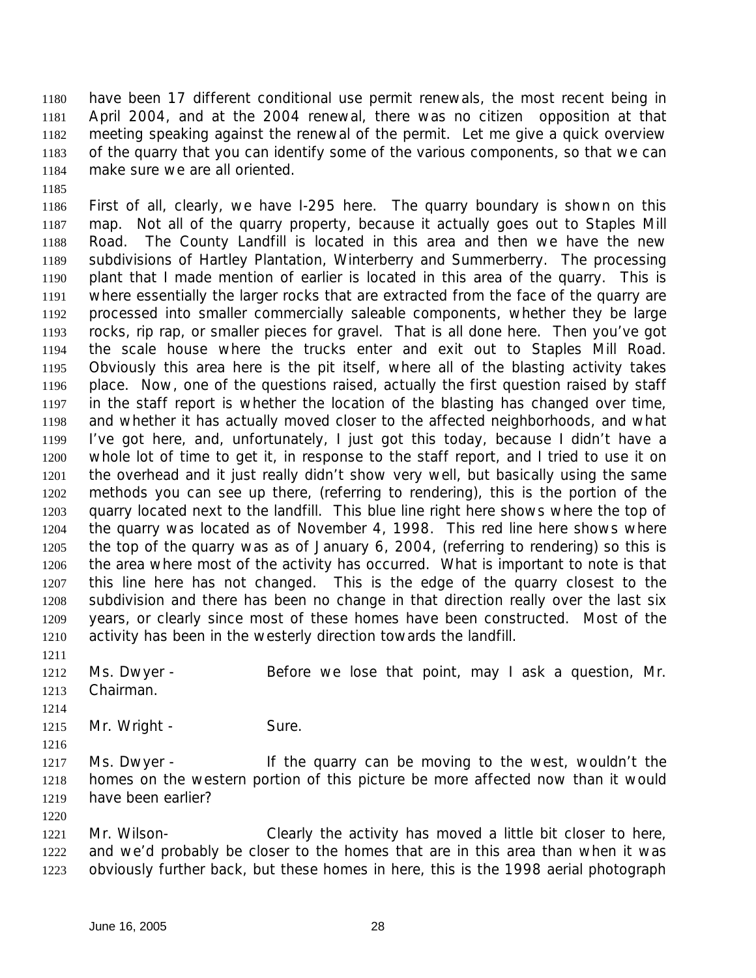have been 17 different conditional use permit renewals, the most recent being in April 2004, and at the 2004 renewal, there was no citizen opposition at that meeting speaking against the renewal of the permit. Let me give a quick overview of the quarry that you can identify some of the various components, so that we can make sure we are all oriented.

 First of all, clearly, we have I-295 here. The quarry boundary is shown on this map. Not all of the quarry property, because it actually goes out to Staples Mill Road. The County Landfill is located in this area and then we have the new subdivisions of Hartley Plantation, Winterberry and Summerberry. The processing plant that I made mention of earlier is located in this area of the quarry. This is where essentially the larger rocks that are extracted from the face of the quarry are processed into smaller commercially saleable components, whether they be large rocks, rip rap, or smaller pieces for gravel. That is all done here. Then you've got the scale house where the trucks enter and exit out to Staples Mill Road. Obviously this area here is the pit itself, where all of the blasting activity takes place. Now, one of the questions raised, actually the first question raised by staff in the staff report is whether the location of the blasting has changed over time, and whether it has actually moved closer to the affected neighborhoods, and what I've got here, and, unfortunately, I just got this today, because I didn't have a whole lot of time to get it, in response to the staff report, and I tried to use it on the overhead and it just really didn't show very well, but basically using the same methods you can see up there, (referring to rendering), this is the portion of the quarry located next to the landfill. This blue line right here shows where the top of the quarry was located as of November 4, 1998. This red line here shows where the top of the quarry was as of January 6, 2004, (referring to rendering) so this is the area where most of the activity has occurred. What is important to note is that this line here has not changed. This is the edge of the quarry closest to the subdivision and there has been no change in that direction really over the last six years, or clearly since most of these homes have been constructed. Most of the activity has been in the westerly direction towards the landfill.

1212 Ms. Dwyer - Before we lose that point, may I ask a question, Mr. Chairman.

1215 Mr. Wright - Sure.

1217 Ms. Dwyer - If the quarry can be moving to the west, wouldn't the homes on the western portion of this picture be more affected now than it would have been earlier?

 Mr. Wilson- Clearly the activity has moved a little bit closer to here, and we'd probably be closer to the homes that are in this area than when it was obviously further back, but these homes in here, this is the 1998 aerial photograph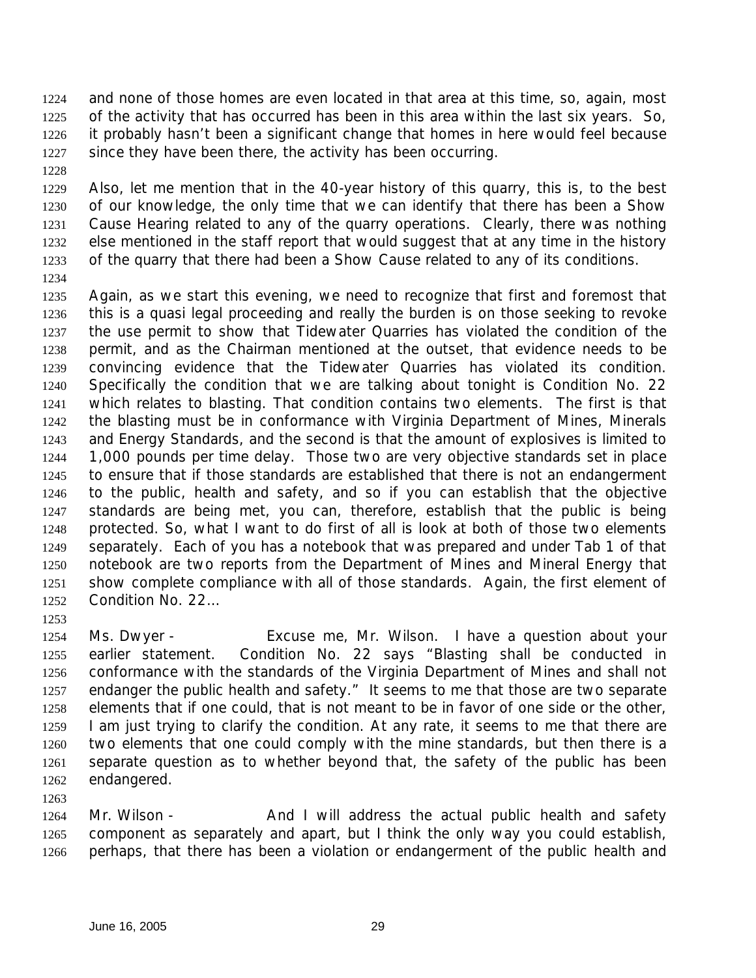and none of those homes are even located in that area at this time, so, again, most of the activity that has occurred has been in this area within the last six years. So, it probably hasn't been a significant change that homes in here would feel because since they have been there, the activity has been occurring.

 Also, let me mention that in the 40-year history of this quarry, this is, to the best of our knowledge, the only time that we can identify that there has been a Show Cause Hearing related to any of the quarry operations. Clearly, there was nothing else mentioned in the staff report that would suggest that at any time in the history of the quarry that there had been a Show Cause related to any of its conditions.

 Again, as we start this evening, we need to recognize that first and foremost that this is a quasi legal proceeding and really the burden is on those seeking to revoke the use permit to show that Tidewater Quarries has violated the condition of the permit, and as the Chairman mentioned at the outset, that evidence needs to be convincing evidence that the Tidewater Quarries has violated its condition. Specifically the condition that we are talking about tonight is Condition No. 22 which relates to blasting. That condition contains two elements. The first is that the blasting must be in conformance with Virginia Department of Mines, Minerals and Energy Standards, and the second is that the amount of explosives is limited to 1,000 pounds per time delay. Those two are very objective standards set in place to ensure that if those standards are established that there is not an endangerment to the public, health and safety, and so if you can establish that the objective standards are being met, you can, therefore, establish that the public is being protected. So, what I want to do first of all is look at both of those two elements separately. Each of you has a notebook that was prepared and under Tab 1 of that notebook are two reports from the Department of Mines and Mineral Energy that show complete compliance with all of those standards. Again, the first element of Condition No. 22…

 Ms. Dwyer - Excuse me, Mr. Wilson. I have a question about your earlier statement. Condition No. 22 says "Blasting shall be conducted in conformance with the standards of the Virginia Department of Mines and shall not endanger the public health and safety." It seems to me that those are two separate elements that if one could, that is not meant to be in favor of one side or the other, I am just trying to clarify the condition. At any rate, it seems to me that there are two elements that one could comply with the mine standards, but then there is a separate question as to whether beyond that, the safety of the public has been endangered.

1264 Mr. Wilson - And I will address the actual public health and safety component as separately and apart, but I think the only way you could establish, perhaps, that there has been a violation or endangerment of the public health and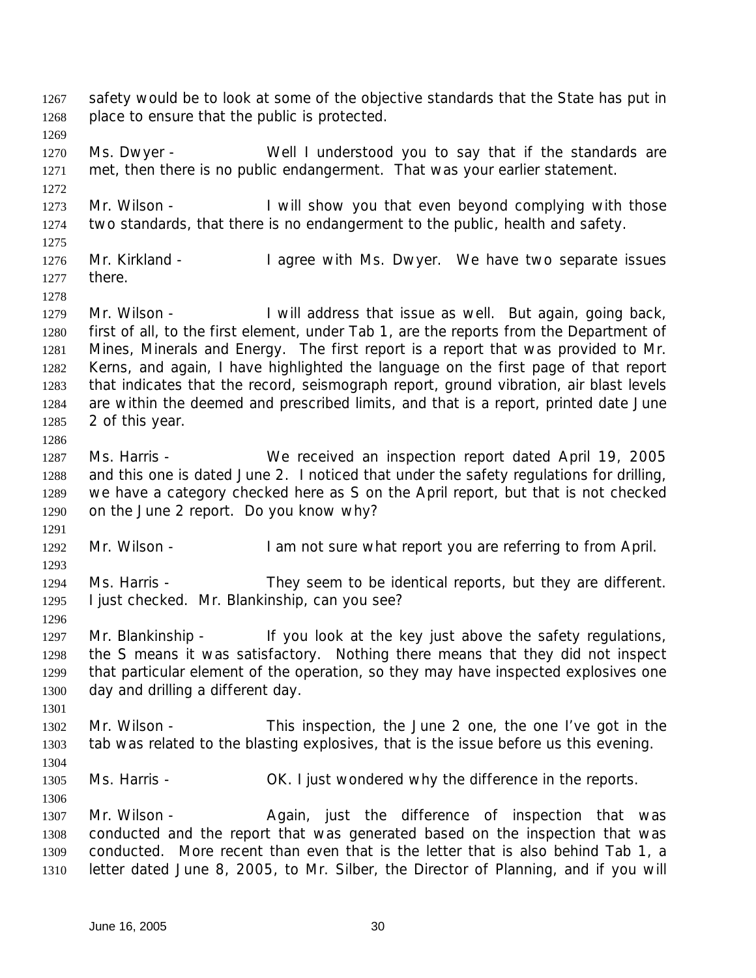1267 safety would be to look at some of the objective standards that the State has put in place to ensure that the public is protected. 1270 Ms. Dwyer - Well I understood you to say that if the standards are met, then there is no public endangerment. That was your earlier statement. 1273 Mr. Wilson - I will show you that even beyond complying with those two standards, that there is no endangerment to the public, health and safety. 1276 Mr. Kirkland - I agree with Ms. Dwyer. We have two separate issues there. 1279 Mr. Wilson - I will address that issue as well. But again, going back, first of all, to the first element, under Tab 1, are the reports from the Department of Mines, Minerals and Energy. The first report is a report that was provided to Mr. Kerns, and again, I have highlighted the language on the first page of that report that indicates that the record, seismograph report, ground vibration, air blast levels are within the deemed and prescribed limits, and that is a report, printed date June 2 of this year. Ms. Harris - We received an inspection report dated April 19, 2005 and this one is dated June 2. I noticed that under the safety regulations for drilling, we have a category checked here as S on the April report, but that is not checked on the June 2 report. Do you know why? 1292 Mr. Wilson - I am not sure what report you are referring to from April. Ms. Harris - They seem to be identical reports, but they are different. I just checked. Mr. Blankinship, can you see? 1297 Mr. Blankinship - If you look at the key just above the safety regulations, the S means it was satisfactory. Nothing there means that they did not inspect that particular element of the operation, so they may have inspected explosives one day and drilling a different day. Mr. Wilson - This inspection, the June 2 one, the one I've got in the tab was related to the blasting explosives, that is the issue before us this evening. Ms. Harris - OK. I just wondered why the difference in the reports. 1307 Mr. Wilson - Again, just the difference of inspection that was conducted and the report that was generated based on the inspection that was conducted. More recent than even that is the letter that is also behind Tab 1, a letter dated June 8, 2005, to Mr. Silber, the Director of Planning, and if you will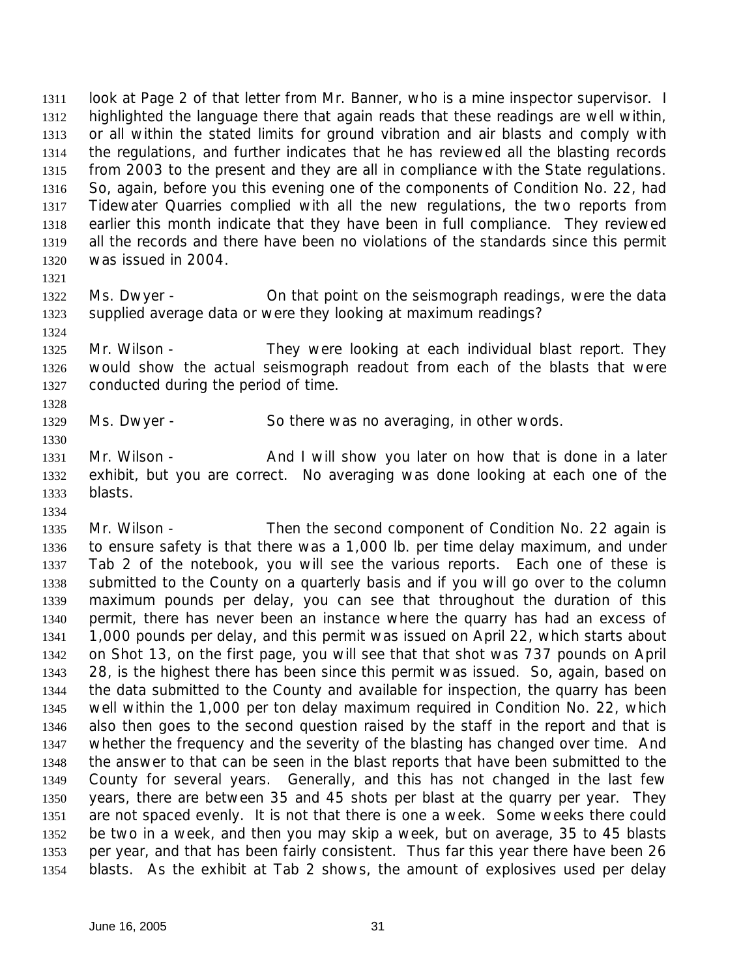look at Page 2 of that letter from Mr. Banner, who is a mine inspector supervisor. I highlighted the language there that again reads that these readings are well within, or all within the stated limits for ground vibration and air blasts and comply with the regulations, and further indicates that he has reviewed all the blasting records from 2003 to the present and they are all in compliance with the State regulations. So, again, before you this evening one of the components of Condition No. 22, had Tidewater Quarries complied with all the new regulations, the two reports from earlier this month indicate that they have been in full compliance. They reviewed all the records and there have been no violations of the standards since this permit was issued in 2004.

 Ms. Dwyer - On that point on the seismograph readings, were the data supplied average data or were they looking at maximum readings?

1325 Mr. Wilson - They were looking at each individual blast report. They would show the actual seismograph readout from each of the blasts that were conducted during the period of time.

Ms. Dwyer - So there was no averaging, in other words.

1331 Mr. Wilson - And I will show you later on how that is done in a later exhibit, but you are correct. No averaging was done looking at each one of the blasts.

1335 Mr. Wilson - Then the second component of Condition No. 22 again is to ensure safety is that there was a 1,000 lb. per time delay maximum, and under Tab 2 of the notebook, you will see the various reports. Each one of these is submitted to the County on a quarterly basis and if you will go over to the column maximum pounds per delay, you can see that throughout the duration of this permit, there has never been an instance where the quarry has had an excess of 1,000 pounds per delay, and this permit was issued on April 22, which starts about on Shot 13, on the first page, you will see that that shot was 737 pounds on April 28, is the highest there has been since this permit was issued. So, again, based on the data submitted to the County and available for inspection, the quarry has been well within the 1,000 per ton delay maximum required in Condition No. 22, which also then goes to the second question raised by the staff in the report and that is whether the frequency and the severity of the blasting has changed over time. And the answer to that can be seen in the blast reports that have been submitted to the County for several years. Generally, and this has not changed in the last few years, there are between 35 and 45 shots per blast at the quarry per year. They are not spaced evenly. It is not that there is one a week. Some weeks there could be two in a week, and then you may skip a week, but on average, 35 to 45 blasts per year, and that has been fairly consistent. Thus far this year there have been 26 blasts. As the exhibit at Tab 2 shows, the amount of explosives used per delay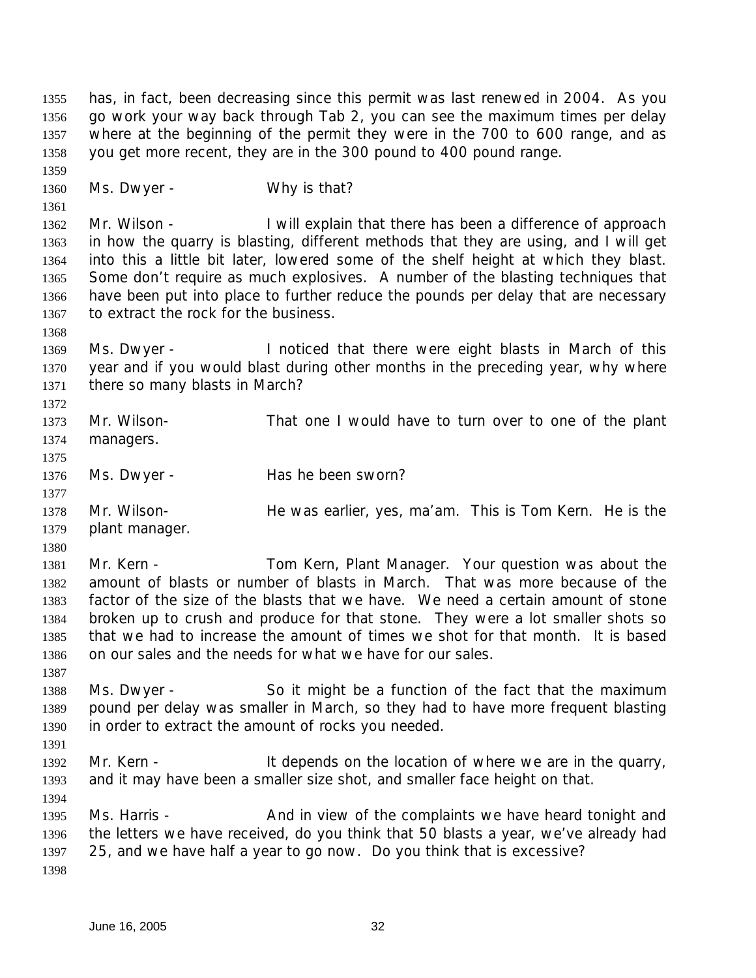has, in fact, been decreasing since this permit was last renewed in 2004. As you go work your way back through Tab 2, you can see the maximum times per delay where at the beginning of the permit they were in the 700 to 600 range, and as you get more recent, they are in the 300 pound to 400 pound range. 1360 Ms. Dwyer - Why is that? 1362 Mr. Wilson - I will explain that there has been a difference of approach in how the quarry is blasting, different methods that they are using, and I will get into this a little bit later, lowered some of the shelf height at which they blast. Some don't require as much explosives. A number of the blasting techniques that have been put into place to further reduce the pounds per delay that are necessary to extract the rock for the business. Ms. Dwyer - I noticed that there were eight blasts in March of this year and if you would blast during other months in the preceding year, why where there so many blasts in March? Mr. Wilson- That one I would have to turn over to one of the plant managers. 1376 Ms. Dwyer - Has he been sworn? Mr. Wilson- He was earlier, yes, ma'am. This is Tom Kern. He is the plant manager. 1381 Mr. Kern - Tom Kern, Plant Manager. Your question was about the amount of blasts or number of blasts in March. That was more because of the factor of the size of the blasts that we have. We need a certain amount of stone broken up to crush and produce for that stone. They were a lot smaller shots so that we had to increase the amount of times we shot for that month. It is based on our sales and the needs for what we have for our sales. Ms. Dwyer - So it might be a function of the fact that the maximum pound per delay was smaller in March, so they had to have more frequent blasting in order to extract the amount of rocks you needed. 1392 Mr. Kern - It depends on the location of where we are in the quarry, and it may have been a smaller size shot, and smaller face height on that. 1395 Ms. Harris - And in view of the complaints we have heard tonight and the letters we have received, do you think that 50 blasts a year, we've already had 25, and we have half a year to go now. Do you think that is excessive?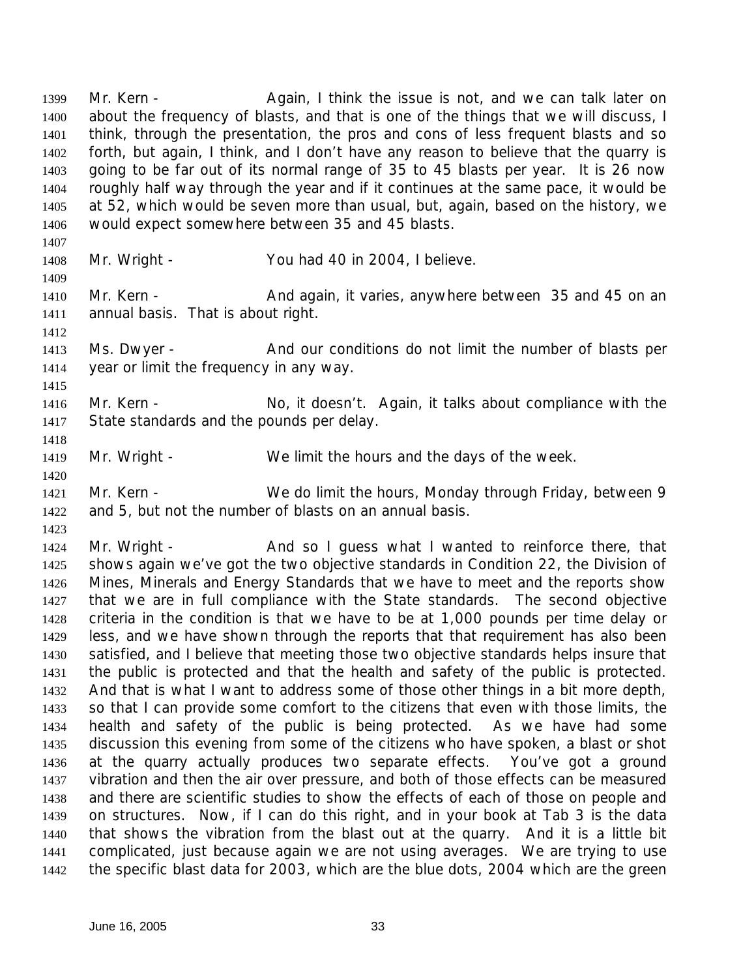1399 Mr. Kern - Again, I think the issue is not, and we can talk later on about the frequency of blasts, and that is one of the things that we will discuss, I think, through the presentation, the pros and cons of less frequent blasts and so forth, but again, I think, and I don't have any reason to believe that the quarry is going to be far out of its normal range of 35 to 45 blasts per year. It is 26 now roughly half way through the year and if it continues at the same pace, it would be at 52, which would be seven more than usual, but, again, based on the history, we would expect somewhere between 35 and 45 blasts.

 

- Mr. Wright You had 40 in 2004, I believe.
- 1410 Mr. Kern And again, it varies, anywhere between 35 and 45 on an annual basis. That is about right.
- 1413 Ms. Dwyer And our conditions do not limit the number of blasts per year or limit the frequency in any way.
- 1416 Mr. Kern No, it doesn't. Again, it talks about compliance with the State standards and the pounds per delay.
- 1419 Mr. Wright We limit the hours and the days of the week.
- 1421 Mr. Kern We do limit the hours, Monday through Friday, between 9 and 5, but not the number of blasts on an annual basis.

1424 Mr. Wright - And so I guess what I wanted to reinforce there, that shows again we've got the two objective standards in Condition 22, the Division of Mines, Minerals and Energy Standards that we have to meet and the reports show that we are in full compliance with the State standards. The second objective criteria in the condition is that we have to be at 1,000 pounds per time delay or less, and we have shown through the reports that that requirement has also been satisfied, and I believe that meeting those two objective standards helps insure that the public is protected and that the health and safety of the public is protected. And that is what I want to address some of those other things in a bit more depth, so that I can provide some comfort to the citizens that even with those limits, the health and safety of the public is being protected. As we have had some discussion this evening from some of the citizens who have spoken, a blast or shot at the quarry actually produces two separate effects. You've got a ground vibration and then the air over pressure, and both of those effects can be measured and there are scientific studies to show the effects of each of those on people and on structures. Now, if I can do this right, and in your book at Tab 3 is the data that shows the vibration from the blast out at the quarry. And it is a little bit complicated, just because again we are not using averages. We are trying to use the specific blast data for 2003, which are the blue dots, 2004 which are the green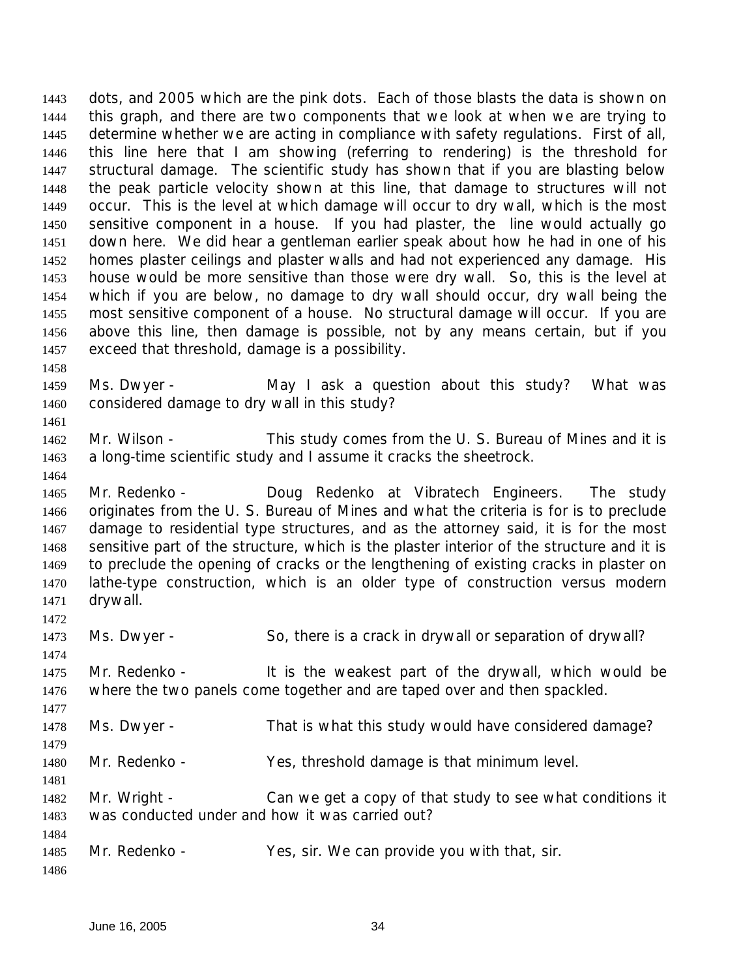dots, and 2005 which are the pink dots. Each of those blasts the data is shown on this graph, and there are two components that we look at when we are trying to determine whether we are acting in compliance with safety regulations. First of all, this line here that I am showing (referring to rendering) is the threshold for structural damage. The scientific study has shown that if you are blasting below the peak particle velocity shown at this line, that damage to structures will not occur. This is the level at which damage will occur to dry wall, which is the most sensitive component in a house. If you had plaster, the line would actually go down here. We did hear a gentleman earlier speak about how he had in one of his homes plaster ceilings and plaster walls and had not experienced any damage. His house would be more sensitive than those were dry wall. So, this is the level at which if you are below, no damage to dry wall should occur, dry wall being the most sensitive component of a house. No structural damage will occur. If you are above this line, then damage is possible, not by any means certain, but if you exceed that threshold, damage is a possibility. 

1459 Ms. Dwyer - May I ask a question about this study? What was considered damage to dry wall in this study?

 Mr. Wilson - This study comes from the U. S. Bureau of Mines and it is a long-time scientific study and I assume it cracks the sheetrock.

 Mr. Redenko - Doug Redenko at Vibratech Engineers. The study originates from the U. S. Bureau of Mines and what the criteria is for is to preclude damage to residential type structures, and as the attorney said, it is for the most sensitive part of the structure, which is the plaster interior of the structure and it is to preclude the opening of cracks or the lengthening of existing cracks in plaster on lathe-type construction, which is an older type of construction versus modern drywall.

Ms. Dwyer - So, there is a crack in drywall or separation of drywall?

1475 Mr. Redenko - It is the weakest part of the drywall, which would be where the two panels come together and are taped over and then spackled.

Ms. Dwyer - That is what this study would have considered damage?

Mr. Redenko - Yes, threshold damage is that minimum level.

 Mr. Wright - Can we get a copy of that study to see what conditions it was conducted under and how it was carried out?

1485 Mr. Redenko - Yes, sir. We can provide you with that, sir.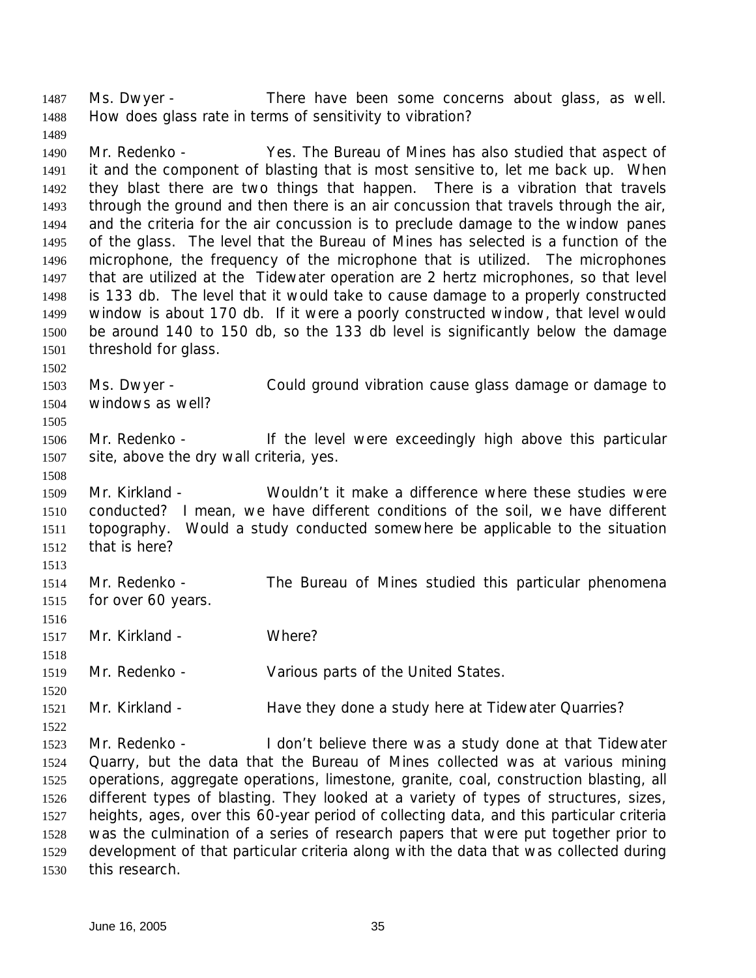1487 Ms. Dwyer - There have been some concerns about glass, as well. How does glass rate in terms of sensitivity to vibration?

 Mr. Redenko - Yes. The Bureau of Mines has also studied that aspect of it and the component of blasting that is most sensitive to, let me back up. When they blast there are two things that happen. There is a vibration that travels through the ground and then there is an air concussion that travels through the air, and the criteria for the air concussion is to preclude damage to the window panes of the glass. The level that the Bureau of Mines has selected is a function of the microphone, the frequency of the microphone that is utilized. The microphones that are utilized at the Tidewater operation are 2 hertz microphones, so that level is 133 db. The level that it would take to cause damage to a properly constructed window is about 170 db. If it were a poorly constructed window, that level would be around 140 to 150 db, so the 133 db level is significantly below the damage threshold for glass.

 Ms. Dwyer - Could ground vibration cause glass damage or damage to windows as well?

 Mr. Redenko - If the level were exceedingly high above this particular site, above the dry wall criteria, yes.

 Mr. Kirkland - Wouldn't it make a difference where these studies were conducted? I mean, we have different conditions of the soil, we have different topography. Would a study conducted somewhere be applicable to the situation that is here?

- Mr. Redenko The Bureau of Mines studied this particular phenomena for over 60 years.
- 1517 Mr. Kirkland Where?

Mr. Redenko - Various parts of the United States.

Mr. Kirkland - Have they done a study here at Tidewater Quarries?

 Mr. Redenko - I don't believe there was a study done at that Tidewater Quarry, but the data that the Bureau of Mines collected was at various mining operations, aggregate operations, limestone, granite, coal, construction blasting, all different types of blasting. They looked at a variety of types of structures, sizes, heights, ages, over this 60-year period of collecting data, and this particular criteria was the culmination of a series of research papers that were put together prior to development of that particular criteria along with the data that was collected during this research.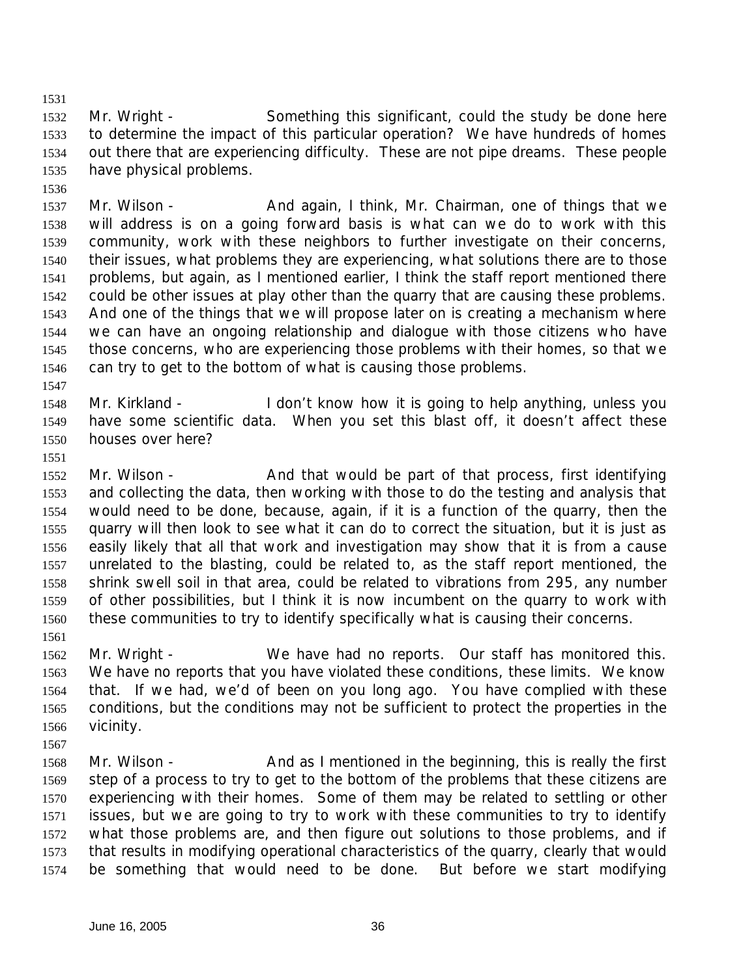Mr. Wright - Something this significant, could the study be done here to determine the impact of this particular operation? We have hundreds of homes out there that are experiencing difficulty. These are not pipe dreams. These people have physical problems.

1537 Mr. Wilson - And again, I think, Mr. Chairman, one of things that we will address is on a going forward basis is what can we do to work with this community, work with these neighbors to further investigate on their concerns, their issues, what problems they are experiencing, what solutions there are to those problems, but again, as I mentioned earlier, I think the staff report mentioned there could be other issues at play other than the quarry that are causing these problems. And one of the things that we will propose later on is creating a mechanism where we can have an ongoing relationship and dialogue with those citizens who have those concerns, who are experiencing those problems with their homes, so that we can try to get to the bottom of what is causing those problems.

 Mr. Kirkland - I don't know how it is going to help anything, unless you have some scientific data. When you set this blast off, it doesn't affect these houses over here?

1552 Mr. Wilson - And that would be part of that process, first identifying and collecting the data, then working with those to do the testing and analysis that would need to be done, because, again, if it is a function of the quarry, then the quarry will then look to see what it can do to correct the situation, but it is just as easily likely that all that work and investigation may show that it is from a cause unrelated to the blasting, could be related to, as the staff report mentioned, the shrink swell soil in that area, could be related to vibrations from 295, any number of other possibilities, but I think it is now incumbent on the quarry to work with these communities to try to identify specifically what is causing their concerns.

- Mr. Wright - We have had no reports. Our staff has monitored this. We have no reports that you have violated these conditions, these limits. We know that. If we had, we'd of been on you long ago. You have complied with these conditions, but the conditions may not be sufficient to protect the properties in the vicinity.
- 
- 1568 Mr. Wilson And as I mentioned in the beginning, this is really the first step of a process to try to get to the bottom of the problems that these citizens are experiencing with their homes. Some of them may be related to settling or other issues, but we are going to try to work with these communities to try to identify what those problems are, and then figure out solutions to those problems, and if that results in modifying operational characteristics of the quarry, clearly that would be something that would need to be done. But before we start modifying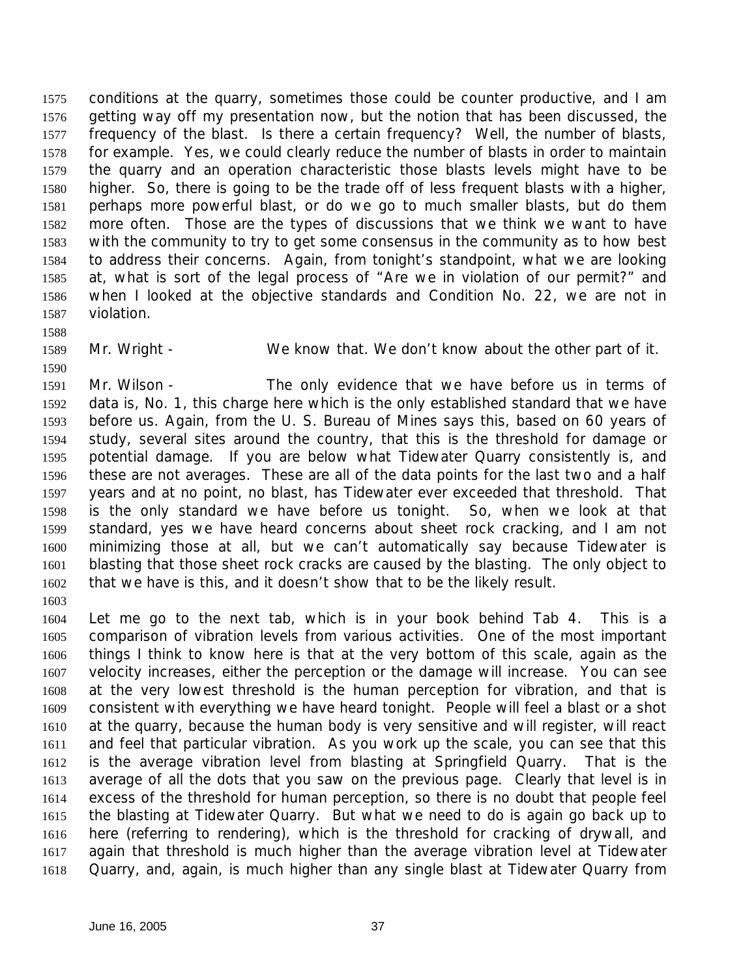conditions at the quarry, sometimes those could be counter productive, and I am getting way off my presentation now, but the notion that has been discussed, the frequency of the blast. Is there a certain frequency? Well, the number of blasts, for example. Yes, we could clearly reduce the number of blasts in order to maintain the quarry and an operation characteristic those blasts levels might have to be higher. So, there is going to be the trade off of less frequent blasts with a higher, perhaps more powerful blast, or do we go to much smaller blasts, but do them more often. Those are the types of discussions that we think we want to have with the community to try to get some consensus in the community as to how best to address their concerns. Again, from tonight's standpoint, what we are looking at, what is sort of the legal process of "Are we in violation of our permit?" and when I looked at the objective standards and Condition No. 22, we are not in violation.

Mr. Wright - We know that. We don't know about the other part of it.

 Mr. Wilson - The only evidence that we have before us in terms of data is, No. 1, this charge here which is the only established standard that we have before us. Again, from the U. S. Bureau of Mines says this, based on 60 years of study, several sites around the country, that this is the threshold for damage or potential damage. If you are below what Tidewater Quarry consistently is, and these are not averages. These are all of the data points for the last two and a half years and at no point, no blast, has Tidewater ever exceeded that threshold. That is the only standard we have before us tonight. So, when we look at that standard, yes we have heard concerns about sheet rock cracking, and I am not minimizing those at all, but we can't automatically say because Tidewater is blasting that those sheet rock cracks are caused by the blasting. The only object to that we have is this, and it doesn't show that to be the likely result. 

 Let me go to the next tab, which is in your book behind Tab 4. This is a comparison of vibration levels from various activities. One of the most important things I think to know here is that at the very bottom of this scale, again as the velocity increases, either the perception or the damage will increase. You can see at the very lowest threshold is the human perception for vibration, and that is consistent with everything we have heard tonight. People will feel a blast or a shot at the quarry, because the human body is very sensitive and will register, will react and feel that particular vibration. As you work up the scale, you can see that this is the average vibration level from blasting at Springfield Quarry. That is the average of all the dots that you saw on the previous page. Clearly that level is in excess of the threshold for human perception, so there is no doubt that people feel the blasting at Tidewater Quarry. But what we need to do is again go back up to here (referring to rendering), which is the threshold for cracking of drywall, and again that threshold is much higher than the average vibration level at Tidewater Quarry, and, again, is much higher than any single blast at Tidewater Quarry from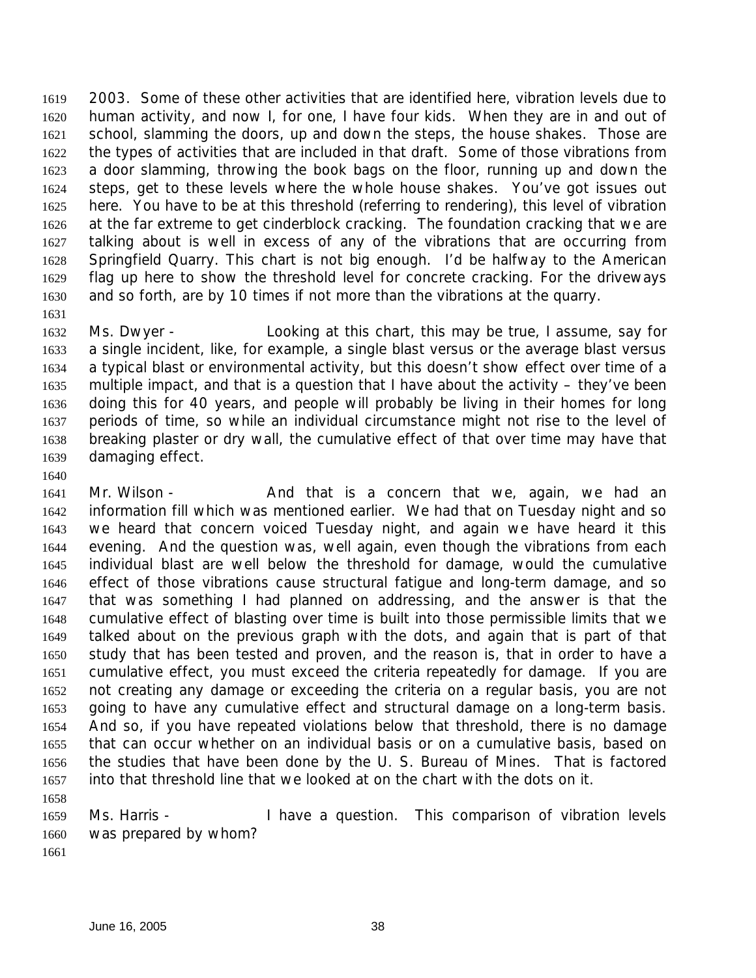2003. Some of these other activities that are identified here, vibration levels due to human activity, and now I, for one, I have four kids. When they are in and out of school, slamming the doors, up and down the steps, the house shakes. Those are the types of activities that are included in that draft. Some of those vibrations from a door slamming, throwing the book bags on the floor, running up and down the steps, get to these levels where the whole house shakes. You've got issues out here. You have to be at this threshold (referring to rendering), this level of vibration at the far extreme to get cinderblock cracking. The foundation cracking that we are talking about is well in excess of any of the vibrations that are occurring from Springfield Quarry. This chart is not big enough. I'd be halfway to the American flag up here to show the threshold level for concrete cracking. For the driveways and so forth, are by 10 times if not more than the vibrations at the quarry. 

 Ms. Dwyer - Looking at this chart, this may be true, I assume, say for a single incident, like, for example, a single blast versus or the average blast versus a typical blast or environmental activity, but this doesn't show effect over time of a multiple impact, and that is a question that I have about the activity – they've been doing this for 40 years, and people will probably be living in their homes for long periods of time, so while an individual circumstance might not rise to the level of breaking plaster or dry wall, the cumulative effect of that over time may have that damaging effect.

1641 Mr. Wilson - And that is a concern that we, again, we had an information fill which was mentioned earlier. We had that on Tuesday night and so we heard that concern voiced Tuesday night, and again we have heard it this evening. And the question was, well again, even though the vibrations from each individual blast are well below the threshold for damage, would the cumulative effect of those vibrations cause structural fatigue and long-term damage, and so that was something I had planned on addressing, and the answer is that the cumulative effect of blasting over time is built into those permissible limits that we talked about on the previous graph with the dots, and again that is part of that study that has been tested and proven, and the reason is, that in order to have a cumulative effect, you must exceed the criteria repeatedly for damage. If you are not creating any damage or exceeding the criteria on a regular basis, you are not going to have any cumulative effect and structural damage on a long-term basis. And so, if you have repeated violations below that threshold, there is no damage that can occur whether on an individual basis or on a cumulative basis, based on the studies that have been done by the U. S. Bureau of Mines. That is factored into that threshold line that we looked at on the chart with the dots on it. 

 Ms. Harris - I have a question. This comparison of vibration levels was prepared by whom?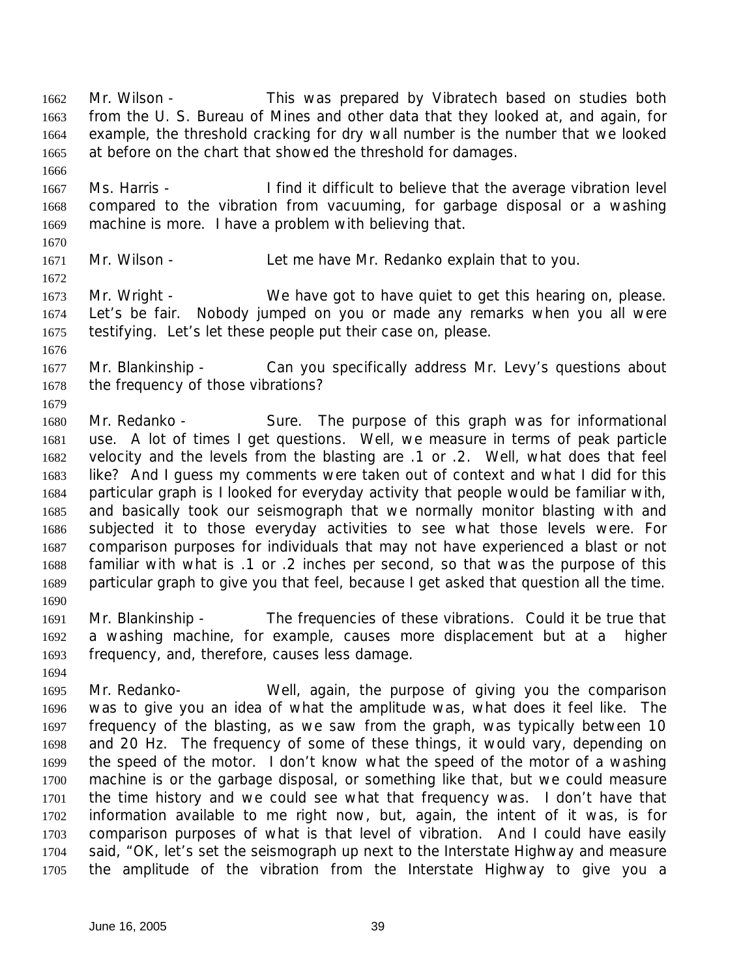1662 Mr. Wilson - This was prepared by Vibratech based on studies both from the U. S. Bureau of Mines and other data that they looked at, and again, for example, the threshold cracking for dry wall number is the number that we looked at before on the chart that showed the threshold for damages.

 Ms. Harris - I find it difficult to believe that the average vibration level compared to the vibration from vacuuming, for garbage disposal or a washing machine is more. I have a problem with believing that.

Mr. Wilson - Let me have Mr. Redanko explain that to you.

1673 Mr. Wright - We have got to have quiet to get this hearing on, please. Let's be fair. Nobody jumped on you or made any remarks when you all were testifying. Let's let these people put their case on, please.

1677 Mr. Blankinship - Can you specifically address Mr. Levy's questions about the frequency of those vibrations?

1680 Mr. Redanko - Sure. The purpose of this graph was for informational use. A lot of times I get questions. Well, we measure in terms of peak particle velocity and the levels from the blasting are .1 or .2. Well, what does that feel like? And I guess my comments were taken out of context and what I did for this particular graph is I looked for everyday activity that people would be familiar with, and basically took our seismograph that we normally monitor blasting with and subjected it to those everyday activities to see what those levels were. For comparison purposes for individuals that may not have experienced a blast or not familiar with what is .1 or .2 inches per second, so that was the purpose of this particular graph to give you that feel, because I get asked that question all the time. 

 Mr. Blankinship - The frequencies of these vibrations. Could it be true that a washing machine, for example, causes more displacement but at a higher frequency, and, therefore, causes less damage.

 Mr. Redanko- Well, again, the purpose of giving you the comparison was to give you an idea of what the amplitude was, what does it feel like. The frequency of the blasting, as we saw from the graph, was typically between 10 and 20 Hz. The frequency of some of these things, it would vary, depending on the speed of the motor. I don't know what the speed of the motor of a washing machine is or the garbage disposal, or something like that, but we could measure the time history and we could see what that frequency was. I don't have that information available to me right now, but, again, the intent of it was, is for comparison purposes of what is that level of vibration. And I could have easily said, "OK, let's set the seismograph up next to the Interstate Highway and measure the amplitude of the vibration from the Interstate Highway to give you a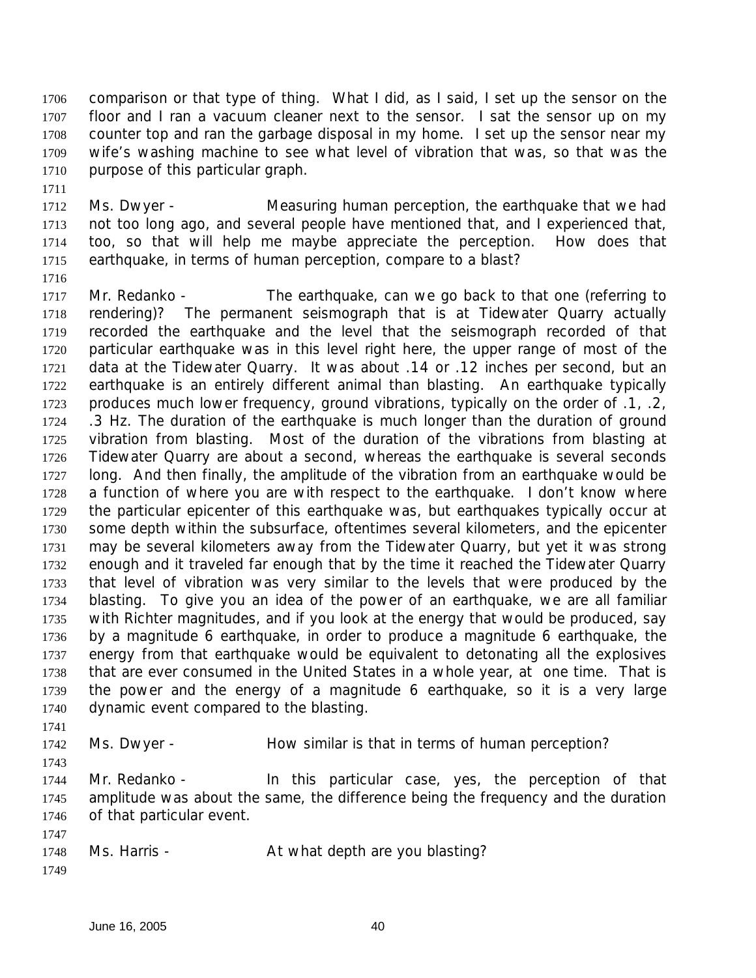comparison or that type of thing. What I did, as I said, I set up the sensor on the floor and I ran a vacuum cleaner next to the sensor. I sat the sensor up on my counter top and ran the garbage disposal in my home. I set up the sensor near my wife's washing machine to see what level of vibration that was, so that was the purpose of this particular graph.

 Ms. Dwyer - Measuring human perception, the earthquake that we had not too long ago, and several people have mentioned that, and I experienced that, too, so that will help me maybe appreciate the perception. How does that earthquake, in terms of human perception, compare to a blast?

1717 Mr. Redanko - The earthquake, can we go back to that one (referring to rendering)? The permanent seismograph that is at Tidewater Quarry actually recorded the earthquake and the level that the seismograph recorded of that particular earthquake was in this level right here, the upper range of most of the data at the Tidewater Quarry. It was about .14 or .12 inches per second, but an earthquake is an entirely different animal than blasting. An earthquake typically produces much lower frequency, ground vibrations, typically on the order of .1, .2, .3 Hz. The duration of the earthquake is much longer than the duration of ground vibration from blasting. Most of the duration of the vibrations from blasting at Tidewater Quarry are about a second, whereas the earthquake is several seconds long. And then finally, the amplitude of the vibration from an earthquake would be a function of where you are with respect to the earthquake. I don't know where the particular epicenter of this earthquake was, but earthquakes typically occur at some depth within the subsurface, oftentimes several kilometers, and the epicenter may be several kilometers away from the Tidewater Quarry, but yet it was strong enough and it traveled far enough that by the time it reached the Tidewater Quarry that level of vibration was very similar to the levels that were produced by the blasting. To give you an idea of the power of an earthquake, we are all familiar with Richter magnitudes, and if you look at the energy that would be produced, say by a magnitude 6 earthquake, in order to produce a magnitude 6 earthquake, the energy from that earthquake would be equivalent to detonating all the explosives that are ever consumed in the United States in a whole year, at one time. That is the power and the energy of a magnitude 6 earthquake, so it is a very large dynamic event compared to the blasting.

1742 Ms. Dwyer - How similar is that in terms of human perception?

 Mr. Redanko - In this particular case, yes, the perception of that amplitude was about the same, the difference being the frequency and the duration of that particular event.

1748 Ms. Harris - At what depth are you blasting?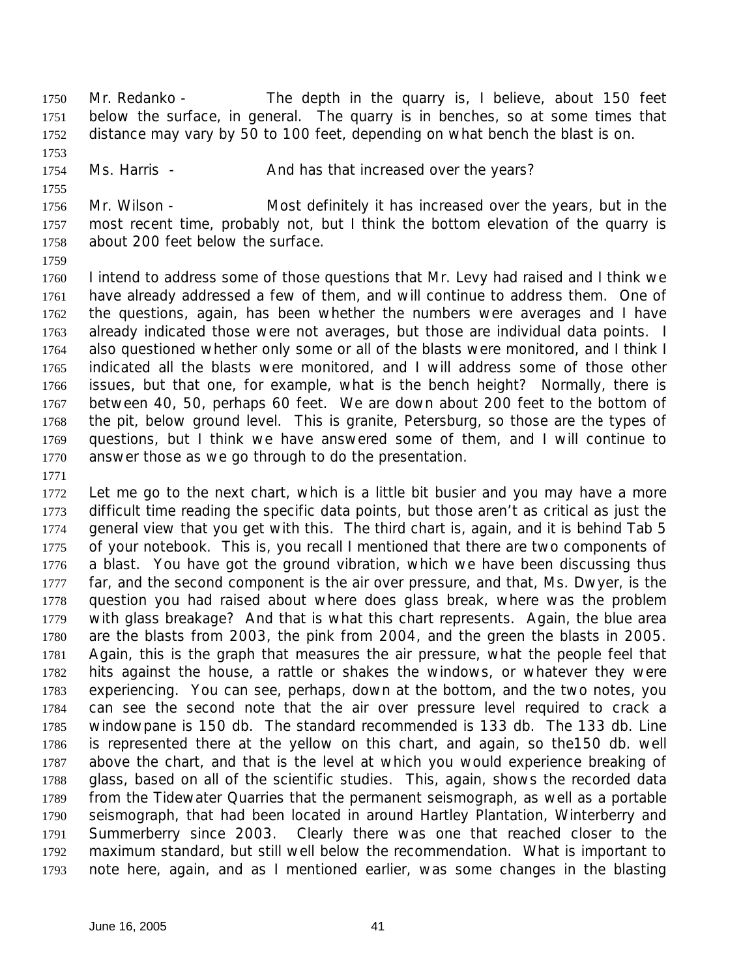1750 Mr. Redanko - The depth in the quarry is, I believe, about 150 feet below the surface, in general. The quarry is in benches, so at some times that distance may vary by 50 to 100 feet, depending on what bench the blast is on.

1754 Ms. Harris - And has that increased over the years?

 Mr. Wilson - Most definitely it has increased over the years, but in the most recent time, probably not, but I think the bottom elevation of the quarry is about 200 feet below the surface.

 I intend to address some of those questions that Mr. Levy had raised and I think we have already addressed a few of them, and will continue to address them. One of the questions, again, has been whether the numbers were averages and I have already indicated those were not averages, but those are individual data points. I also questioned whether only some or all of the blasts were monitored, and I think I indicated all the blasts were monitored, and I will address some of those other issues, but that one, for example, what is the bench height? Normally, there is between 40, 50, perhaps 60 feet. We are down about 200 feet to the bottom of the pit, below ground level. This is granite, Petersburg, so those are the types of questions, but I think we have answered some of them, and I will continue to answer those as we go through to do the presentation.

 Let me go to the next chart, which is a little bit busier and you may have a more difficult time reading the specific data points, but those aren't as critical as just the general view that you get with this. The third chart is, again, and it is behind Tab 5 of your notebook. This is, you recall I mentioned that there are two components of a blast. You have got the ground vibration, which we have been discussing thus 1777 far, and the second component is the air over pressure, and that, Ms. Dwyer, is the question you had raised about where does glass break, where was the problem with glass breakage? And that is what this chart represents. Again, the blue area are the blasts from 2003, the pink from 2004, and the green the blasts in 2005. Again, this is the graph that measures the air pressure, what the people feel that hits against the house, a rattle or shakes the windows, or whatever they were experiencing. You can see, perhaps, down at the bottom, and the two notes, you can see the second note that the air over pressure level required to crack a windowpane is 150 db. The standard recommended is 133 db. The 133 db. Line is represented there at the yellow on this chart, and again, so the150 db. well above the chart, and that is the level at which you would experience breaking of glass, based on all of the scientific studies. This, again, shows the recorded data from the Tidewater Quarries that the permanent seismograph, as well as a portable seismograph, that had been located in around Hartley Plantation, Winterberry and Summerberry since 2003. Clearly there was one that reached closer to the maximum standard, but still well below the recommendation. What is important to note here, again, and as I mentioned earlier, was some changes in the blasting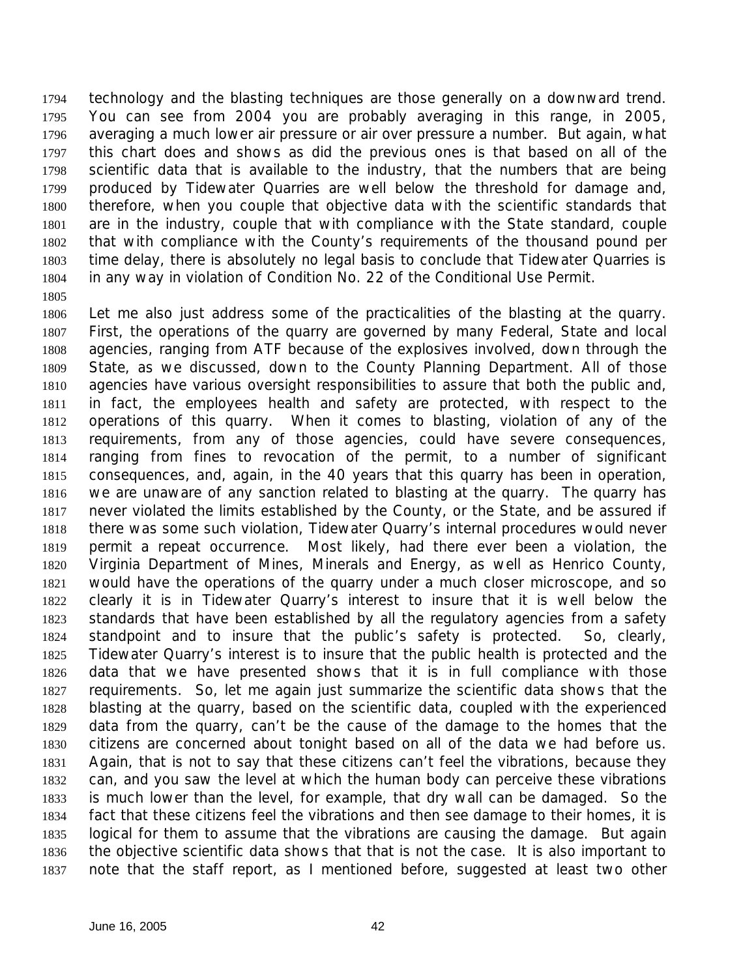technology and the blasting techniques are those generally on a downward trend. You can see from 2004 you are probably averaging in this range, in 2005, averaging a much lower air pressure or air over pressure a number. But again, what this chart does and shows as did the previous ones is that based on all of the scientific data that is available to the industry, that the numbers that are being produced by Tidewater Quarries are well below the threshold for damage and, therefore, when you couple that objective data with the scientific standards that are in the industry, couple that with compliance with the State standard, couple that with compliance with the County's requirements of the thousand pound per time delay, there is absolutely no legal basis to conclude that Tidewater Quarries is in any way in violation of Condition No. 22 of the Conditional Use Permit.

 Let me also just address some of the practicalities of the blasting at the quarry. First, the operations of the quarry are governed by many Federal, State and local agencies, ranging from ATF because of the explosives involved, down through the State, as we discussed, down to the County Planning Department. All of those agencies have various oversight responsibilities to assure that both the public and, in fact, the employees health and safety are protected, with respect to the operations of this quarry. When it comes to blasting, violation of any of the requirements, from any of those agencies, could have severe consequences, ranging from fines to revocation of the permit, to a number of significant consequences, and, again, in the 40 years that this quarry has been in operation, we are unaware of any sanction related to blasting at the quarry. The quarry has never violated the limits established by the County, or the State, and be assured if there was some such violation, Tidewater Quarry's internal procedures would never permit a repeat occurrence. Most likely, had there ever been a violation, the Virginia Department of Mines, Minerals and Energy, as well as Henrico County, would have the operations of the quarry under a much closer microscope, and so clearly it is in Tidewater Quarry's interest to insure that it is well below the standards that have been established by all the regulatory agencies from a safety standpoint and to insure that the public's safety is protected. So, clearly, Tidewater Quarry's interest is to insure that the public health is protected and the data that we have presented shows that it is in full compliance with those requirements. So, let me again just summarize the scientific data shows that the blasting at the quarry, based on the scientific data, coupled with the experienced data from the quarry, can't be the cause of the damage to the homes that the citizens are concerned about tonight based on all of the data we had before us. Again, that is not to say that these citizens can't feel the vibrations, because they can, and you saw the level at which the human body can perceive these vibrations is much lower than the level, for example, that dry wall can be damaged. So the fact that these citizens feel the vibrations and then see damage to their homes, it is logical for them to assume that the vibrations are causing the damage. But again the objective scientific data shows that that is not the case. It is also important to note that the staff report, as I mentioned before, suggested at least two other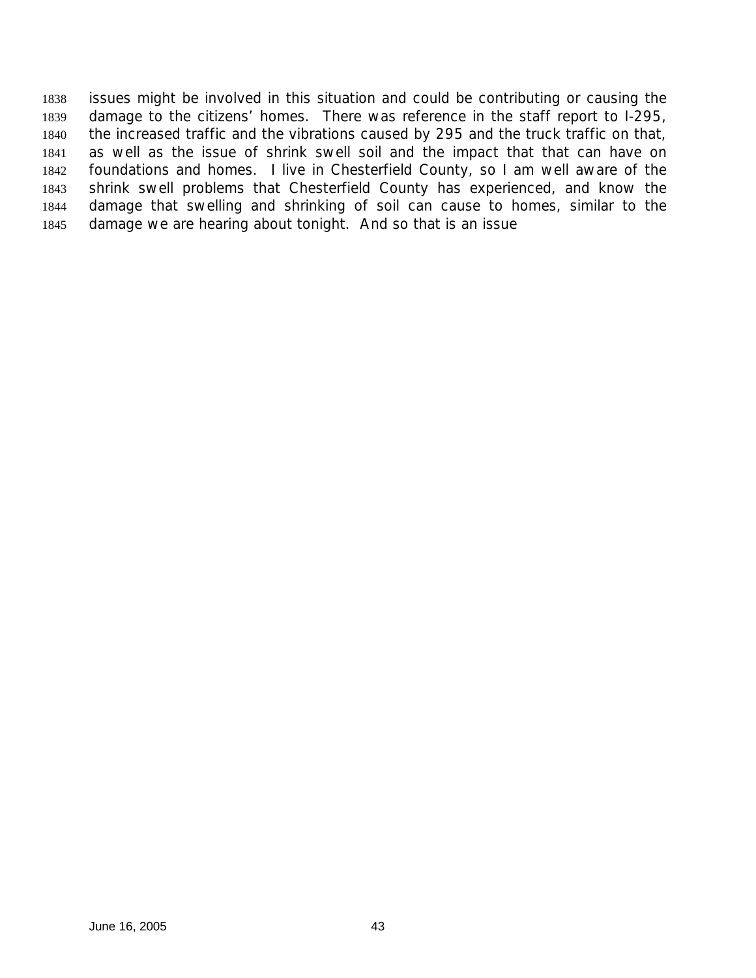issues might be involved in this situation and could be contributing or causing the damage to the citizens' homes. There was reference in the staff report to I-295, the increased traffic and the vibrations caused by 295 and the truck traffic on that, as well as the issue of shrink swell soil and the impact that that can have on foundations and homes. I live in Chesterfield County, so I am well aware of the shrink swell problems that Chesterfield County has experienced, and know the damage that swelling and shrinking of soil can cause to homes, similar to the damage we are hearing about tonight. And so that is an issue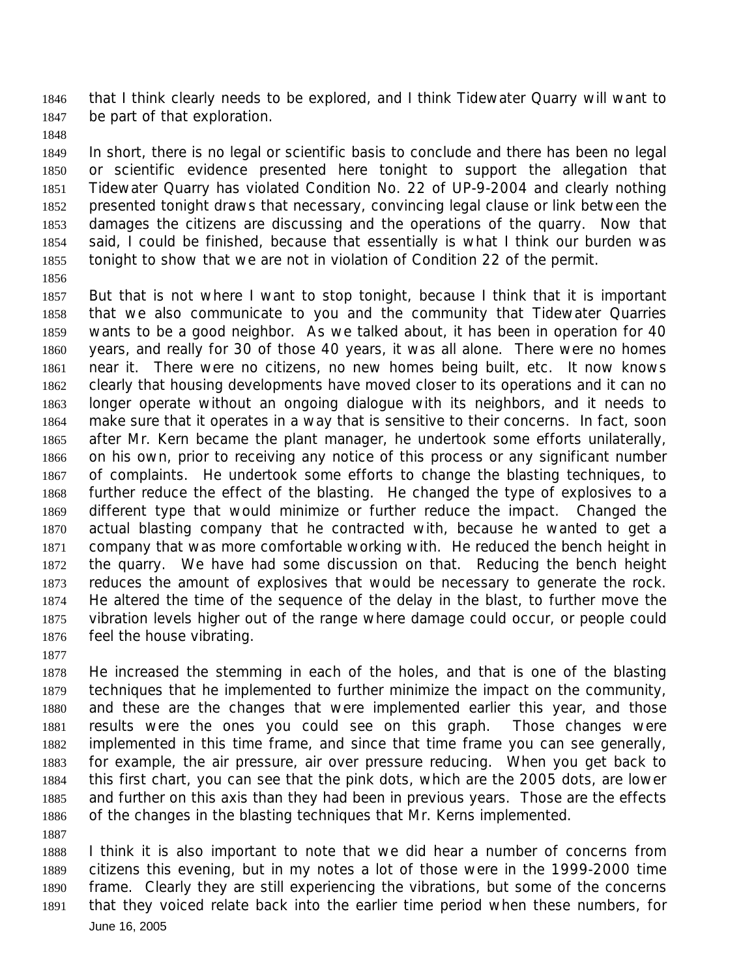that I think clearly needs to be explored, and I think Tidewater Quarry will want to be part of that exploration.

 In short, there is no legal or scientific basis to conclude and there has been no legal or scientific evidence presented here tonight to support the allegation that Tidewater Quarry has violated Condition No. 22 of UP-9-2004 and clearly nothing presented tonight draws that necessary, convincing legal clause or link between the damages the citizens are discussing and the operations of the quarry. Now that said, I could be finished, because that essentially is what I think our burden was tonight to show that we are not in violation of Condition 22 of the permit.

 But that is not where I want to stop tonight, because I think that it is important that we also communicate to you and the community that Tidewater Quarries wants to be a good neighbor. As we talked about, it has been in operation for 40 years, and really for 30 of those 40 years, it was all alone. There were no homes near it. There were no citizens, no new homes being built, etc. It now knows clearly that housing developments have moved closer to its operations and it can no longer operate without an ongoing dialogue with its neighbors, and it needs to make sure that it operates in a way that is sensitive to their concerns. In fact, soon after Mr. Kern became the plant manager, he undertook some efforts unilaterally, on his own, prior to receiving any notice of this process or any significant number of complaints. He undertook some efforts to change the blasting techniques, to further reduce the effect of the blasting. He changed the type of explosives to a different type that would minimize or further reduce the impact. Changed the actual blasting company that he contracted with, because he wanted to get a company that was more comfortable working with. He reduced the bench height in the quarry. We have had some discussion on that. Reducing the bench height reduces the amount of explosives that would be necessary to generate the rock. He altered the time of the sequence of the delay in the blast, to further move the vibration levels higher out of the range where damage could occur, or people could feel the house vibrating.

 He increased the stemming in each of the holes, and that is one of the blasting techniques that he implemented to further minimize the impact on the community, and these are the changes that were implemented earlier this year, and those results were the ones you could see on this graph. Those changes were implemented in this time frame, and since that time frame you can see generally, for example, the air pressure, air over pressure reducing. When you get back to this first chart, you can see that the pink dots, which are the 2005 dots, are lower and further on this axis than they had been in previous years. Those are the effects of the changes in the blasting techniques that Mr. Kerns implemented.

June 16, 2005 I think it is also important to note that we did hear a number of concerns from citizens this evening, but in my notes a lot of those were in the 1999-2000 time frame. Clearly they are still experiencing the vibrations, but some of the concerns that they voiced relate back into the earlier time period when these numbers, for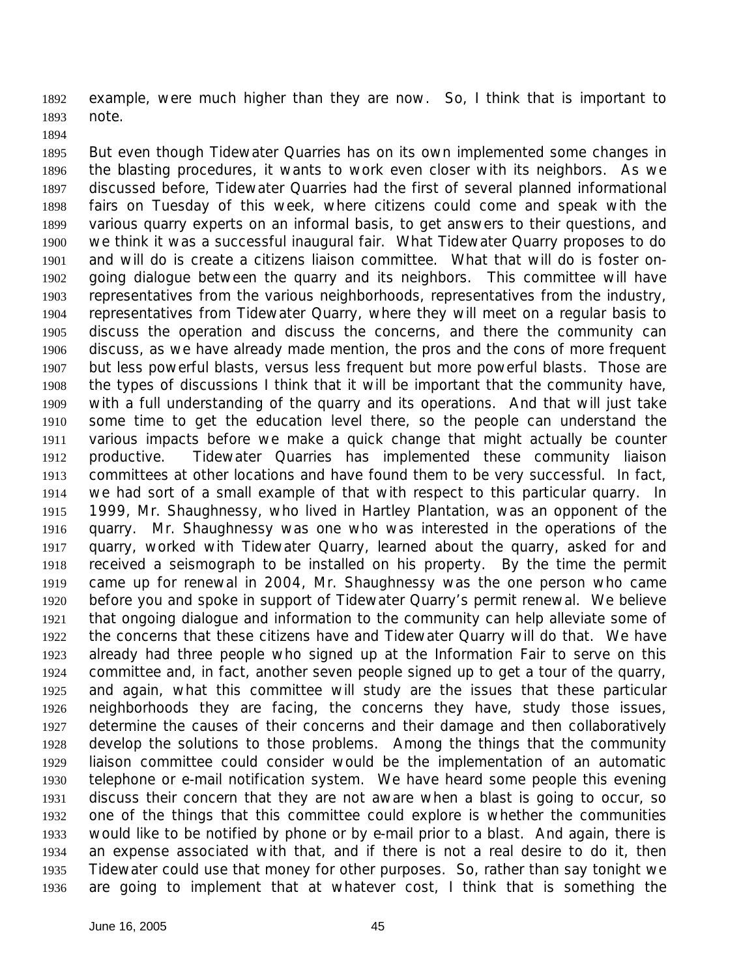example, were much higher than they are now. So, I think that is important to note.

 But even though Tidewater Quarries has on its own implemented some changes in the blasting procedures, it wants to work even closer with its neighbors. As we discussed before, Tidewater Quarries had the first of several planned informational fairs on Tuesday of this week, where citizens could come and speak with the various quarry experts on an informal basis, to get answers to their questions, and we think it was a successful inaugural fair. What Tidewater Quarry proposes to do and will do is create a citizens liaison committee. What that will do is foster on- going dialogue between the quarry and its neighbors. This committee will have representatives from the various neighborhoods, representatives from the industry, representatives from Tidewater Quarry, where they will meet on a regular basis to discuss the operation and discuss the concerns, and there the community can discuss, as we have already made mention, the pros and the cons of more frequent but less powerful blasts, versus less frequent but more powerful blasts. Those are the types of discussions I think that it will be important that the community have, with a full understanding of the quarry and its operations. And that will just take some time to get the education level there, so the people can understand the various impacts before we make a quick change that might actually be counter productive. Tidewater Quarries has implemented these community liaison committees at other locations and have found them to be very successful. In fact, we had sort of a small example of that with respect to this particular quarry. In 1999, Mr. Shaughnessy, who lived in Hartley Plantation, was an opponent of the quarry. Mr. Shaughnessy was one who was interested in the operations of the quarry, worked with Tidewater Quarry, learned about the quarry, asked for and received a seismograph to be installed on his property. By the time the permit came up for renewal in 2004, Mr. Shaughnessy was the one person who came before you and spoke in support of Tidewater Quarry's permit renewal. We believe that ongoing dialogue and information to the community can help alleviate some of the concerns that these citizens have and Tidewater Quarry will do that. We have already had three people who signed up at the Information Fair to serve on this committee and, in fact, another seven people signed up to get a tour of the quarry, and again, what this committee will study are the issues that these particular neighborhoods they are facing, the concerns they have, study those issues, determine the causes of their concerns and their damage and then collaboratively develop the solutions to those problems. Among the things that the community liaison committee could consider would be the implementation of an automatic telephone or e-mail notification system. We have heard some people this evening discuss their concern that they are not aware when a blast is going to occur, so one of the things that this committee could explore is whether the communities would like to be notified by phone or by e-mail prior to a blast. And again, there is an expense associated with that, and if there is not a real desire to do it, then Tidewater could use that money for other purposes. So, rather than say tonight we are going to implement that at whatever cost, I think that is something the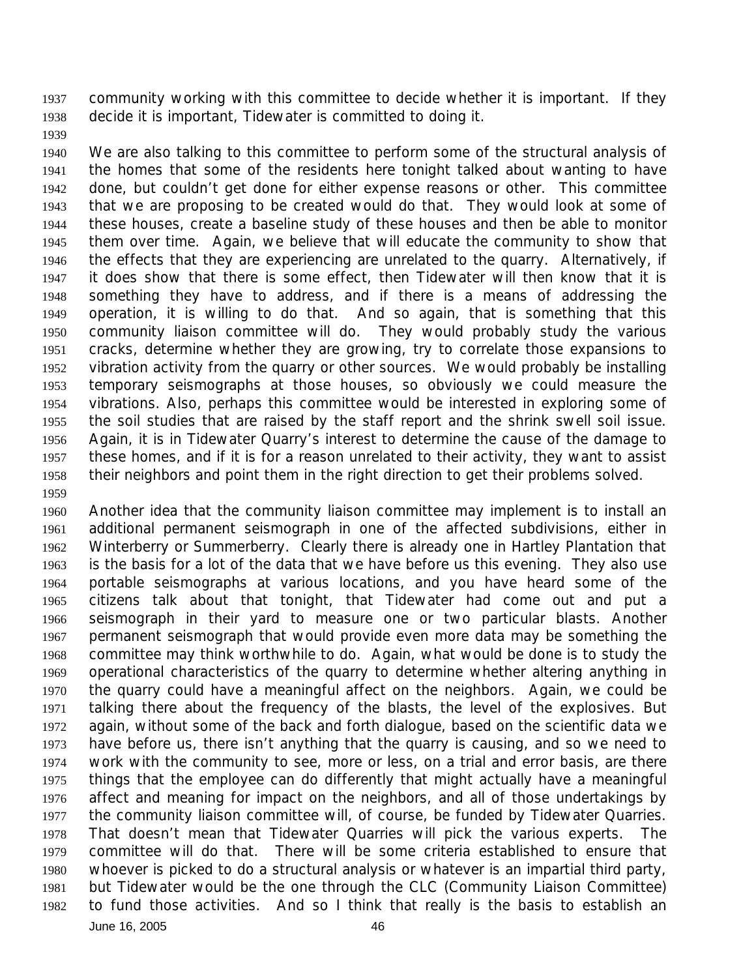community working with this committee to decide whether it is important. If they decide it is important, Tidewater is committed to doing it.

 We are also talking to this committee to perform some of the structural analysis of the homes that some of the residents here tonight talked about wanting to have done, but couldn't get done for either expense reasons or other. This committee that we are proposing to be created would do that. They would look at some of these houses, create a baseline study of these houses and then be able to monitor them over time. Again, we believe that will educate the community to show that the effects that they are experiencing are unrelated to the quarry. Alternatively, if it does show that there is some effect, then Tidewater will then know that it is something they have to address, and if there is a means of addressing the operation, it is willing to do that. And so again, that is something that this community liaison committee will do. They would probably study the various cracks, determine whether they are growing, try to correlate those expansions to vibration activity from the quarry or other sources. We would probably be installing temporary seismographs at those houses, so obviously we could measure the vibrations. Also, perhaps this committee would be interested in exploring some of the soil studies that are raised by the staff report and the shrink swell soil issue. Again, it is in Tidewater Quarry's interest to determine the cause of the damage to these homes, and if it is for a reason unrelated to their activity, they want to assist their neighbors and point them in the right direction to get their problems solved.

June 16, 2005 46 Another idea that the community liaison committee may implement is to install an additional permanent seismograph in one of the affected subdivisions, either in Winterberry or Summerberry. Clearly there is already one in Hartley Plantation that is the basis for a lot of the data that we have before us this evening. They also use portable seismographs at various locations, and you have heard some of the citizens talk about that tonight, that Tidewater had come out and put a seismograph in their yard to measure one or two particular blasts. Another permanent seismograph that would provide even more data may be something the committee may think worthwhile to do. Again, what would be done is to study the operational characteristics of the quarry to determine whether altering anything in the quarry could have a meaningful affect on the neighbors. Again, we could be talking there about the frequency of the blasts, the level of the explosives. But again, without some of the back and forth dialogue, based on the scientific data we have before us, there isn't anything that the quarry is causing, and so we need to work with the community to see, more or less, on a trial and error basis, are there things that the employee can do differently that might actually have a meaningful affect and meaning for impact on the neighbors, and all of those undertakings by the community liaison committee will, of course, be funded by Tidewater Quarries. That doesn't mean that Tidewater Quarries will pick the various experts. The committee will do that. There will be some criteria established to ensure that whoever is picked to do a structural analysis or whatever is an impartial third party, but Tidewater would be the one through the CLC (Community Liaison Committee) to fund those activities. And so I think that really is the basis to establish an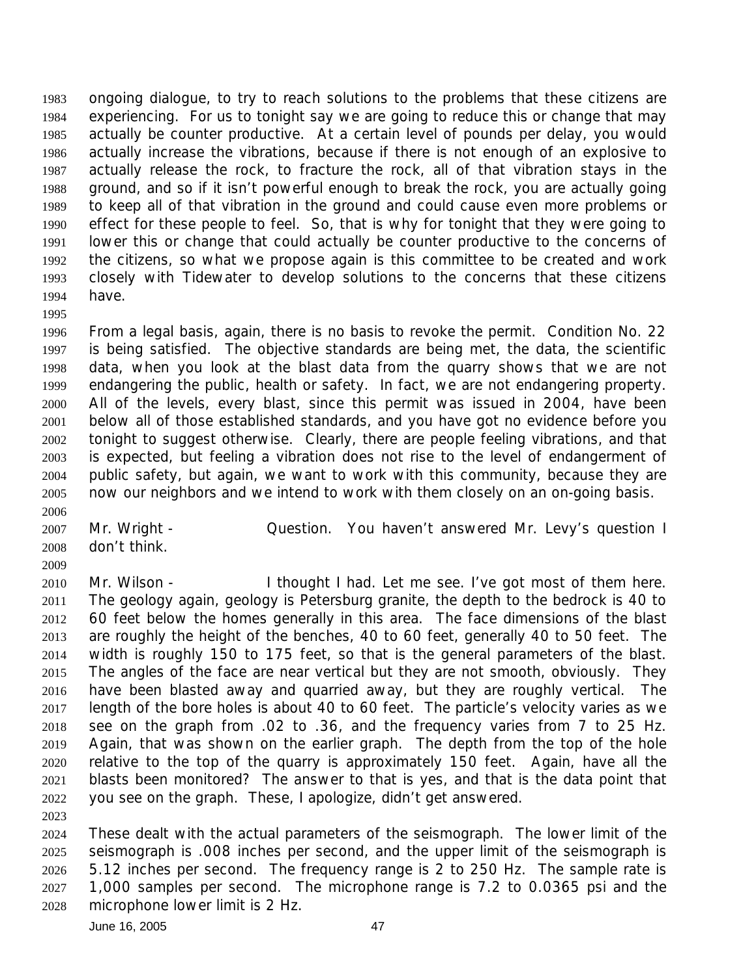ongoing dialogue, to try to reach solutions to the problems that these citizens are experiencing. For us to tonight say we are going to reduce this or change that may actually be counter productive. At a certain level of pounds per delay, you would actually increase the vibrations, because if there is not enough of an explosive to actually release the rock, to fracture the rock, all of that vibration stays in the ground, and so if it isn't powerful enough to break the rock, you are actually going to keep all of that vibration in the ground and could cause even more problems or effect for these people to feel. So, that is why for tonight that they were going to lower this or change that could actually be counter productive to the concerns of the citizens, so what we propose again is this committee to be created and work closely with Tidewater to develop solutions to the concerns that these citizens have.

 From a legal basis, again, there is no basis to revoke the permit. Condition No. 22 is being satisfied. The objective standards are being met, the data, the scientific data, when you look at the blast data from the quarry shows that we are not endangering the public, health or safety. In fact, we are not endangering property. All of the levels, every blast, since this permit was issued in 2004, have been below all of those established standards, and you have got no evidence before you tonight to suggest otherwise. Clearly, there are people feeling vibrations, and that is expected, but feeling a vibration does not rise to the level of endangerment of public safety, but again, we want to work with this community, because they are now our neighbors and we intend to work with them closely on an on-going basis. 

2007 Mr. Wright - Question. You haven't answered Mr. Levy's question I don't think.

2010 Mr. Wilson - I thought I had. Let me see. I've got most of them here. The geology again, geology is Petersburg granite, the depth to the bedrock is 40 to 60 feet below the homes generally in this area. The face dimensions of the blast are roughly the height of the benches, 40 to 60 feet, generally 40 to 50 feet. The width is roughly 150 to 175 feet, so that is the general parameters of the blast. The angles of the face are near vertical but they are not smooth, obviously. They have been blasted away and quarried away, but they are roughly vertical. The length of the bore holes is about 40 to 60 feet. The particle's velocity varies as we see on the graph from .02 to .36, and the frequency varies from 7 to 25 Hz. Again, that was shown on the earlier graph. The depth from the top of the hole relative to the top of the quarry is approximately 150 feet. Again, have all the blasts been monitored? The answer to that is yes, and that is the data point that you see on the graph. These, I apologize, didn't get answered. 

 These dealt with the actual parameters of the seismograph. The lower limit of the seismograph is .008 inches per second, and the upper limit of the seismograph is 5.12 inches per second. The frequency range is 2 to 250 Hz. The sample rate is 1,000 samples per second. The microphone range is 7.2 to 0.0365 psi and the microphone lower limit is 2 Hz.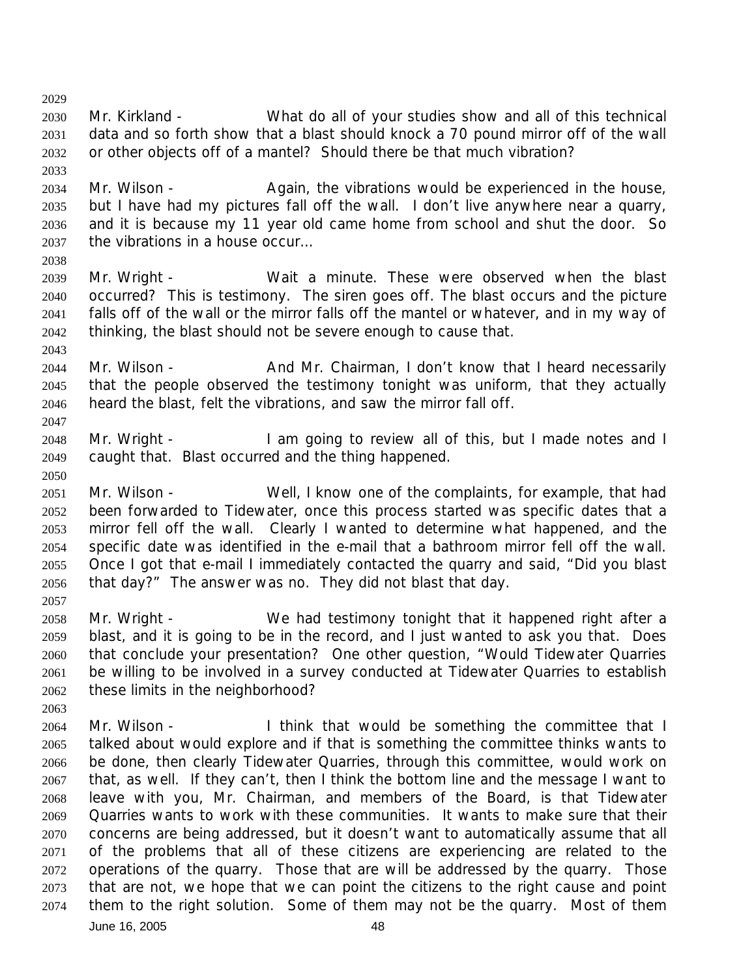Mr. Kirkland - What do all of your studies show and all of this technical data and so forth show that a blast should knock a 70 pound mirror off of the wall or other objects off of a mantel? Should there be that much vibration? 

 Mr. Wilson - Again, the vibrations would be experienced in the house, but I have had my pictures fall off the wall. I don't live anywhere near a quarry, and it is because my 11 year old came home from school and shut the door. So the vibrations in a house occur…

- Mr. Wright Wait a minute. These were observed when the blast occurred? This is testimony. The siren goes off. The blast occurs and the picture falls off of the wall or the mirror falls off the mantel or whatever, and in my way of thinking, the blast should not be severe enough to cause that.
- 2044 Mr. Wilson And Mr. Chairman, I don't know that I heard necessarily that the people observed the testimony tonight was uniform, that they actually heard the blast, felt the vibrations, and saw the mirror fall off.
- Mr. Wright I am going to review all of this, but I made notes and I caught that. Blast occurred and the thing happened.
- Mr. Wilson Well, I know one of the complaints, for example, that had been forwarded to Tidewater, once this process started was specific dates that a mirror fell off the wall. Clearly I wanted to determine what happened, and the specific date was identified in the e-mail that a bathroom mirror fell off the wall. Once I got that e-mail I immediately contacted the quarry and said, "Did you blast that day?" The answer was no. They did not blast that day.
- 

- Mr. Wright We had testimony tonight that it happened right after a blast, and it is going to be in the record, and I just wanted to ask you that. Does that conclude your presentation? One other question, "Would Tidewater Quarries be willing to be involved in a survey conducted at Tidewater Quarries to establish these limits in the neighborhood?
- June 16, 2005 48 2064 Mr. Wilson - I think that would be something the committee that I talked about would explore and if that is something the committee thinks wants to be done, then clearly Tidewater Quarries, through this committee, would work on that, as well. If they can't, then I think the bottom line and the message I want to leave with you, Mr. Chairman, and members of the Board, is that Tidewater Quarries wants to work with these communities. It wants to make sure that their concerns are being addressed, but it doesn't want to automatically assume that all of the problems that all of these citizens are experiencing are related to the operations of the quarry. Those that are will be addressed by the quarry. Those that are not, we hope that we can point the citizens to the right cause and point them to the right solution. Some of them may not be the quarry. Most of them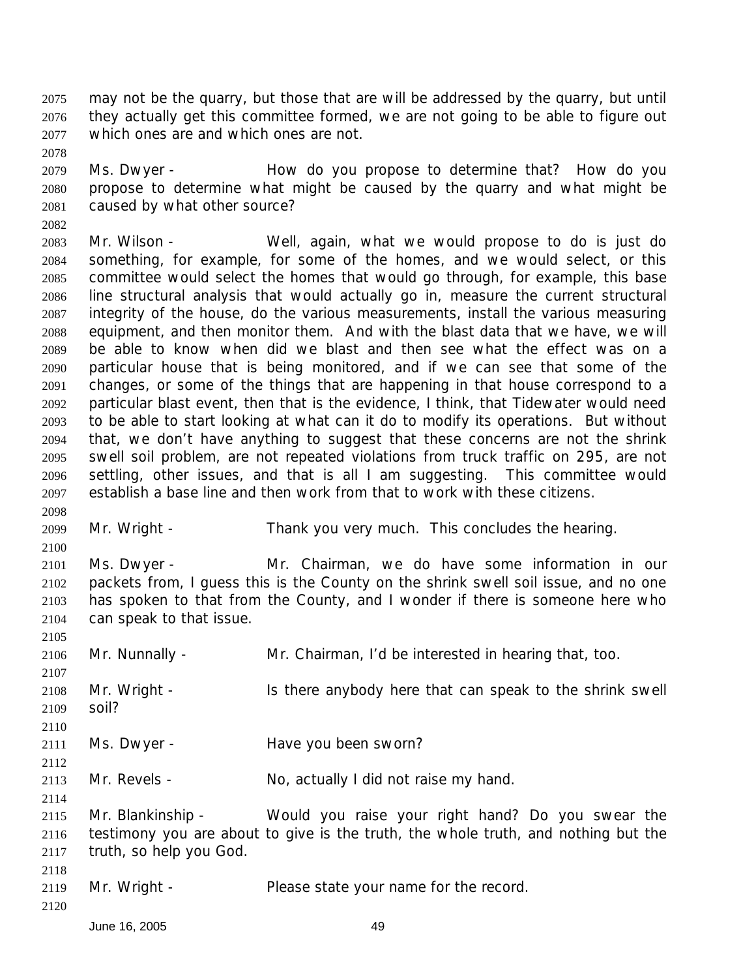may not be the quarry, but those that are will be addressed by the quarry, but until they actually get this committee formed, we are not going to be able to figure out which ones are and which ones are not.

 Ms. Dwyer - How do you propose to determine that? How do you propose to determine what might be caused by the quarry and what might be caused by what other source?

 Mr. Wilson - Well, again, what we would propose to do is just do something, for example, for some of the homes, and we would select, or this committee would select the homes that would go through, for example, this base line structural analysis that would actually go in, measure the current structural integrity of the house, do the various measurements, install the various measuring equipment, and then monitor them. And with the blast data that we have, we will be able to know when did we blast and then see what the effect was on a particular house that is being monitored, and if we can see that some of the changes, or some of the things that are happening in that house correspond to a particular blast event, then that is the evidence, I think, that Tidewater would need to be able to start looking at what can it do to modify its operations. But without that, we don't have anything to suggest that these concerns are not the shrink swell soil problem, are not repeated violations from truck traffic on 295, are not settling, other issues, and that is all I am suggesting. This committee would establish a base line and then work from that to work with these citizens.

Mr. Wright - Thank you very much. This concludes the hearing.

 Ms. Dwyer - Mr. Chairman, we do have some information in our packets from, I guess this is the County on the shrink swell soil issue, and no one has spoken to that from the County, and I wonder if there is someone here who can speak to that issue.

 Mr. Nunnally - Mr. Chairman, I'd be interested in hearing that, too. Mr. Wright - Is there anybody here that can speak to the shrink swell soil? Ms. Dwyer - Have you been sworn? 2113 Mr. Revels - No, actually I did not raise my hand. Mr. Blankinship - Would you raise your right hand? Do you swear the testimony you are about to give is the truth, the whole truth, and nothing but the truth, so help you God. Mr. Wright - Please state your name for the record. 

June 16, 2005 49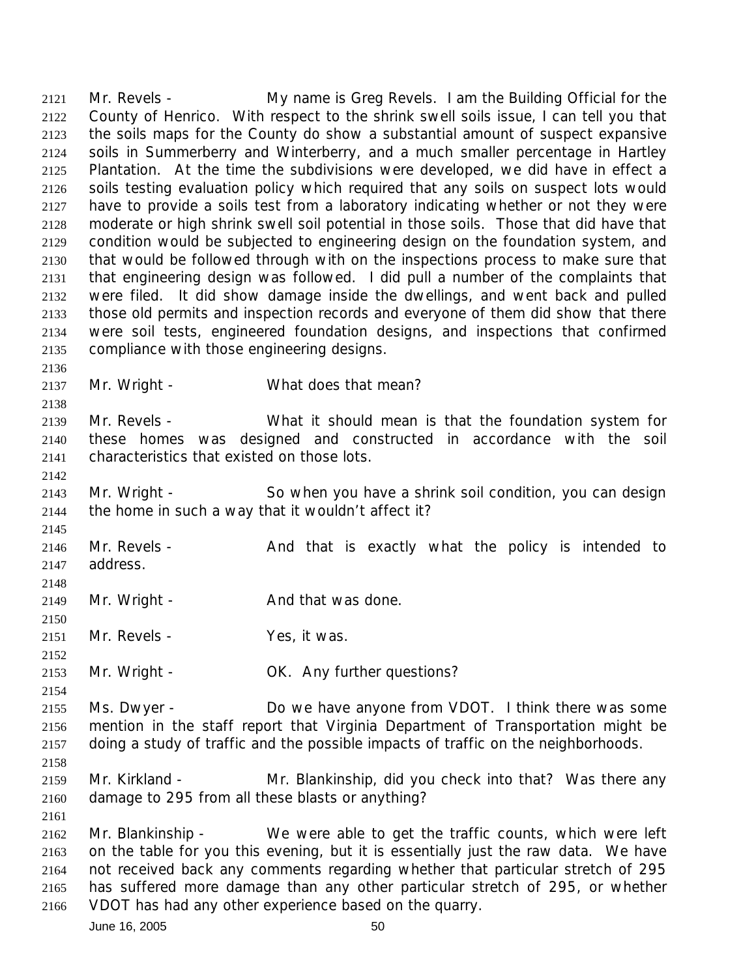Mr. Revels - My name is Greg Revels. I am the Building Official for the County of Henrico. With respect to the shrink swell soils issue, I can tell you that the soils maps for the County do show a substantial amount of suspect expansive soils in Summerberry and Winterberry, and a much smaller percentage in Hartley Plantation. At the time the subdivisions were developed, we did have in effect a soils testing evaluation policy which required that any soils on suspect lots would have to provide a soils test from a laboratory indicating whether or not they were moderate or high shrink swell soil potential in those soils. Those that did have that condition would be subjected to engineering design on the foundation system, and that would be followed through with on the inspections process to make sure that that engineering design was followed. I did pull a number of the complaints that were filed. It did show damage inside the dwellings, and went back and pulled those old permits and inspection records and everyone of them did show that there were soil tests, engineered foundation designs, and inspections that confirmed compliance with those engineering designs. 2137 Mr. Wright - What does that mean? Mr. Revels - What it should mean is that the foundation system for these homes was designed and constructed in accordance with the soil characteristics that existed on those lots.

- Mr. Wright - So when you have a shrink soil condition, you can design the home in such a way that it wouldn't affect it?
- 2146 Mr. Revels - And that is exactly what the policy is intended to address.
- 2149 Mr. Wright And that was done.
- 2151 Mr. Revels Yes, it was.
- 2153 Mr. Wright OK. Any further questions?
- Ms. Dwyer Do we have anyone from VDOT. I think there was some mention in the staff report that Virginia Department of Transportation might be doing a study of traffic and the possible impacts of traffic on the neighborhoods.
- Mr. Kirkland Mr. Blankinship, did you check into that? Was there any damage to 295 from all these blasts or anything?
- Mr. Blankinship We were able to get the traffic counts, which were left on the table for you this evening, but it is essentially just the raw data. We have not received back any comments regarding whether that particular stretch of 295 has suffered more damage than any other particular stretch of 295, or whether VDOT has had any other experience based on the quarry.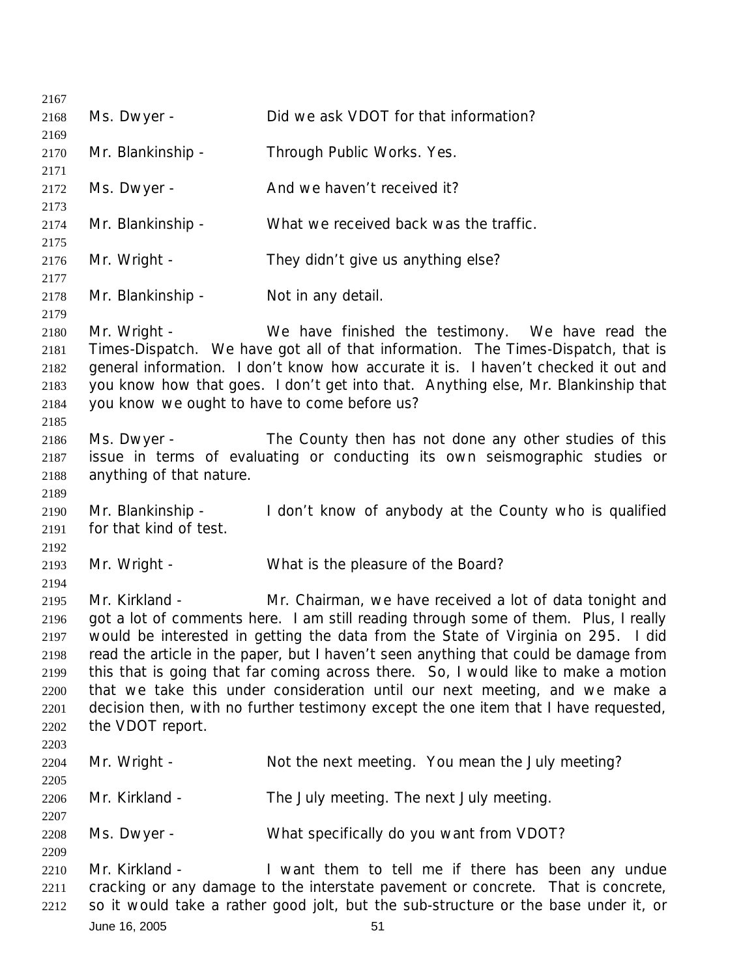June 16, 2005 51 Ms. Dwyer - Did we ask VDOT for that information? Mr. Blankinship - Through Public Works. Yes. 2172 Ms. Dwyer - And we haven't received it? Mr. Blankinship - What we received back was the traffic. Mr. Wright - They didn't give us anything else? 2178 Mr. Blankinship - Not in any detail. Mr. Wright - We have finished the testimony. We have read the *Times-Dispatch*. We have got all of that information. The *Times-Dispatch*, that is general information. I don't know how accurate it is. I haven't checked it out and you know how that goes. I don't get into that. Anything else, Mr. Blankinship that you know we ought to have to come before us? Ms. Dwyer - The County then has not done any other studies of this issue in terms of evaluating or conducting its own seismographic studies or anything of that nature. Mr. Blankinship - I don't know of anybody at the County who is qualified for that kind of test. Mr. Wright - What is the pleasure of the Board? Mr. Kirkland - Mr. Chairman, we have received a lot of data tonight and got a lot of comments here. I am still reading through some of them. Plus, I really would be interested in getting the data from the State of Virginia on 295. I did read the article in the paper, but I haven't seen anything that could be damage from this that is going that far coming across there. So, I would like to make a motion that we take this under consideration until our next meeting, and we make a decision then, with no further testimony except the one item that I have requested, the VDOT report. 2204 Mr. Wright - Not the next meeting. You mean the July meeting? Mr. Kirkland - The July meeting. The next July meeting. Ms. Dwyer - What specifically do you want from VDOT? 2210 Mr. Kirkland - I want them to tell me if there has been any undue cracking or any damage to the interstate pavement or concrete. That is concrete, so it would take a rather good jolt, but the sub-structure or the base under it, or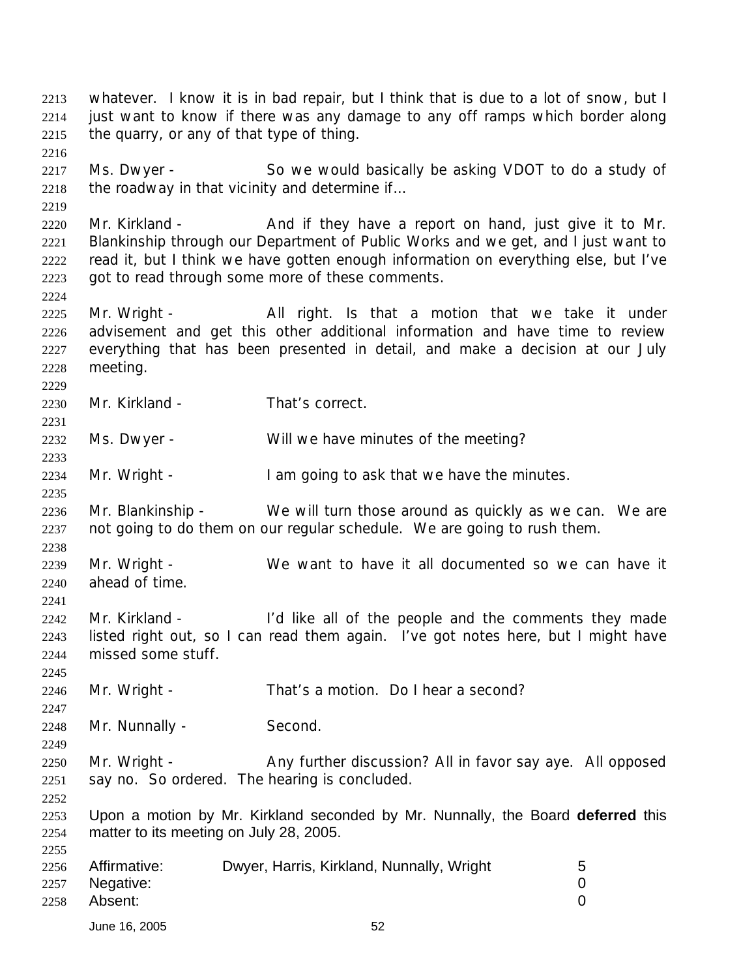whatever. I know it is in bad repair, but I think that is due to a lot of snow, but I just want to know if there was any damage to any off ramps which border along the quarry, or any of that type of thing. 2217 Ms. Dwyer - So we would basically be asking VDOT to do a study of the roadway in that vicinity and determine if... 2220 Mr. Kirkland - And if they have a report on hand, just give it to Mr. Blankinship through our Department of Public Works and we get, and I just want to read it, but I think we have gotten enough information on everything else, but I've got to read through some more of these comments. 2225 Mr. Wright - All right. Is that a motion that we take it under advisement and get this other additional information and have time to review everything that has been presented in detail, and make a decision at our July meeting. Mr. Kirkland - That's correct. Ms. Dwyer - Will we have minutes of the meeting? 2234 Mr. Wright - I am going to ask that we have the minutes. Mr. Blankinship - We will turn those around as quickly as we can. We are not going to do them on our regular schedule. We are going to rush them. Mr. Wright - We want to have it all documented so we can have it ahead of time. 2242 Mr. Kirkland - I'd like all of the people and the comments they made listed right out, so I can read them again. I've got notes here, but I might have missed some stuff. Mr. Wright - That's a motion. Do I hear a second? 2248 Mr. Nunnally - Second. 2250 Mr. Wright - Any further discussion? All in favor say aye. All opposed say no. So ordered. The hearing is concluded. Upon a motion by Mr. Kirkland seconded by Mr. Nunnally, the Board **deferred** this matter to its meeting on July 28, 2005. Affirmative: Dwyer, Harris, Kirkland, Nunnally, Wright 5 Negative: 0 Absent: 0